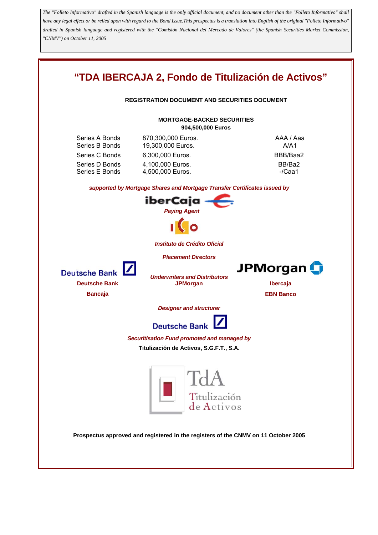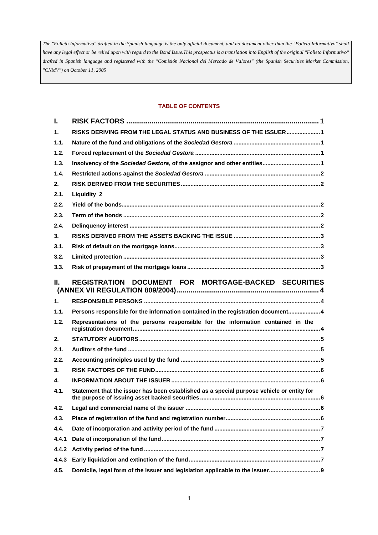### **TABLE OF CONTENTS**

| $\mathbf{L}$   |                                                                                           |
|----------------|-------------------------------------------------------------------------------------------|
| $\mathbf{1}$ . | RISKS DERIVING FROM THE LEGAL STATUS AND BUSINESS OF THE ISSUER  1                        |
| 1.1.           |                                                                                           |
| 1.2.           |                                                                                           |
| 1.3.           |                                                                                           |
| 1.4.           |                                                                                           |
| 2.             |                                                                                           |
| 2.1.           | <b>Liquidity 2</b>                                                                        |
| 2.2.           |                                                                                           |
| 2.3.           |                                                                                           |
| 2.4.           |                                                                                           |
| 3.             |                                                                                           |
| 3.1.           |                                                                                           |
| 3.2.           |                                                                                           |
| 3.3.           |                                                                                           |
| Ш.             | REGISTRATION DOCUMENT FOR MORTGAGE-BACKED SECURITIES                                      |
|                |                                                                                           |
| 1 <sub>1</sub> |                                                                                           |
| 1.1.           | Persons responsible for the information contained in the registration document4           |
| 1.2.           | Representations of the persons responsible for the information contained in the           |
| 2.             |                                                                                           |
| 2.1.           |                                                                                           |
| 2.2.           |                                                                                           |
| 3.             |                                                                                           |
| 4.             |                                                                                           |
| 4.1.           | Statement that the issuer has been established as a special purpose vehicle or entity for |
| 4.2.           |                                                                                           |
| 4.3.           |                                                                                           |
| 4.4.           |                                                                                           |
| 4.4.1          |                                                                                           |
| 4.4.2          |                                                                                           |
| 4.4.3          |                                                                                           |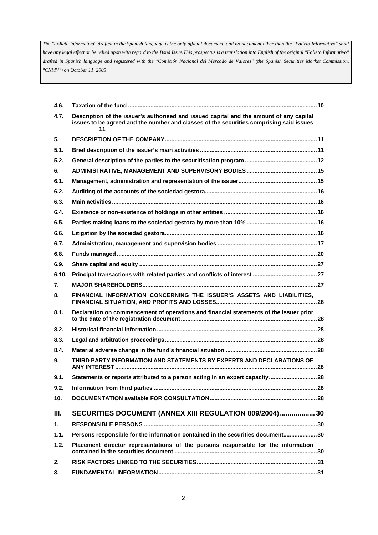| 4.6.           |                                                                                                                                                                                          |
|----------------|------------------------------------------------------------------------------------------------------------------------------------------------------------------------------------------|
| 4.7.           | Description of the issuer's authorised and issued capital and the amount of any capital<br>issues to be agreed and the number and classes of the securities comprising said issues<br>11 |
| 5.             |                                                                                                                                                                                          |
| 5.1.           |                                                                                                                                                                                          |
| 5.2.           |                                                                                                                                                                                          |
| 6.             |                                                                                                                                                                                          |
| 6.1.           |                                                                                                                                                                                          |
| 6.2.           |                                                                                                                                                                                          |
| 6.3.           |                                                                                                                                                                                          |
| 6.4.           |                                                                                                                                                                                          |
| 6.5.           |                                                                                                                                                                                          |
| 6.6.           |                                                                                                                                                                                          |
| 6.7.           |                                                                                                                                                                                          |
| 6.8.           |                                                                                                                                                                                          |
| 6.9.           |                                                                                                                                                                                          |
| 6.10.          |                                                                                                                                                                                          |
| 7.             |                                                                                                                                                                                          |
| 8.             | FINANCIAL INFORMATION CONCERNING THE ISSUER'S ASSETS AND LIABILITIES,                                                                                                                    |
| 8.1.           | Declaration on commencement of operations and financial statements of the issuer prior                                                                                                   |
| 8.2.           |                                                                                                                                                                                          |
| 8.3.           |                                                                                                                                                                                          |
| 8.4.           |                                                                                                                                                                                          |
| 9.             | THIRD PARTY INFORMATION AND STATEMENTS BY EXPERTS AND DECLARATIONS OF                                                                                                                    |
| 9.1.           | Statements or reports attributed to a person acting in an expert capacity28                                                                                                              |
| 9.2.           |                                                                                                                                                                                          |
| 10.            |                                                                                                                                                                                          |
| III.           | SECURITIES DOCUMENT (ANNEX XIII REGULATION 809/2004)  30                                                                                                                                 |
| 1 <sub>1</sub> |                                                                                                                                                                                          |
| 1.1.           | Persons responsible for the information contained in the securities document30                                                                                                           |
| 1.2.           | Placement director representations of the persons responsible for the information                                                                                                        |
| 2.             |                                                                                                                                                                                          |
| 3.             |                                                                                                                                                                                          |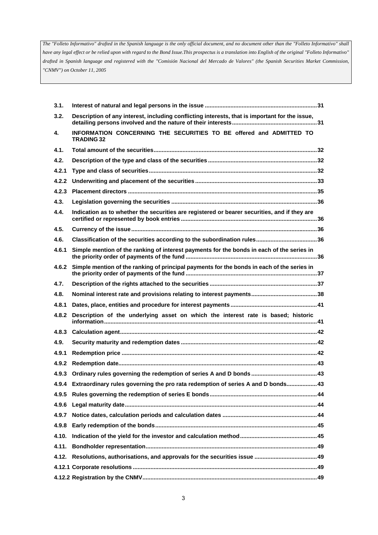| 3.1.  |                                                                                                |
|-------|------------------------------------------------------------------------------------------------|
| 3.2.  | Description of any interest, including conflicting interests, that is important for the issue, |
| 4.    | INFORMATION CONCERNING THE SECURITIES TO BE offered and ADMITTED TO<br><b>TRADING 32</b>       |
| 4.1.  |                                                                                                |
| 4.2.  |                                                                                                |
| 4.2.1 |                                                                                                |
| 4.2.2 |                                                                                                |
| 4.2.3 |                                                                                                |
| 4.3.  |                                                                                                |
| 4.4.  | Indication as to whether the securities are registered or bearer securities, and if they are   |
| 4.5.  |                                                                                                |
| 4.6.  |                                                                                                |
| 4.6.1 | Simple mention of the ranking of interest payments for the bonds in each of the series in      |
| 4.6.2 | Simple mention of the ranking of principal payments for the bonds in each of the series in     |
| 4.7.  |                                                                                                |
| 4.8.  |                                                                                                |
| 4.8.1 |                                                                                                |
| 4.8.2 | Description of the underlying asset on which the interest rate is based; historic              |
| 4.8.3 |                                                                                                |
| 4.9.  |                                                                                                |
| 4.9.1 |                                                                                                |
| 4.9.2 |                                                                                                |
| 4.9.3 |                                                                                                |
|       | 43.4 Extraordinary rules governing the pro rata redemption of series A and D bonds 43          |
|       |                                                                                                |
|       |                                                                                                |
| 4.9.7 |                                                                                                |
| 4.9.8 |                                                                                                |
| 4.10. |                                                                                                |
|       |                                                                                                |
|       |                                                                                                |
|       |                                                                                                |
|       |                                                                                                |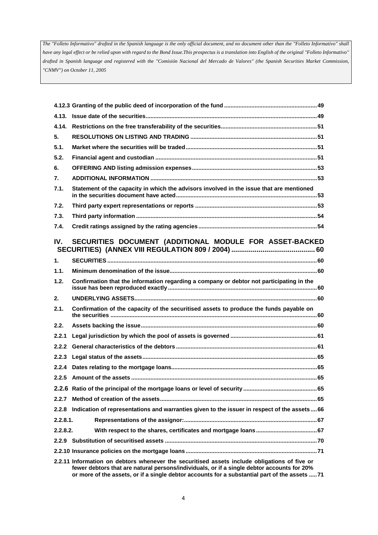| 4.14.          |                                                                                             |
|----------------|---------------------------------------------------------------------------------------------|
| 5.             |                                                                                             |
| 5.1.           |                                                                                             |
| 5.2.           |                                                                                             |
| 6.             |                                                                                             |
| 7.             |                                                                                             |
| 7.1.           | Statement of the capacity in which the advisors involved in the issue that are mentioned    |
| 7.2.           |                                                                                             |
| 7.3.           |                                                                                             |
| 7.4.           |                                                                                             |
| IV.            | SECURITIES DOCUMENT (ADDITIONAL MODULE FOR ASSET-BACKED                                     |
| $\mathbf{1}$ . |                                                                                             |
| 1.1.           |                                                                                             |
|                |                                                                                             |
| 1.2.           | Confirmation that the information regarding a company or debtor not participating in the    |
| 2.             |                                                                                             |
| 2.1.           | Confirmation of the capacity of the securitised assets to produce the funds payable on      |
| 2.2.           |                                                                                             |
| 2.2.1          |                                                                                             |
| 2.2.2          |                                                                                             |
| 2.2.3          |                                                                                             |
| 2.2.4          |                                                                                             |
|                |                                                                                             |
|                |                                                                                             |
| 2.2.7          |                                                                                             |
| 2.2.8          | Indication of representations and warranties given to the issuer in respect of the assets66 |
| $2.2.8.1$ .    |                                                                                             |
| 2.2.8.2.       |                                                                                             |
|                |                                                                                             |
|                | 22.11 Information on dobtors whopever the securitised assets include obligations of five or |

**2.2.11 Information on debtors whenever the securitised assets include obligations of five or fewer debtors that are natural persons/individuals, or if a single debtor accounts for 20% or more of the assets, or if a single debtor accounts for a substantial part of the assets .....71**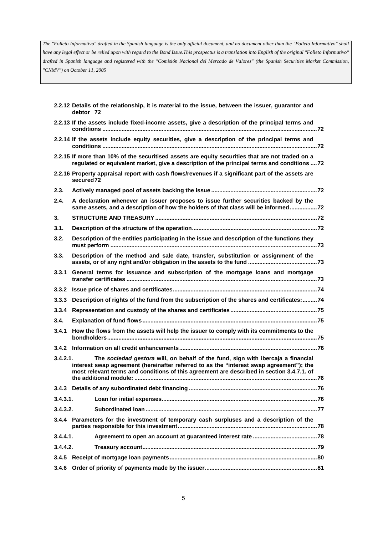|          | 2.2.12 Details of the relationship, it is material to the issue, between the issuer, guarantor and<br>debtor 72                                                                                                                                                          |  |  |
|----------|--------------------------------------------------------------------------------------------------------------------------------------------------------------------------------------------------------------------------------------------------------------------------|--|--|
|          | 2.2.13 If the assets include fixed-income assets, give a description of the principal terms and                                                                                                                                                                          |  |  |
|          | 2.2.14 If the assets include equity securities, give a description of the principal terms and                                                                                                                                                                            |  |  |
|          | 2.2.15 If more than 10% of the securitised assets are equity securities that are not traded on a<br>regulated or equivalent market, give a description of the principal terms and conditions  72                                                                         |  |  |
|          | 2.2.16 Property appraisal report with cash flows/revenues if a significant part of the assets are<br>secured 72                                                                                                                                                          |  |  |
| 2.3.     |                                                                                                                                                                                                                                                                          |  |  |
| 2.4.     | A declaration whenever an issuer proposes to issue further securities backed by the<br>same assets, and a description of how the holders of that class will be informed 72                                                                                               |  |  |
| 3.       |                                                                                                                                                                                                                                                                          |  |  |
| 3.1.     |                                                                                                                                                                                                                                                                          |  |  |
| 3.2.     | Description of the entities participating in the issue and description of the functions they                                                                                                                                                                             |  |  |
| 3.3.     | Description of the method and sale date, transfer, substitution or assignment of the                                                                                                                                                                                     |  |  |
| 3.3.1    | General terms for issuance and subscription of the mortgage loans and mortgage                                                                                                                                                                                           |  |  |
| 3.3.2    |                                                                                                                                                                                                                                                                          |  |  |
| 3.3.3    | Description of rights of the fund from the subscription of the shares and certificates: 74                                                                                                                                                                               |  |  |
| 3.3.4    |                                                                                                                                                                                                                                                                          |  |  |
| 3.4.     |                                                                                                                                                                                                                                                                          |  |  |
| 3.4.1    | How the flows from the assets will help the issuer to comply with its commitments to the                                                                                                                                                                                 |  |  |
|          |                                                                                                                                                                                                                                                                          |  |  |
| 3.4.2.1. | The sociedad gestora will, on behalf of the fund, sign with ibercaja a financial<br>interest swap agreement (hereinafter referred to as the "interest swap agreement"); the<br>most relevant terms and conditions of this agreement are described in section 3.4.7.1. of |  |  |
|          |                                                                                                                                                                                                                                                                          |  |  |
|          |                                                                                                                                                                                                                                                                          |  |  |
| 3.4.3.1. |                                                                                                                                                                                                                                                                          |  |  |
| 3.4.3.2. |                                                                                                                                                                                                                                                                          |  |  |
|          | 3.4.4 Parameters for the investment of temporary cash surpluses and a description of the                                                                                                                                                                                 |  |  |
| 3.4.4.1. |                                                                                                                                                                                                                                                                          |  |  |
| 3.4.4.2. |                                                                                                                                                                                                                                                                          |  |  |
|          |                                                                                                                                                                                                                                                                          |  |  |
| 3.4.6    |                                                                                                                                                                                                                                                                          |  |  |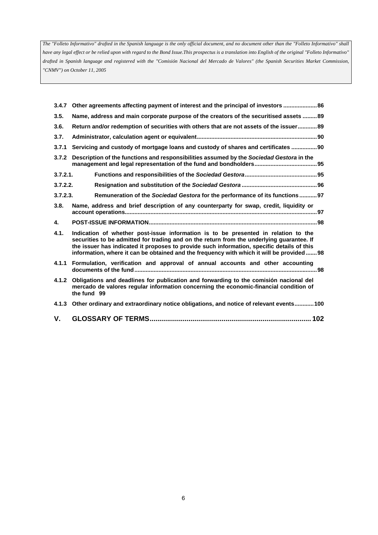| 3.4.7    | Other agreements affecting payment of interest and the principal of investors  86                                                                                                                                                                                                                                                                                         |  |  |
|----------|---------------------------------------------------------------------------------------------------------------------------------------------------------------------------------------------------------------------------------------------------------------------------------------------------------------------------------------------------------------------------|--|--|
| 3.5.     | Name, address and main corporate purpose of the creators of the securitised assets  89                                                                                                                                                                                                                                                                                    |  |  |
| 3.6.     | Return and/or redemption of securities with others that are not assets of the issuer89                                                                                                                                                                                                                                                                                    |  |  |
| 3.7.     |                                                                                                                                                                                                                                                                                                                                                                           |  |  |
| 3.7.1    | Servicing and custody of mortgage loans and custody of shares and certificates 90                                                                                                                                                                                                                                                                                         |  |  |
| 3.7.2    | Description of the functions and responsibilities assumed by the Sociedad Gestora in the                                                                                                                                                                                                                                                                                  |  |  |
| 3.7.2.1. |                                                                                                                                                                                                                                                                                                                                                                           |  |  |
| 3.7.2.2. |                                                                                                                                                                                                                                                                                                                                                                           |  |  |
| 3.7.2.3. | Remuneration of the Sociedad Gestora for the performance of its functions97                                                                                                                                                                                                                                                                                               |  |  |
| 3.8.     | Name, address and brief description of any counterparty for swap, credit, liquidity or                                                                                                                                                                                                                                                                                    |  |  |
| 4.       |                                                                                                                                                                                                                                                                                                                                                                           |  |  |
| 4.1.     | Indication of whether post-issue information is to be presented in relation to the<br>securities to be admitted for trading and on the return from the underlying quarantee. If<br>the issuer has indicated it proposes to provide such information, specific details of this<br>information, where it can be obtained and the frequency with which it will be provided98 |  |  |
|          | 4.1.1 Formulation, verification and approval of annual accounts and other accounting                                                                                                                                                                                                                                                                                      |  |  |
| 4.1.2    | Obligations and deadlines for publication and forwarding to the comisión nacional del<br>mercado de valores regular information concerning the economic-financial condition of<br>the fund 99                                                                                                                                                                             |  |  |
|          | 4.1.3 Other ordinary and extraordinary notice obligations, and notice of relevant events 100                                                                                                                                                                                                                                                                              |  |  |
| V.       |                                                                                                                                                                                                                                                                                                                                                                           |  |  |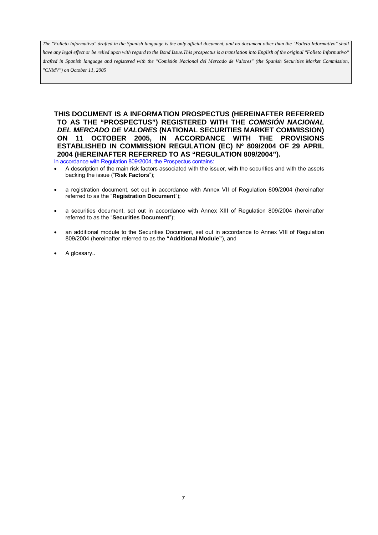*have any legal effect or be relied upon with regard to the Bond Issue.This prospectus is a translation into English of the original "Folleto Informativo" drafted in Spanish language and registered with the "Comisión Nacional del Mercado de Valores" (the Spanish Securities Market Commission, "CNMV") on October 11, 2005*

**THIS DOCUMENT IS A INFORMATION PROSPECTUS (HEREINAFTER REFERRED TO AS THE "PROSPECTUS") REGISTERED WITH THE** *COMISIÓN NACIONAL DEL MERCADO DE VALORES* **(NATIONAL SECURITIES MARKET COMMISSION) ON 11 OCTOBER 2005, IN ACCORDANCE WITH THE PROVISIONS ESTABLISHED IN COMMISSION REGULATION (EC) Nº 809/2004 OF 29 APRIL 2004 (HEREINAFTER REFERRED TO AS "REGULATION 809/2004").**  In accordance with Regulation 809/2004, the Prospectus contains:

• A description of the main risk factors associated with the issuer, with the securities and with the assets backing the issue ("**Risk Factors**");

- a registration document, set out in accordance with Annex VII of Regulation 809/2004 (hereinafter referred to as the "**Registration Document**");
- a securities document, set out in accordance with Annex XIII of Regulation 809/2004 (hereinafter referred to as the "**Securities Document**");
- an additional module to the Securities Document, set out in accordance to Annex VIII of Regulation 809/2004 (hereinafter referred to as the **"Additional Module"**), and
- A glossary..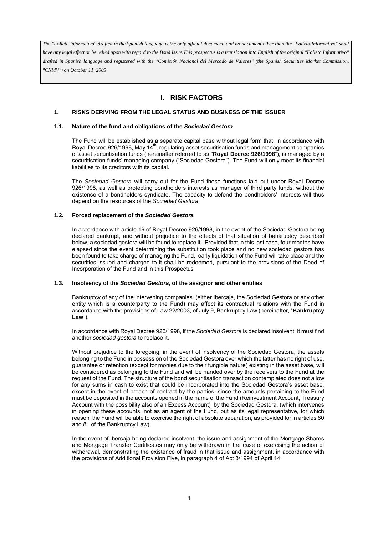# **I. RISK FACTORS**

### **1. RISKS DERIVING FROM THE LEGAL STATUS AND BUSINESS OF THE ISSUER**

#### **1.1. Nature of the fund and obligations of the** *Sociedad Gestora*

The Fund will be established as a separate capital base without legal form that, in accordance with Royal Decree 926/1998, May 14<sup>th</sup>, regulating asset securitisation funds and management companies of asset securitisation funds (hereinafter referred to as "**Royal Decree 926/1998**"), is managed by a securitisation funds' managing company ("Sociedad Gestora"). The Fund will only meet its financial liabilities to its creditors with its capital.

The *Sociedad Gestora* will carry out for the Fund those functions laid out under Royal Decree 926/1998, as well as protecting bondholders interests as manager of third party funds, without the existence of a bondholders syndicate. The capacity to defend the bondholders' interests will thus depend on the resources of the *Sociedad Gestora*.

#### **1.2. Forced replacement of the** *Sociedad Gestora*

In accordance with article 19 of Royal Decree 926/1998, in the event of the Sociedad Gestora being declared bankrupt, and without prejudice to the effects of that situation of bankruptcy described below, a sociedad gestora will be found to replace it. Provided that in this last case, four months have elapsed since the event determining the substitution took place and no new sociedad gestora has been found to take charge of managing the Fund, early liquidation of the Fund will take place and the securities issued and charged to it shall be redeemed, pursuant to the provisions of the Deed of Incorporation of the Fund and in this Prospectus

#### **1.3. Insolvency of the** *Sociedad Gestora***, of the assignor and other entities**

Bankruptcy of any of the intervening companies (either Ibercaja, the Sociedad Gestora or any other entity which is a counterparty to the Fund) may affect its contractual relations with the Fund in accordance with the provisions of Law 22/2003, of July 9, Bankruptcy Law (hereinafter, "**Bankruptcy Law**").

In accordance with Royal Decree 926/1998, if the *Sociedad Gestora* is declared insolvent, it must find another *sociedad gestora* to replace it.

Without prejudice to the foregoing, in the event of insolvency of the Sociedad Gestora, the assets belonging to the Fund in possession of the Sociedad Gestora over which the latter has no right of use, guarantee or retention (except for monies due to their fungible nature) existing in the asset base, will be considered as belonging to the Fund and will be handed over by the receivers to the Fund at the request of the Fund. The structure of the bond securitisation transaction contemplated does not allow for any sums in cash to exist that could be incorporated into the Sociedad Gestora's asset base, except in the event of breach of contract by the parties, since the amounts pertaining to the Fund must be deposited in the accounts opened in the name of the Fund (Reinvestment Account, Treasury Account with the possibility also of an Excess Account) by the Sociedad Gestora, (which intervenes in opening these accounts, not as an agent of the Fund, but as its legal representative, for which reason the Fund will be able to exercise the right of absolute separation, as provided for in articles 80 and 81 of the Bankruptcy Law).

In the event of Ibercaja being declared insolvent, the issue and assignment of the Mortgage Shares and Mortgage Transfer Certificates may only be withdrawn in the case of exercising the action of withdrawal, demonstrating the existence of fraud in that issue and assignment, in accordance with the provisions of Additional Provision Five, in paragraph 4 of Act 3/1994 of April 14.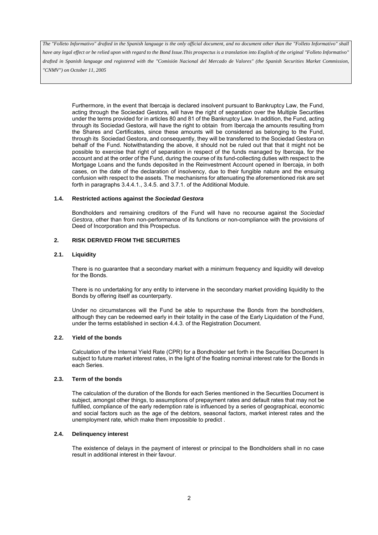*have any legal effect or be relied upon with regard to the Bond Issue.This prospectus is a translation into English of the original "Folleto Informativo" drafted in Spanish language and registered with the "Comisión Nacional del Mercado de Valores" (the Spanish Securities Market Commission, "CNMV") on October 11, 2005*

Furthermore, in the event that Ibercaja is declared insolvent pursuant to Bankruptcy Law, the Fund, acting through the Sociedad Gestora, will have the right of separation over the Multiple Securities under the terms provided for in articles 80 and 81 of the Bankruptcy Law. In addition, the Fund, acting through its Sociedad Gestora, will have the right to obtain from Ibercaja the amounts resulting from the Shares and Certificates, since these amounts will be considered as belonging to the Fund, through its Sociedad Gestora, and consequently, they will be transferred to the Sociedad Gestora on behalf of the Fund. Notwithstanding the above, it should not be ruled out that that it might not be possible to exercise that right of separation in respect of the funds managed by Ibercaja, for the account and at the order of the Fund, during the course of its fund-collecting duties with respect to the Mortgage Loans and the funds deposited in the Reinvestment Account opened in Ibercaja, in both cases, on the date of the declaration of insolvency, due to their fungible nature and the ensuing confusion with respect to the assets. The mechanisms for attenuating the aforementioned risk are set forth in paragraphs 3.4.4.1., 3.4.5. and 3.7.1. of the Additional Module.

#### **1.4. Restricted actions against the** *Sociedad Gestora*

Bondholders and remaining creditors of the Fund will have no recourse against the *Sociedad Gestora*, other than from non-performance of its functions or non-compliance with the provisions of Deed of Incorporation and this Prospectus.

### **2. RISK DERIVED FROM THE SECURITIES**

### **2.1. Liquidity**

There is no quarantee that a secondary market with a minimum frequency and liquidity will develop for the Bonds.

There is no undertaking for any entity to intervene in the secondary market providing liquidity to the Bonds by offering itself as counterparty.

Under no circumstances will the Fund be able to repurchase the Bonds from the bondholders, although they can be redeemed early in their totality in the case of the Early Liquidation of the Fund, under the terms established in section 4.4.3. of the Registration Document.

### **2.2. Yield of the bonds**

Calculation of the Internal Yield Rate (CPR) for a Bondholder set forth in the Securities Document Is subject to future market interest rates, in the light of the floating nominal interest rate for the Bonds in each Series.

### **2.3. Term of the bonds**

The calculation of the duration of the Bonds for each Series mentioned in the Securities Document is subject, amongst other things, to assumptions of prepayment rates and default rates that may not be fulfilled, compliance of the early redemption rate is influenced by a series of geographical, economic and social factors such as the age of the debtors, seasonal factors, market interest rates and the unemployment rate, which make them impossible to predict .

# **2.4. Delinquency interest**

The existence of delays in the payment of interest or principal to the Bondholders shall in no case result in additional interest in their favour.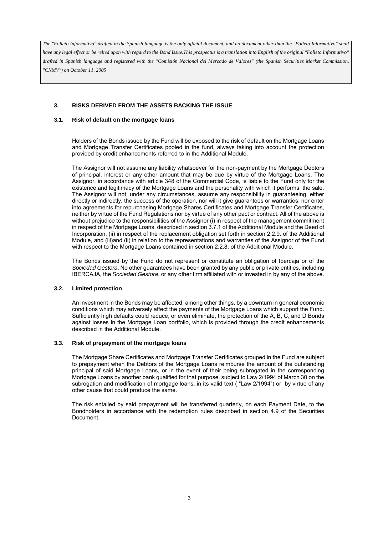# **3. RISKS DERIVED FROM THE ASSETS BACKING THE ISSUE**

### **3.1. Risk of default on the mortgage loans**

Holders of the Bonds issued by the Fund will be exposed to the risk of default on the Mortgage Loans and Mortgage Transfer Certificates pooled in the fund, always taking into account the protection provided by credit enhancements referred to in the Additional Module.

The Assignor will not assume any liability whatsoever for the non-payment by the Mortgage Debtors of principal, interest or any other amount that may be due by virtue of the Mortgage Loans. The Assignor, in accordance with article 348 of the Commercial Code, is liable to the Fund only for the existence and legitimacy of the Mortgage Loans and the personality with which it performs the sale. The Assignor will not, under any circumstances, assume any responsibility in guaranteeing, either directly or indirectly, the success of the operation, nor will it give guarantees or warranties, nor enter into agreements for repurchasing Mortgage Shares Certificates and Mortgage Transfer Certificates, neither by virtue of the Fund Regulations nor by virtue of any other pact or contract. All of the above is without prejudice to the responsibilities of the Assignor (i) in respect of the management commitment in respect of the Mortgage Loans, described in section 3.7.1 of the Additional Module and the Deed of Incorporation, (ii) in respect of the replacement obligation set forth in section 2.2.9. of the Additional Module, and (iii)and (ii) in relation to the representations and warranties of the Assignor of the Fund with respect to the Mortgage Loans contained in section 2.2.8. of the Additional Module.

The Bonds issued by the Fund do not represent or constitute an obligation of Ibercaja or of the *Sociedad Gestora*. No other guarantees have been granted by any public or private entities, including IBERCAJA, the *Sociedad Gestora*, or any other firm affiliated with or invested in by any of the above.

#### **3.2. Limited protection**

An investment in the Bonds may be affected, among other things, by a downturn in general economic conditions which may adversely affect the payments of the Mortgage Loans which support the Fund. Sufficiently high defaults could reduce, or even eliminate, the protection of the A, B, C, and D Bonds against losses in the Mortgage Loan portfolio, which is provided through the credit enhancements described in the Additional Module.

#### **3.3. Risk of prepayment of the mortgage loans**

The Mortgage Share Certificates and Mortgage Transfer Certificates grouped in the Fund are subject to prepayment when the Debtors of the Mortgage Loans reimburse the amount of the outstanding principal of said Mortgage Loans, or in the event of their being subrogated in the corresponding Mortgage Loans by another bank qualified for that purpose, subject to Law 2/1994 of March 30 on the subrogation and modification of mortgage loans, in its valid text ( "Law 2/1994") or by virtue of any other cause that could produce the same.

The risk entailed by said prepayment will be transferred quarterly, on each Payment Date, to the Bondholders in accordance with the redemption rules described in section 4.9 of the Securities Document.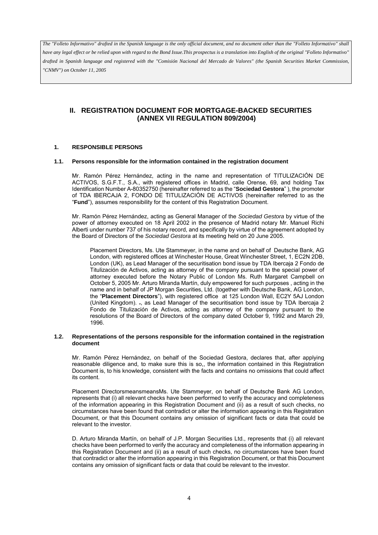*have any legal effect or be relied upon with regard to the Bond Issue.This prospectus is a translation into English of the original "Folleto Informativo" drafted in Spanish language and registered with the "Comisión Nacional del Mercado de Valores" (the Spanish Securities Market Commission, "CNMV") on October 11, 2005*

# **II. REGISTRATION DOCUMENT FOR MORTGAGE-BACKED SECURITIES (ANNEX VII REGULATION 809/2004)**

#### **1. RESPONSIBLE PERSONS**

#### **1.1. Persons responsible for the information contained in the registration document**

Mr. Ramón Pérez Hernández, acting in the name and representation of TITULIZACIÓN DE ACTIVOS, S.G.F.T., S.A., with registered offices in Madrid, calle Orense, 69, and holding Tax Identification Number A-80352750 (hereinafter referred to as the "**Sociedad Gestora**" ), the promoter of TDA IBERCAJA 2, FONDO DE TITULIZACIÓN DE ACTIVOS (hereinafter referred to as the "**Fund**"), assumes responsibility for the content of this Registration Document.

Mr. Ramón Pérez Hernández, acting as General Manager of the *Sociedad Gestora* by virtue of the power of attorney executed on 18 April 2002 in the presence of Madrid notary Mr. Manuel Richi Alberti under number 737 of his notary record, and specifically by virtue of the agreement adopted by the Board of Directors of the *Sociedad Gestora* at its meeting held on 20 June 2005.

Placement Directors, Ms. Ute Stammeyer, in the name and on behalf of Deutsche Bank, AG London, with registered offices at Winchester House, Great Winchester Street, 1, EC2N 2DB, London (UK), as Lead Manager of the securitisation bond issue by TDA Ibercaja 2 Fondo de Titulización de Activos, acting as attorney of the company pursuant to the special power of attorney executed before the Notary Public of London Ms. Ruth Margaret Campbell on October 5, 2005 Mr. Arturo Miranda Martín, duly empowered for such purposes , acting in the name and in behalf of JP Morgan Securities, Ltd. (together with Deutsche Bank, AG London, the "**Placement Directors**"), with registered office at 125 London Wall, EC2Y 5AJ London (United Kingdom). ., as Lead Manager of the securitisation bond issue by TDA Ibercaja 2 Fondo de Titulización de Activos, acting as attorney of the company pursuant to the resolutions of the Board of Directors of the company dated October 9, 1992 and March 29, 1996.

#### **1.2. Representations of the persons responsible for the information contained in the registration document**

Mr. Ramón Pérez Hernández, on behalf of the Sociedad Gestora, declares that, after applying reasonable diligence and, to make sure this is so,, the information contained in this Registration Document is, to his knowledge, consistent with the facts and contains no omissions that could affect its content.

Placement DirectorsmeansmeansMs. Ute Stammeyer, on behalf of Deutsche Bank AG London, represents that (i) all relevant checks have been performed to verify the accuracy and completeness of the information appearing in this Registration Document and (ii) as a result of such checks, no circumstances have been found that contradict or alter the information appearing in this Registration Document, or that this Document contains any omission of significant facts or data that could be relevant to the investor.

D. Arturo Miranda Martín, on behalf of J.P. Morgan Securities Ltd., represents that (i) all relevant checks have been performed to verify the accuracy and completeness of the information appearing in this Registration Document and (ii) as a result of such checks, no circumstances have been found that contradict or alter the information appearing in this Registration Document, or that this Document contains any omission of significant facts or data that could be relevant to the investor.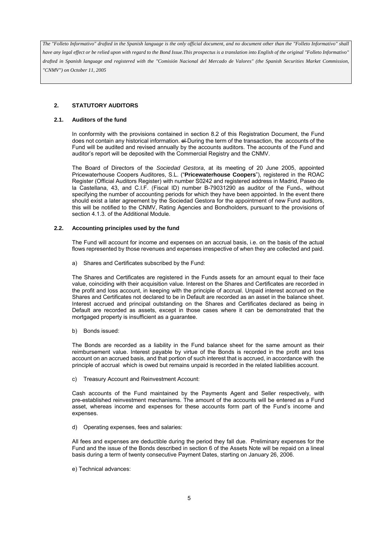# **2. STATUTORY AUDITORS**

### **2.1. Auditors of the fund**

In conformity with the provisions contained in section 8.2 of this Registration Document, the Fund does not contain any historical information.  $e\text{+During}$  the term of the transaction, the accounts of the Fund will be audited and revised annually by the accounts auditors. The accounts of the Fund and auditor's report will be deposited with the Commercial Registry and the CNMV.

The Board of Directors of the *Sociedad Gestora*, at its meeting of 20 June 2005, appointed Pricewaterhouse Coopers Auditores, S.L. ("**Pricewaterhouse Coopers**"), registered in the ROAC Register (Official Auditors Register) with number S0242 and registered address in Madrid, Paseo de la Castellana, 43, and C.I.F. (Fiscal ID) number B-79031290 as auditor of the Fund., without specifying the number of accounting periods for which they have been appointed. In the event there should exist a later agreement by the Sociedad Gestora for the appointment of new Fund auditors, this will be notified to the CNMV, Rating Agencies and Bondholders, pursuant to the provisions of section 4.1.3. of the Additional Module.

#### **2.2. Accounting principles used by the fund**

The Fund will account for income and expenses on an accrual basis, i.e. on the basis of the actual flows represented by those revenues and expenses irrespective of when they are collected and paid.

a) Shares and Certificates subscribed by the Fund:

The Shares and Certificates are registered in the Funds assets for an amount equal to their face value, coinciding with their acquisition value. Interest on the Shares and Certificates are recorded in the profit and loss account, in keeping with the principle of accrual. Unpaid interest accrued on the Shares and Certificates not declared to be in Default are recorded as an asset in the balance sheet. Interest accrued and principal outstanding on the Shares and Certificates declared as being in Default are recorded as assets, except in those cases where it can be demonstrated that the mortgaged property is insufficient as a guarantee.

b) Bonds issued:

The Bonds are recorded as a liability in the Fund balance sheet for the same amount as their reimbursement value. Interest payable by virtue of the Bonds is recorded in the profit and loss account on an accrued basis, and that portion of such interest that is accrued, in accordance with the principle of accrual which is owed but remains unpaid is recorded in the related liabilities account.

c) Treasury Account and Reinvestment Account:

Cash accounts of the Fund maintained by the Payments Agent and Seller respectively, with pre-established reinvestment mechanisms. The amount of the accounts will be entered as a Fund asset, whereas income and expenses for these accounts form part of the Fund's income and expenses.

d) Operating expenses, fees and salaries:

All fees and expenses are deductible during the period they fall due. Preliminary expenses for the Fund and the issue of the Bonds described in section 6 of the Assets Note will be repaid on a lineal basis during a term of twenty consecutive Payment Dates, starting on January 26, 2006.

e) Technical advances: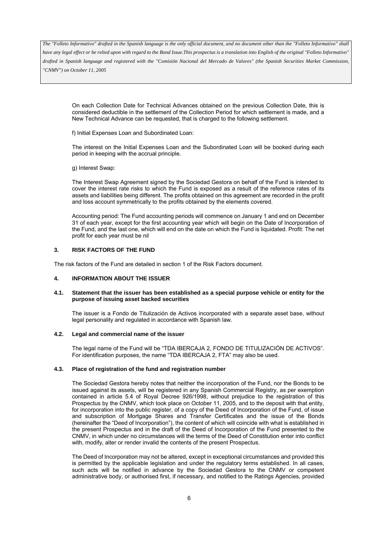*have any legal effect or be relied upon with regard to the Bond Issue.This prospectus is a translation into English of the original "Folleto Informativo" drafted in Spanish language and registered with the "Comisión Nacional del Mercado de Valores" (the Spanish Securities Market Commission, "CNMV") on October 11, 2005*

On each Collection Date for Technical Advances obtained on the previous Collection Date, this is considered deductible in the settlement of the Collection Period for which settlement is made, and a New Technical Advance can be requested, that is charged to the following settlement.

f) Initial Expenses Loan and Subordinated Loan:

The interest on the Initial Expenses Loan and the Subordinated Loan will be booked during each period in keeping with the accrual principle.

g) Interest Swap:

The Interest Swap Agreement signed by the Sociedad Gestora on behalf of the Fund is intended to cover the interest rate risks to which the Fund is exposed as a result of the reference rates of its assets and liabilities being different. The profits obtained on this agreement are recorded in the profit and loss account symmetrically to the profits obtained by the elements covered.

Accounting period: The Fund accounting periods will commence on January 1 and end on December 31 of each year, except for the first accounting year which will begin on the Date of Incorporation of the Fund, and the last one, which will end on the date on which the Fund is liquidated. Profit: The net profit for each year must be nil

### **3. RISK FACTORS OF THE FUND**

The risk factors of the Fund are detailed in section 1 of the Risk Factors document.

### **4. INFORMATION ABOUT THE ISSUER**

#### **4.1. Statement that the issuer has been established as a special purpose vehicle or entity for the purpose of issuing asset backed securities**

The issuer is a Fondo de Titulización de Activos incorporated with a separate asset base, without legal personality and regulated in accordance with Spanish law.

#### **4.2. Legal and commercial name of the issuer**

The legal name of the Fund will be "TDA IBERCAJA 2, FONDO DE TITULIZACIÓN DE ACTIVOS". For identification purposes, the name "TDA IBERCAJA 2, FTA" may also be used.

#### **4.3. Place of registration of the fund and registration number**

The Sociedad Gestora hereby notes that neither the incorporation of the Fund, nor the Bonds to be issued against its assets, will be registered in any Spanish Commercial Registry, as per exemption contained in article 5.4 of Royal Decree 926/1998, without prejudice to the registration of this Prospectus by the CNMV, which took place on October 11, 2005, and to the deposit with that entity, for incorporation into the public register, of a copy of the Deed of Incorporation of the Fund, of issue and subscription of Mortgage Shares and Transfer Certificates and the issue of the Bonds (hereinafter the "Deed of Incorporation"), the content of which will coincide with what is established in the present Prospectus and in the draft of the Deed of Incorporation of the Fund presented to the CNMV, in which under no circumstances will the terms of the Deed of Constitution enter into conflict with, modify, alter or render invalid the contents of the present Prospectus.

The Deed of Incorporation may not be altered, except in exceptional circumstances and provided this is permitted by the applicable legislation and under the regulatory terms established. In all cases, such acts will be notified in advance by the Sociedad Gestora to the CNMV or competent administrative body, or authorised first, if necessary, and notified to the Ratings Agencies, provided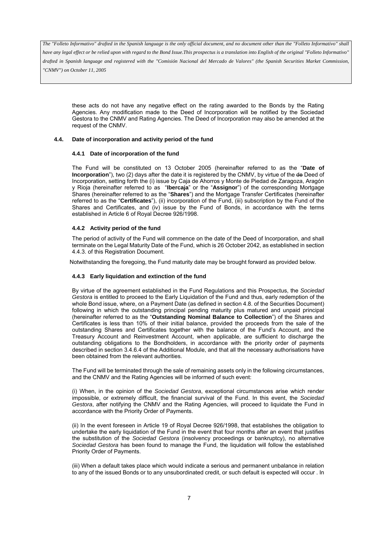*have any legal effect or be relied upon with regard to the Bond Issue.This prospectus is a translation into English of the original "Folleto Informativo" drafted in Spanish language and registered with the "Comisión Nacional del Mercado de Valores" (the Spanish Securities Market Commission,* 

*"CNMV") on October 11, 2005*

these acts do not have any negative effect on the rating awarded to the Bonds by the Rating Agencies. Any modification made to the Deed of Incorporation will be notified by the Sociedad Gestora to the CNMV and Rating Agencies. The Deed of Incorporation may also be amended at the request of the CNMV.

#### **4.4. Date of incorporation and activity period of the fund**

#### **4.4.1 Date of incorporation of the fund**

The Fund will be constituted on 13 October 2005 (hereinafter referred to as the "**Date of Incorporation**"), two (2) days after the date it is registered by the CNMV, by virtue of the de Deed of Incorporation, setting forth the (i) issue by Caja de Ahorros y Monte de Piedad de Zaragoza, Aragón y Rioja (hereinafter referred to as "**Ibercaja**" or the "**Assignor**") of the corresponding Mortgage Shares (hereinafter referred to as the "**Shares**") and the Mortgage Transfer Certificates (hereinafter referred to as the "**Certificates**"), (ii) incorporation of the Fund, (iii) subscription by the Fund of the Shares and Certificates, and (iv) issue by the Fund of Bonds, in accordance with the terms established in Article 6 of Royal Decree 926/1998.

### **4.4.2 Activity period of the fund**

 The period of activity of the Fund will commence on the date of the Deed of Incorporation, and shall terminate on the Legal Maturity Date of the Fund, which is 26 October 2042, as established in section 4.4.3. of this Registration Document.

Notwithstanding the foregoing, the Fund maturity date may be brought forward as provided below.

#### **4.4.3 Early liquidation and extinction of the fund**

By virtue of the agreement established in the Fund Regulations and this Prospectus, the *Sociedad Gestora* is entitled to proceed to the Early Liquidation of the Fund and thus, early redemption of the whole Bond issue, where, on a Payment Date (as defined in section 4.8. of the Securities Document) following in which the outstanding principal pending maturity plus matured and unpaid principal (hereinafter referred to as the "**Outstanding Nominal Balance to Collection**") of the Shares and Certificates is less than 10% of their initial balance, provided the proceeds from the sale of the outstanding Shares and Certificates together with the balance of the Fund's Account, and the Treasury Account and Reinvestment Account, when applicable, are sufficient to discharge the outstanding obligations to the Bondholders, in accordance with the priority order of payments described in section 3.4.6.4 of the Additional Module, and that all the necessary authorisations have been obtained from the relevant authorities.

The Fund will be terminated through the sale of remaining assets only in the following circumstances, and the CNMV and the Rating Agencies will be informed of such event:

(i) When, in the opinion of the *Sociedad Gestora*, exceptional circumstances arise which render impossible, or extremely difficult, the financial survival of the Fund. In this event, the *Sociedad Gestora*, after notifying the CNMV and the Rating Agencies, will proceed to liquidate the Fund in accordance with the Priority Order of Payments.

(ii) In the event foreseen in Article 19 of Royal Decree 926/1998, that establishes the obligation to undertake the early liquidation of the Fund in the event that four months after an event that justifies the substitution of the *Sociedad Gestora* (insolvency proceedings or bankruptcy), no alternative *Sociedad Gestora* has been found to manage the Fund, the liquidation will follow the established Priority Order of Payments.

(iii) When a default takes place which would indicate a serious and permanent unbalance in relation to any of the issued Bonds or to any unsubordinated credit, or such default is expected will occur . In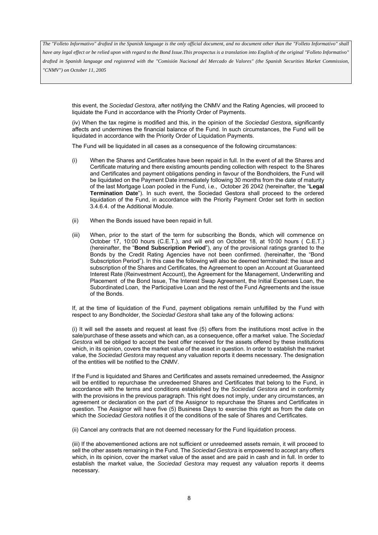*have any legal effect or be relied upon with regard to the Bond Issue.This prospectus is a translation into English of the original "Folleto Informativo" drafted in Spanish language and registered with the "Comisión Nacional del Mercado de Valores" (the Spanish Securities Market Commission, "CNMV") on October 11, 2005*

this event, the *Sociedad Gestora*, after notifying the CNMV and the Rating Agencies, will proceed to liquidate the Fund in accordance with the Priority Order of Payments.

(iv) When the tax regime is modified and this, in the opinion of the *Sociedad Gestora*, significantly affects and undermines the financial balance of the Fund. In such circumstances, the Fund will be liquidated in accordance with the Priority Order of Liquidation Payments.

The Fund will be liquidated in all cases as a consequence of the following circumstances:

- (i) When the Shares and Certificates have been repaid in full. In the event of all the Shares and Certificate maturing and there existing amounts pending collection with respect to the Shares and Certificates and payment obligations pending in favour of the Bondholders, the Fund will be liquidated on the Payment Date immediately following 30 months from the date of maturity of the last Mortgage Loan pooled in the Fund, i.e., October 26 2042 (hereinafter, the "**Legal Termination Date**"). In such event, the Sociedad Gestora shall proceed to the ordered liquidation of the Fund, in accordance with the Priority Payment Order set forth in section 3.4.6.4. of the Additional Module.
- (ii) When the Bonds issued have been repaid in full.
- (iii) When, prior to the start of the term for subscribing the Bonds, which will commence on October 17, 10:00 hours (C.E.T.), and will end on October 18, at 10:00 hours ( C.E.T.) (hereinafter, the "**Bond Subscription Period**"), any of the provisional ratings granted to the Bonds by the Credit Rating Agencies have not been confirmed. (hereinafter, the "Bond Subscription Period"). In this case the following will also be deemed terminated: the issue and subscription of the Shares and Certificates, the Agreement to open an Account at Guaranteed Interest Rate (Reinvestment Account), the Agreement for the Management, Underwriting and Placement of the Bond Issue, The Interest Swap Agreement, the Initial Expenses Loan, the Subordinated Loan, the Participative Loan and the rest of the Fund Agreements and the issue of the Bonds.

If, at the time of liquidation of the Fund, payment obligations remain unfulfilled by the Fund with respect to any Bondholder, the *Sociedad Gestora* shall take any of the following actions*:*

(i) It will sell the assets and request at least five (5) offers from the institutions most active in the sale/purchase of these assets and which can, as a consequence, offer a market value. The *Sociedad Gestora* will be obliged to accept the best offer received for the assets offered by these institutions which, in its opinion, covers the market value of the asset in question. In order to establish the market value, the *Sociedad Gestora* may request any valuation reports it deems necessary. The designation of the entities will be notified to the CNMV.

If the Fund is liquidated and Shares and Certificates and assets remained unredeemed, the Assignor will be entitled to repurchase the unredeemed Shares and Certificates that belong to the Fund, in accordance with the terms and conditions established by the *Sociedad Gestora* and in conformity with the provisions in the previous paragraph. This right does not imply, under any circumstances, an agreement or declaration on the part of the Assignor to repurchase the Shares and Certificates in question. The Assignor will have five (5) Business Days to exercise this right as from the date on which the *Sociedad Gestora* notifies it of the conditions of the sale of Shares and Certificates.

(ii) Cancel any contracts that are not deemed necessary for the Fund liquidation process.

(iii) If the abovementioned actions are not sufficient or unredeemed assets remain, it will proceed to sell the other assets remaining in the Fund. The *Sociedad Gestora* is empowered to accept any offers which, in its opinion, cover the market value of the asset and are paid in cash and in full. In order to establish the market value, the *Sociedad Gestora* may request any valuation reports it deems necessary.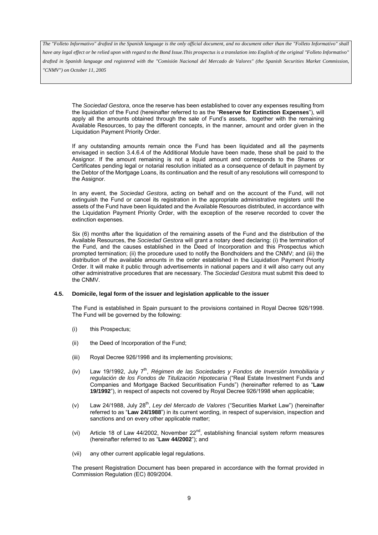*have any legal effect or be relied upon with regard to the Bond Issue.This prospectus is a translation into English of the original "Folleto Informativo" drafted in Spanish language and registered with the "Comisión Nacional del Mercado de Valores" (the Spanish Securities Market Commission, "CNMV") on October 11, 2005*

The *Sociedad Gestora*, once the reserve has been established to cover any expenses resulting from the liquidation of the Fund (hereinafter referred to as the "**Reserve for Extinction Expenses**"), will apply all the amounts obtained through the sale of Fund's assets, together with the remaining Available Resources, to pay the different concepts, in the manner, amount and order given in the Liquidation Payment Priority Order.

If any outstanding amounts remain once the Fund has been liquidated and all the payments envisaged in section 3.4.6.4 of the Additional Module have been made, these shall be paid to the Assignor. If the amount remaining is not a liquid amount and corresponds to the Shares or Certificates pending legal or notarial resolution initiated as a consequence of default in payment by the Debtor of the Mortgage Loans, its continuation and the result of any resolutions will correspond to the Assignor.

In any event, the *Sociedad Gestora*, acting on behalf and on the account of the Fund, will not extinguish the Fund or cancel its registration in the appropriate administrative registers until the assets of the Fund have been liquidated and the Available Resources distributed, in accordance with the Liquidation Payment Priority Order, with the exception of the reserve recorded to cover the extinction expenses.

Six (6) months after the liquidation of the remaining assets of the Fund and the distribution of the Available Resources, the *Sociedad Gestora* will grant a notary deed declaring: (i) the termination of the Fund, and the causes established in the Deed of Incorporation and this Prospectus which prompted termination; (ii) the procedure used to notify the Bondholders and the CNMV; and (iii) the distribution of the available amounts in the order established in the Liquidation Payment Priority Order. It will make it public through advertisements in national papers and it will also carry out any other administrative procedures that are necessary. The *Sociedad Gestora* must submit this deed to the CNMV.

#### **4.5. Domicile, legal form of the issuer and legislation applicable to the issuer**

The Fund is established in Spain pursuant to the provisions contained in Royal Decree 926/1998. The Fund will be governed by the following:

- (i) this Prospectus;
- (ii) the Deed of Incorporation of the Fund;
- (iii) Royal Decree 926/1998 and its implementing provisions;
- (iv) Law 19/1992, July 7<sup>th</sup>, *Régimen de las Sociedades y Fondos de Inversión Inmobiliaria y regulación de los Fondos de Titulización Hipotecaria* ("Real Estate Investment Funds and Companies and Mortgage Backed Securitisation Funds") (hereinafter referred to as "**Law 19/1992**"), in respect of aspects not covered by Royal Decree 926/1998 when applicable;
- (v) Law 24/1988, July 28th, *Ley del Mercado de Valores* ("Securities Market Law") (hereinafter referred to as "**Law 24/1988**") in its current wording, in respect of supervision, inspection and sanctions and on every other applicable matter;
- (vi) Article 18 of Law 44/2002, November  $22<sup>nd</sup>$ , establishing financial system reform measures (hereinafter referred to as "**Law 44/2002**"); and
- (vii) any other current applicable legal regulations.

The present Registration Document has been prepared in accordance with the format provided in Commission Regulation (EC) 809/2004.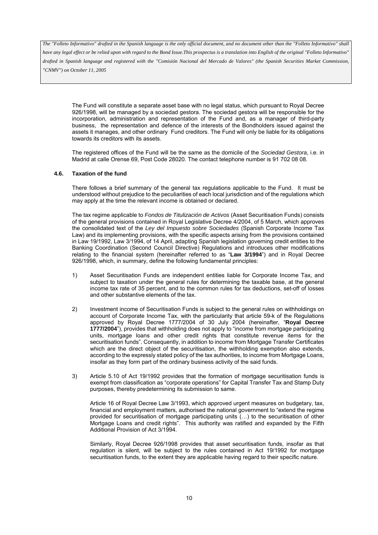*have any legal effect or be relied upon with regard to the Bond Issue.This prospectus is a translation into English of the original "Folleto Informativo" drafted in Spanish language and registered with the "Comisión Nacional del Mercado de Valores" (the Spanish Securities Market Commission, "CNMV") on October 11, 2005*

The Fund will constitute a separate asset base with no legal status, which pursuant to Royal Decree 926/1998, will be managed by a sociedad gestora. The sociedad gestora will be responsible for the incorporation, administration and representation of the Fund and, as a manager of third-party business, the representation and defence of the interests of the Bondholders issued against the assets it manages, and other ordinary Fund creditors. The Fund will only be liable for its obligations towards its creditors with its assets.

The registered offices of the Fund will be the same as the domicile of the *Sociedad Gestora*, i.e. in Madrid at calle Orense 69, Post Code 28020. The contact telephone number is 91 702 08 08.

#### **4.6. Taxation of the fund**

There follows a brief summary of the general tax regulations applicable to the Fund. It must be understood without prejudice to the peculiarities of each local jurisdiction and of the regulations which may apply at the time the relevant income is obtained or declared.

The tax regime applicable to *Fondos de Titulización de Activos* (Asset Securitisation Funds) consists of the general provisions contained in Royal Legislative Decree 4/2004, of 5 March, which approves the consolidated text of the *Ley del Impuesto sobre Sociedades* (Spanish Corporate Income Tax Law) and its implementing provisions, with the specific aspects arising from the provisions contained in Law 19/1992, Law 3/1994, of 14 April, adapting Spanish legislation governing credit entities to the Banking Coordination (Second Council Directive) Regulations and introduces other modifications relating to the financial system (hereinafter referred to as "**Law 3/1994**") and in Royal Decree 926/1998, which, in summary, define the following fundamental principles:

- 1) Asset Securitisation Funds are independent entities liable for Corporate Income Tax, and subject to taxation under the general rules for determining the taxable base, at the general income tax rate of 35 percent, and to the common rules for tax deductions, set-off of losses and other substantive elements of the tax.
- 2) Investment income of Securitisation Funds is subject to the general rules on withholdings on account of Corporate Income Tax, with the particularity that article 59-k of the Regulations approved by Royal Decree 1777/2004 of 30 July 2004 (hereinafter, "**Royal Decree 1777/2004**"), provides that withholding does not apply to "income from mortgage participating units, mortgage loans and other credit rights that constitute revenue items for the securitisation funds". Consequently, in addition to income from Mortgage Transfer Certificates which are the direct object of the securitisation, the withholding exemption also extends, according to the expressly stated policy of the tax authorities, to income from Mortgage Loans, insofar as they form part of the ordinary business activity of the said funds.
- 3) Article 5.10 of Act 19/1992 provides that the formation of mortgage securitisation funds is exempt from classification as "corporate operations" for Capital Transfer Tax and Stamp Duty purposes, thereby predetermining its submission to same.

Article 16 of Royal Decree Law 3/1993, which approved urgent measures on budgetary, tax, financial and employment matters, authorised the national government to "extend the regime provided for securitisation of mortgage participating units (…) to the securitisation of other Mortgage Loans and credit rights". This authority was ratified and expanded by the Fifth Additional Provision of Act 3/1994.

Similarly, Royal Decree 926/1998 provides that asset securitisation funds, insofar as that regulation is silent, will be subject to the rules contained in Act 19/1992 for mortgage securitisation funds, to the extent they are applicable having regard to their specific nature.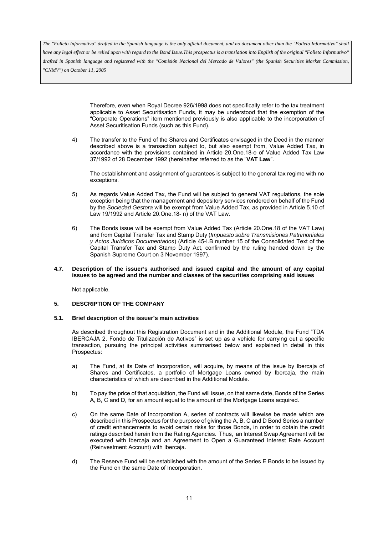*have any legal effect or be relied upon with regard to the Bond Issue.This prospectus is a translation into English of the original "Folleto Informativo" drafted in Spanish language and registered with the "Comisión Nacional del Mercado de Valores" (the Spanish Securities Market Commission, "CNMV") on October 11, 2005*

> Therefore, even when Royal Decree 926/1998 does not specifically refer to the tax treatment applicable to Asset Securitisation Funds, it may be understood that the exemption of the "Corporate Operations" item mentioned previously is also applicable to the incorporation of Asset Securitisation Funds (such as this Fund).

4) The transfer to the Fund of the Shares and Certificates envisaged in the Deed in the manner described above is a transaction subject to, but also exempt from, Value Added Tax, in accordance with the provisions contained in Article 20.One.18-e of Value Added Tax Law 37/1992 of 28 December 1992 (hereinafter referred to as the "**VAT Law**".

The establishment and assignment of guarantees is subject to the general tax regime with no exceptions.

- 5) As regards Value Added Tax, the Fund will be subject to general VAT regulations, the sole exception being that the management and depository services rendered on behalf of the Fund by the *Sociedad Gestora* will be exempt from Value Added Tax, as provided in Article 5.10 of Law 19/1992 and Article 20.One.18- n) of the VAT Law.
- 6) The Bonds issue will be exempt from Value Added Tax (Article 20.One.18 of the VAT Law) and from Capital Transfer Tax and Stamp Duty (*Impuesto sobre Transmisiones Patrimoniales y Actos Jurídicos Documentados*) (Article 45-I.B number 15 of the Consolidated Text of the Capital Transfer Tax and Stamp Duty Act, confirmed by the ruling handed down by the Spanish Supreme Court on 3 November 1997).

#### **4.7. Description of the issuer's authorised and issued capital and the amount of any capital issues to be agreed and the number and classes of the securities comprising said issues**

Not applicable.

# **5. DESCRIPTION OF THE COMPANY**

#### **5.1. Brief description of the issuer's main activities**

As described throughout this Registration Document and in the Additional Module, the Fund "TDA IBERCAJA 2, Fondo de Titulización de Activos" is set up as a vehicle for carrying out a specific transaction, pursuing the principal activities summarised below and explained in detail in this Prospectus:

- a) The Fund, at its Date of Incorporation, will acquire, by means of the issue by Ibercaja of Shares and Certificates, a portfolio of Mortgage Loans owned by Ibercaja, the main characteristics of which are described in the Additional Module.
- b) To pay the price of that acquisition, the Fund will issue, on that same date, Bonds of the Series A, B, C and D, for an amount equal to the amount of the Mortgage Loans acquired.
- c) On the same Date of Incorporation A, series of contracts will likewise be made which are described in this Prospectus for the purpose of giving the A, B, C and D Bond Series a number of credit enhancements to avoid certain risks for those Bonds, in order to obtain the credit ratings described herein from the Rating Agencies. Thus, an Interest Swap Agreement will be executed with Ibercaja and an Agreement to Open a Guaranteed Interest Rate Account (Reinvestment Account) with Ibercaja.
- d) The Reserve Fund will be established with the amount of the Series E Bonds to be issued by the Fund on the same Date of Incorporation.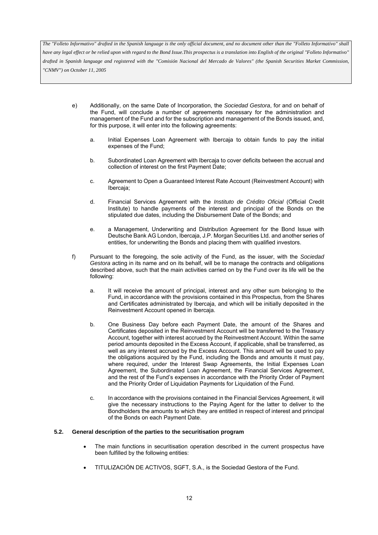*have any legal effect or be relied upon with regard to the Bond Issue.This prospectus is a translation into English of the original "Folleto Informativo" drafted in Spanish language and registered with the "Comisión Nacional del Mercado de Valores" (the Spanish Securities Market Commission, "CNMV") on October 11, 2005*

- e) Additionally, on the same Date of Incorporation, the *Sociedad Gestora*, for and on behalf of the Fund, will conclude a number of agreements necessary for the administration and management of the Fund and for the subscription and management of the Bonds issued, and, for this purpose, it will enter into the following agreements:
	- a. Initial Expenses Loan Agreement with Ibercaja to obtain funds to pay the initial expenses of the Fund;
	- b. Subordinated Loan Agreement with Ibercaja to cover deficits between the accrual and collection of interest on the first Payment Date;
	- c. Agreement to Open a Guaranteed Interest Rate Account (Reinvestment Account) with Ibercaja;
	- d. Financial Services Agreement with the *Instituto de Crédito Oficial* (Official Credit Institute) to handle payments of the interest and principal of the Bonds on the stipulated due dates, including the Disbursement Date of the Bonds; and
	- e. a Management, Underwriting and Distribution Agreement for the Bond Issue with Deutsche Bank AG London, Ibercaja, J.P. Morgan Securities Ltd. and another series of entities, for underwriting the Bonds and placing them with qualified investors.
- f) Pursuant to the foregoing, the sole activity of the Fund, as the issuer, with the *Sociedad Gestora* acting in its name and on its behalf, will be to manage the contracts and obligations described above, such that the main activities carried on by the Fund over its life will be the following:
	- a. It will receive the amount of principal, interest and any other sum belonging to the Fund, in accordance with the provisions contained in this Prospectus, from the Shares and Certificates administrated by Ibercaja, and which will be initially deposited in the Reinvestment Account opened in Ibercaja.
	- b. One Business Day before each Payment Date, the amount of the Shares and Certificates deposited in the Reinvestment Account will be transferred to the Treasury Account, together with interest accrued by the Reinvestment Account. Within the same period amounts deposited in the Excess Account, if applicable, shall be transferred, as well as any interest accrued by the Excess Account. This amount will be used to pay the obligations acquired by the Fund, including the Bonds and amounts it must pay, where required, under the Interest Swap Agreements, the Initial Expenses Loan Agreement, the Subordinated Loan Agreement, the Financial Services Agreement, and the rest of the Fund's expenses in accordance with the Priority Order of Payment and the Priority Order of Liquidation Payments for Liquidation of the Fund.
	- c. In accordance with the provisions contained in the Financial Services Agreement, it will give the necessary instructions to the Paying Agent for the latter to deliver to the Bondholders the amounts to which they are entitled in respect of interest and principal of the Bonds on each Payment Date.

#### **5.2. General description of the parties to the securitisation program**

- The main functions in securitisation operation described in the current prospectus have been fulfilled by the following entities:
- TITULIZACIÓN DE ACTIVOS, SGFT, S.A., is the Sociedad Gestora of the Fund.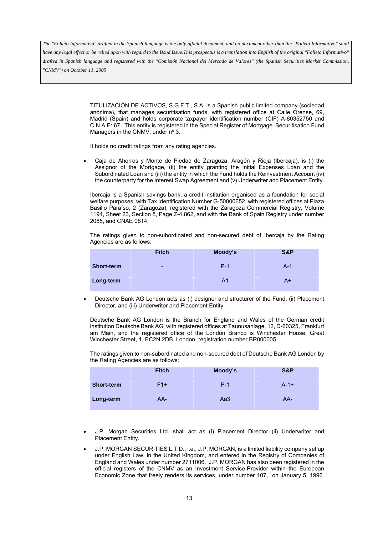*have any legal effect or be relied upon with regard to the Bond Issue.This prospectus is a translation into English of the original "Folleto Informativo" drafted in Spanish language and registered with the "Comisión Nacional del Mercado de Valores" (the Spanish Securities Market Commission, "CNMV") on October 11, 2005*

> TITULIZACIÓN DE ACTIVOS, S.G.F.T., S.A. is a Spanish public limited company (sociedad anónima), that manages securitisation funds, with registered office at Calle Orense, 69, Madrid (Spain) and holds corporate taxpayer identification number (CIF) A-80352750 and C.N.A.E: 67. This entity is registered in the Special Register of Mortgage Securitisation Fund Managers in the CNMV, under n° 3.

It holds no credit ratings from any rating agencies.

• Caja de Ahorros y Monte de Piedad de Zaragoza, Aragón y Rioja (Ibercaja), is (i) the Assignor of the Mortgage, (ii) the entity granting the Initial Expenses Loan and the Subordinated Loan and (iii) the entity in which the Fund holds the Reinvestment Account (iv) the counterparty for the Interest Swap Agreement and (v) Underwriter and Placement Entity.

Ibercaja is a Spanish savings bank, a credit institution organised as a foundation for social welfare purposes, with Tax Identification Number G-50000652, with registered offices at Plaza Basilio Paraíso, 2 (Zaragoza), registered with the Zaragoza Commercial Registry, Volume 1194, Sheet 23, Section 8, Page Z-4.862, and with the Bank of Spain Registry under number 2085, and CNAE 0814.

The ratings given to non-subordinated and non-secured debt of Ibercaja by the Rating Agencies are as follows:

|                   | <b>Fitch</b> | Moody's        | S&P   |
|-------------------|--------------|----------------|-------|
| <b>Short-term</b> | ۰            | $P-1$          | $A-1$ |
| Long-term         | -            | A <sub>1</sub> | A+    |

• Deutsche Bank AG London acts as (i) designer and structurer of the Fund, (ii) Placement Director, and (iii) Underwriter and Placement Entity.

Deutsche Bank AG London is the Branch for England and Wales of the German credit institution Deutsche Bank AG, with registered offices at Taunusanlage, 12, D-60325, Frankfurt am Main, and the registered office of the London Branco is Winchester House, Great Winchester Street, 1, EC2N 2DB, London, registration number BR000005.

The ratings given to non-subordinated and non-secured debt of Deutsche Bank AG London by the Rating Agencies are as follows:

|                   | <b>Fitch</b> | Moody's | S&P    |
|-------------------|--------------|---------|--------|
| <b>Short-term</b> | $F1+$        | $P-1$   | $A-1+$ |
| Long-term         | $AA-$        | Aa3     | AA-    |

- J.P. Morgan Securities Ltd. shall act as (i) Placement Director (ii) Underwriter and Placement Entity.
- J.P. MORGAN SECURITIES L.T.D., i.e., J.P. MORGAN, is a limited liability company set up under English Law, in the United Kingdom, and entered in the Registry of Companies of England and Wales under number 2711006. J.P. MORGAN has also been registered in the official registers of the CNMV as an Investment Service-Provider within the European Economic Zone that freely renders its services, under number 107, on January 5, 1996.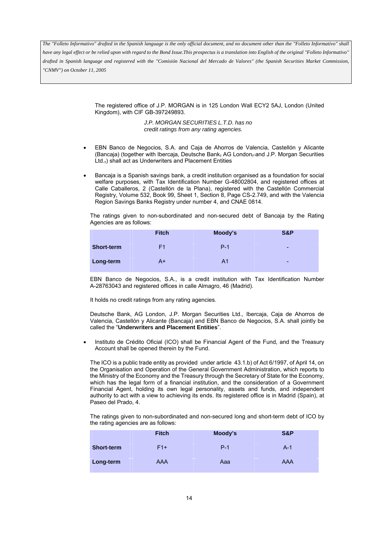*have any legal effect or be relied upon with regard to the Bond Issue.This prospectus is a translation into English of the original "Folleto Informativo" drafted in Spanish language and registered with the "Comisión Nacional del Mercado de Valores" (the Spanish Securities Market Commission, "CNMV") on October 11, 2005*

> The registered office of J.P. MORGAN is in 125 London Wall ECY2 5AJ, London (United Kingdom), with CIF GB-397249893.

> > *J.P. MORGAN SECURITIES L.T.D. has no credit ratings from any rating agencies.*

- EBN Banco de Negocios, S.A. and Caja de Ahorros de Valencia, Castellón y Alicante (Bancaja) (together with Ibercaja, Deutsche Bank, AG London, and J.P. Morgan Securities Ltd.,) shall act as Underwriters and Placement Entities
- Bancaja is a Spanish savings bank, a credit institution organised as a foundation for social welfare purposes, with Tax Identification Number G-48002804, and registered offices at Calle Caballeros, 2 (Castellón de la Plana), registered with the Castellón Commercial Registry, Volume 532, Book 99, Sheet 1, Section 8, Page CS-2.749, and with the Valencia Region Savings Banks Registry under number 4, and CNAE 0814.

The ratings given to non-subordinated and non-secured debt of Bancaja by the Rating Agencies are as follows:

|                   | <b>Fitch</b>   | Moody's | S&P                      |
|-------------------|----------------|---------|--------------------------|
| <b>Short-term</b> | F <sub>1</sub> | $P-1$   | $\overline{\phantom{a}}$ |
| Long-term         | A+             | A1      | $\overline{\phantom{a}}$ |

EBN Banco de Negocios, S.A., is a credit institution with Tax Identification Number A-28763043 and registered offices in calle Almagro, 46 (Madrid).

It holds no credit ratings from any rating agencies.

Deutsche Bank, AG London, J.P. Morgan Securities Ltd., Ibercaja, Caja de Ahorros de Valencia, Castellón y Alicante (Bancaja) and EBN Banco de Negocios, S.A. shall jointly be called the "**Underwriters and Placement Entities**".

• Instituto de Crédito Oficial (ICO) shall be Financial Agent of the Fund, and the Treasury Account shall be opened therein by the Fund.

The ICO is a public trade entity as provided under article 43.1.b) of Act 6/1997, of April 14, on the Organisation and Operation of the General Government Administration, which reports to the Ministry of the Economy and the Treasury through the Secretary of State for the Economy, which has the legal form of a financial institution, and the consideration of a Government Financial Agent, holding its own legal personality, assets and funds, and independent authority to act with a view to achieving its ends. Its registered office is in Madrid (Spain), at Paseo del Prado, 4.

The ratings given to non-subordinated and non-secured long and short-term debt of ICO by the rating agencies are as follows:

|                   | <b>Fitch</b> | Moody's | S&P        |
|-------------------|--------------|---------|------------|
| <b>Short-term</b> | $F1+$        | $P-1$   | $A-1$      |
| Long-term         | <b>AAA</b>   | Aaa     | <b>AAA</b> |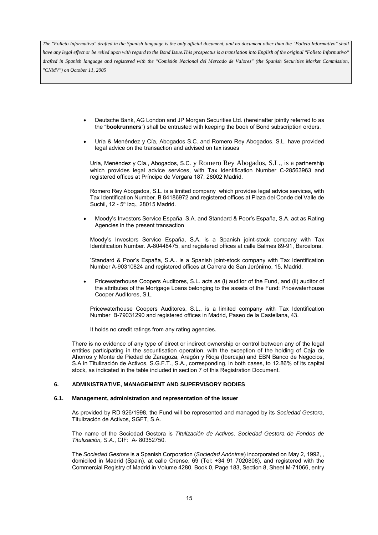*have any legal effect or be relied upon with regard to the Bond Issue.This prospectus is a translation into English of the original "Folleto Informativo" drafted in Spanish language and registered with the "Comisión Nacional del Mercado de Valores" (the Spanish Securities Market Commission, "CNMV") on October 11, 2005*

- Deutsche Bank, AG London and JP Morgan Securities Ltd. (hereinafter jointly referred to as the "**bookrunners***"*) shall be entrusted with keeping the book of Bond subscription orders.
- Uría & Menéndez y Cía, Abogados S.C. and Romero Rey Abogados, S.L. have provided legal advice on the transaction and advised on tax issues

Uría, Menéndez y Cía., Abogados, S.C. y Romero Rey Abogados, S.L., is a partnership which provides legal advice services, with Tax Identification Number C-28563963 and registered offices at Príncipe de Vergara 187, 28002 Madrid.

Romero Rey Abogados, S.L. is a limited company which provides legal advice services, with Tax Identification Number. B 84186972 and registered offices at Plaza del Conde del Valle de Suchil, 12 - 5º Izq., 28015 Madrid.

• Moody's Investors Service España, S.A. and Standard & Poor's España, S.A. act as Rating Agencies in the present transaction

Moody's Investors Service España, S.A. is a Spanish joint-stock company with Tax Identification Number. A-80448475, and registered offices at calle Balmes 89-91, Barcelona.

'Standard & Poor's España, S.A.. is a Spanish joint-stock company with Tax Identification Number A-90310824 and registered offices at Carrera de San Jerónimo, 15, Madrid.

• Pricewaterhouse Coopers Auditores, S.L. acts as (i) auditor of the Fund, and (ii) auditor of the attributes of the Mortgage Loans belonging to the assets of the Fund: Pricewaterhouse Cooper Auditores, S.L.

Pricewaterhouse Coopers Auditores, S.L., is a limited company with Tax Identification Number B-79031290 and registered offices in Madrid, Paseo de la Castellana, 43.

It holds no credit ratings from any rating agencies.

There is no evidence of any type of direct or indirect ownership or control between any of the legal entities participating in the securitisation operation, with the exception of the holding of Caja de Ahorros y Monte de Piedad de Zaragoza, Aragón y Rioja (Ibercaja) and EBN Banco de Negocios, S.A in Titulización de Activos, S.G.F.T., S.A., corresponding, in both cases, to 12.86% of its capital stock, as indicated in the table included in section 7 of this Registration Document.

#### **6. ADMINISTRATIVE, MANAGEMENT AND SUPERVISORY BODIES**

#### **6.1. Management, administration and representation of the issuer**

As provided by RD 926/1998, the Fund will be represented and managed by its *Sociedad Gestora*, Titulización de Activos, SGFT, S.A.

The name of the Sociedad Gestora is *Titulización de Activos, Sociedad Gestora de Fondos de Titulización, S.A.*, CIF: A- 80352750.

The *Sociedad Gestora* is a Spanish Corporation (*Sociedad Anónima*) incorporated on May 2, 1992, , domiciled in Madrid (Spain), at calle Orense, 69 (Tel: +34 91 7020808), and registered with the Commercial Registry of Madrid in Volume 4280, Book 0, Page 183, Section 8, Sheet M-71066, entry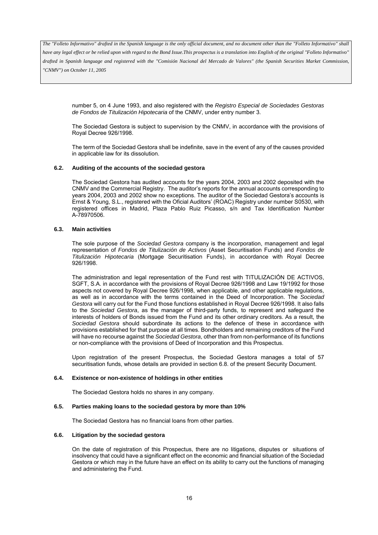*have any legal effect or be relied upon with regard to the Bond Issue.This prospectus is a translation into English of the original "Folleto Informativo" drafted in Spanish language and registered with the "Comisión Nacional del Mercado de Valores" (the Spanish Securities Market Commission, "CNMV") on October 11, 2005*

number 5, on 4 June 1993, and also registered with the *Registro Especial de Sociedades Gestoras de Fondos de Titulización Hipotecaria* of the CNMV, under entry number 3.

The Sociedad Gestora is subject to supervision by the CNMV, in accordance with the provisions of Royal Decree 926/1998.

The term of the Sociedad Gestora shall be indefinite, save in the event of any of the causes provided in applicable law for its dissolution.

#### **6.2. Auditing of the accounts of the sociedad gestora**

The Sociedad Gestora has audited accounts for the years 2004, 2003 and 2002 deposited with the CNMV and the Commercial Registry. The auditor's reports for the annual accounts corresponding to years 2004, 2003 and 2002 show no exceptions. The auditor of the Sociedad Gestora's accounts is Ernst & Young, S.L., registered with the Oficial Auditors' (ROAC) Registry under number S0530, with registered offices in Madrid, Plaza Pablo Ruiz Picasso, s/n and Tax Identification Number A-78970506.

#### **6.3. Main activities**

The sole purpose of the *Sociedad Gestora* company is the incorporation, management and legal representation of *Fondos de Titulización de Activos* (Asset Securitisation Funds) and *Fondos de Titulización Hipotecaria* (Mortgage Securitisation Funds), in accordance with Royal Decree 926/1998.

The administration and legal representation of the Fund rest with TITULIZACIÓN DE ACTIVOS, SGFT, S.A. in accordance with the provisions of Royal Decree 926/1998 and Law 19/1992 for those aspects not covered by Royal Decree 926/1998, when applicable, and other applicable regulations, as well as in accordance with the terms contained in the Deed of Incorporation. The *Sociedad Gestora* will carry out for the Fund those functions established in Royal Decree 926/1998. It also falls to the *Sociedad Gestora*, as the manager of third-party funds, to represent and safeguard the interests of holders of Bonds issued from the Fund and its other ordinary creditors. As a result, the *Sociedad Gestora* should subordinate its actions to the defence of these in accordance with provisions established for that purpose at all times. Bondholders and remaining creditors of the Fund will have no recourse against the *Sociedad Gestora*, other than from non-performance of its functions or non-compliance with the provisions of Deed of Incorporation and this Prospectus.

Upon registration of the present Prospectus, the Sociedad Gestora manages a total of 57 securitisation funds, whose details are provided in section 6.8. of the present Security Document.

#### **6.4. Existence or non-existence of holdings in other entities**

The Sociedad Gestora holds no shares in any company.

#### **6.5. Parties making loans to the sociedad gestora by more than 10%**

The Sociedad Gestora has no financial loans from other parties.

#### **6.6. Litigation by the sociedad gestora**

On the date of registration of this Prospectus, there are no litigations, disputes or situations of insolvency that could have a significant effect on the economic and financial situation of the Sociedad Gestora or which may in the future have an effect on its ability to carry out the functions of managing and administering the Fund.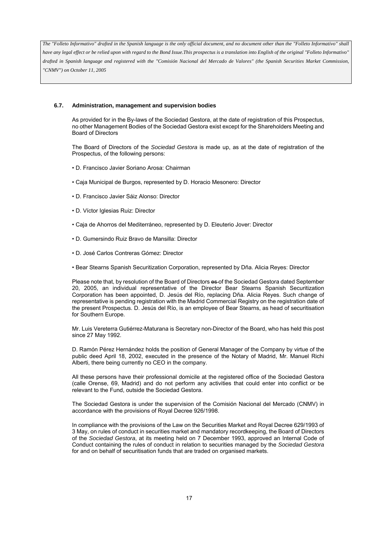### **6.7. Administration, management and supervision bodies**

As provided for in the By-laws of the Sociedad Gestora, at the date of registration of this Prospectus, no other Management Bodies of the Sociedad Gestora exist except for the Shareholders Meeting and Board of Directors

The Board of Directors of the *Sociedad Gestora* is made up, as at the date of registration of the Prospectus, of the following persons:

- D. Francisco Javier Soriano Arosa: Chairman
- Caja Municipal de Burgos, represented by D. Horacio Mesonero: Director
- D. Francisco Javier Sáiz Alonso: Director
- D. Víctor Iglesias Ruiz: Director
- Caja de Ahorros del Mediterráneo, represented by D. Eleuterio Jover: Director
- D. Gumersindo Ruiz Bravo de Mansilla: Director
- D. José Carlos Contreras Gómez: Director
- Bear Stearns Spanish Securitization Corporation, represented by Dña. Alicia Reyes: Director

Please note that, by resolution of the Board of Directors es-of the Sociedad Gestora dated September 20, 2005, an individual representative of the Director Bear Stearns Spanish Securitization Corporation has been appointed, D. Jesús del Río, replacing Dña. Alicia Reyes. Such change of representative is pending registration with the Madrid Commercial Registry on the registration date of the present Prospectus. D. Jesús del Río, is an employee of Bear Stearns, as head of securitisation for Southern Europe.

Mr. Luis Vereterra Gutiérrez-Maturana is Secretary non-Director of the Board, who has held this post since 27 May 1992.

D. Ramón Pérez Hernández holds the position of General Manager of the Company by virtue of the public deed April 18, 2002, executed in the presence of the Notary of Madrid, Mr. Manuel Richi Alberti, there being currently no CEO in the company.

All these persons have their professional domicile at the registered office of the Sociedad Gestora (calle Orense, 69, Madrid) and do not perform any activities that could enter into conflict or be relevant to the Fund, outside the Sociedad Gestora.

The Sociedad Gestora is under the supervision of the Comisión Nacional del Mercado (CNMV) in accordance with the provisions of Royal Decree 926/1998.

In compliance with the provisions of the Law on the Securities Market and Royal Decree 629/1993 of 3 May, on rules of conduct in securities market and mandatory recordkeeping, the Board of Directors of the *Sociedad Gestora*, at its meeting held on 7 December 1993, approved an Internal Code of Conduct containing the rules of conduct in relation to securities managed by the *Sociedad Gestora* for and on behalf of securitisation funds that are traded on organised markets.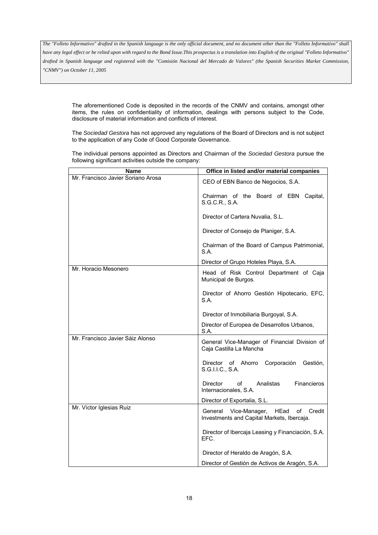*have any legal effect or be relied upon with regard to the Bond Issue.This prospectus is a translation into English of the original "Folleto Informativo" drafted in Spanish language and registered with the "Comisión Nacional del Mercado de Valores" (the Spanish Securities Market Commission, "CNMV") on October 11, 2005*

The aforementioned Code is deposited in the records of the CNMV and contains, amongst other items, the rules on confidentiality of information, dealings with persons subject to the Code, disclosure of material information and conflicts of interest.

The *Sociedad Gestora* has not approved any regulations of the Board of Directors and is not subject to the application of any Code of Good Corporate Governance.

The individual persons appointed as Directors and Chairman of the *Sociedad Gestora* pursue the following significant activities outside the company:

| <b>Name</b>                        | Office in listed and/or material companies                                                     |
|------------------------------------|------------------------------------------------------------------------------------------------|
| Mr. Francisco Javier Soriano Arosa | CEO of EBN Banco de Negocios, S.A.                                                             |
|                                    | Chairman of the Board of EBN Capital,<br>S.G.C.R., S.A.                                        |
|                                    | Director of Cartera Nuvalia, S.L.                                                              |
|                                    | Director of Consejo de Planiger, S.A.                                                          |
|                                    | Chairman of the Board of Campus Patrimonial,<br>S.A.                                           |
|                                    | Director of Grupo Hoteles Playa, S.A.                                                          |
| Mr. Horacio Mesonero               | Head of Risk Control Department of Caja<br>Municipal de Burgos.                                |
|                                    | Director of Ahorro Gestión Hipotecario, EFC,<br>S.A.                                           |
|                                    | Director of Inmobiliaria Burgoyal, S.A.                                                        |
|                                    | Director of Europea de Desarrollos Urbanos,<br>S.A.                                            |
| Mr. Francisco Javier Sáiz Alonso   | General Vice-Manager of Financial Division of<br>Caja Castilla La Mancha                       |
|                                    | Corporación<br>Gestión,<br>Director of Ahorro<br>S.G.I.I.C., S.A.                              |
|                                    | Analistas<br>Financieros<br>Director<br>of<br>Internacionales, S.A.                            |
|                                    | Director of Exportalia, S.L.                                                                   |
| Mr. Víctor Iglesias Ruiz           | General<br>Vice-Manager,<br>HEad<br>οf<br>Credit<br>Investments and Capital Markets, Ibercaja. |
|                                    | Director of Ibercaja Leasing y Financiación, S.A.<br>EFC.                                      |
|                                    | Director of Heraldo de Aragón, S.A.                                                            |
|                                    | Director of Gestión de Activos de Aragón, S.A.                                                 |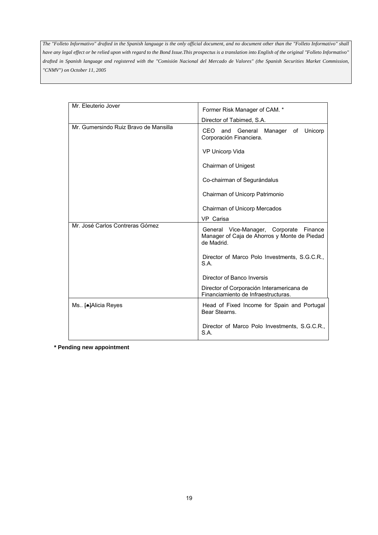| Mr. Eleuterio Jover                   | Former Risk Manager of CAM. *                                                                            |  |
|---------------------------------------|----------------------------------------------------------------------------------------------------------|--|
|                                       | Director of Tabimed, S.A.                                                                                |  |
| Mr. Gumersindo Ruiz Bravo de Mansilla | CEO and<br>Manager of Unicorp<br>General<br>Corporación Financiera.                                      |  |
|                                       | VP Unicorp Vida                                                                                          |  |
|                                       | Chairman of Unigest                                                                                      |  |
|                                       | Co-chairman of Segurándalus                                                                              |  |
|                                       | Chairman of Unicorp Patrimonio                                                                           |  |
|                                       | Chairman of Unicorp Mercados                                                                             |  |
|                                       | VP Carisa                                                                                                |  |
| Mr. José Carlos Contreras Gómez       | General Vice-Manager, Corporate<br>Finance<br>Manager of Caja de Ahorros y Monte de Piedad<br>de Madrid. |  |
|                                       | Director of Marco Polo Investments, S.G.C.R.,<br>S.A.                                                    |  |
|                                       | Director of Banco Inversis                                                                               |  |
|                                       | Director of Corporación Interamericana de<br>Financiamiento de Infraestructuras.                         |  |
| Ms [●]Alicia Reyes                    | Head of Fixed Income for Spain and Portugal<br>Bear Stearns.                                             |  |
|                                       | Director of Marco Polo Investments, S.G.C.R.,<br>S.A.                                                    |  |

**\* Pending new appointment**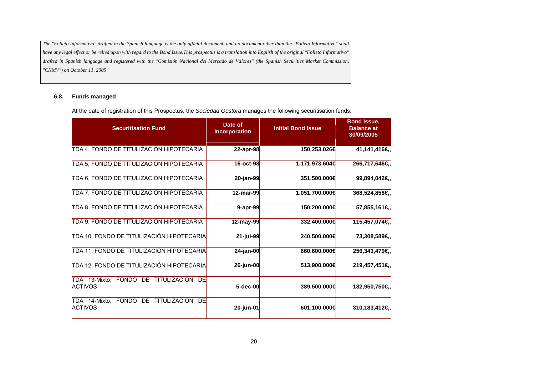# **6.8. Funds managed**

At the date of registration of this Prospectus, the *Sociedad Gestora* manages the following securitisation funds:

| <b>Securitisation Fund</b>                                  | Date of<br><b>Incorporation</b> | <b>Initial Bond Issue</b> | <b>Bond Issue.</b><br><b>Balance at</b><br>30/09/2005 |
|-------------------------------------------------------------|---------------------------------|---------------------------|-------------------------------------------------------|
| TDA 4, FONDO DE TITULIZACIÓN HIPOTECARIA                    | 22-apr-98                       | 150.253.026€              | 41,141,416€,                                          |
| TDA 5, FONDO DE TITULIZACIÓN HIPOTECARIA                    | 16-oct-98                       | 1.171.973.604€            | 266,717,646€,                                         |
| TDA 6, FONDO DE TITULIZACIÓN HIPOTECARIA                    | 20-jan-99                       | 351.500.000€              | 99,894,042€,                                          |
| TDA 7, FONDO DE TITULIZACIÓN HIPOTECARIA                    | 12-mar-99                       | 1.051.700.000€            | 368,524,858€,                                         |
| TDA 8, FONDO DE TITULIZACIÓN HIPOTECARIA                    | $9$ -apr-99                     | 150.200.000€              | 57,855,161€,                                          |
| TDA 9, FONDO DE TITULIZACIÓN HIPOTECARIA                    | 12-may-99                       | 332.400.000€              | 115,457,074€,                                         |
| TDA 10, FONDO DE TITULIZACIÓN HIPOTECARIA                   | 21-jul-99                       | 240.500.000€              | 73,308,589€,                                          |
| TDA 11, FONDO DE TITULIZACIÓN HIPOTECARIA                   | 24-jan-00                       | 660,600,000€              | 256,343,479€,                                         |
| TDA 12, FONDO DE TITULIZACIÓN HIPOTECARIA                   | 26-jun-00                       | 513,900,000€              | 219,457,451€,                                         |
| TDA 13-Mixto, FONDO DE TITULIZACIÓN<br>DE<br><b>ACTIVOS</b> | 5-dec-00                        | 389,500,000€              | 182,950,750€,                                         |
| TDA 14-Mixto, FONDO DE TITULIZACIÓN<br>DE<br><b>ACTIVOS</b> | 20-jun-01                       | 601.100.000€              | 310,183,412€,                                         |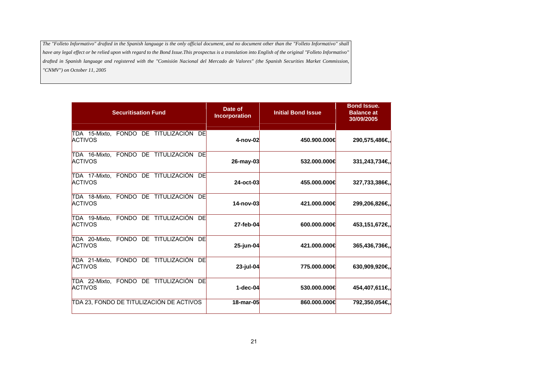| <b>Securitisation Fund</b>                                  | Date of<br><b>Incorporation</b> | <b>Initial Bond Issue</b> | <b>Bond Issue.</b><br><b>Balance at</b><br>30/09/2005 |
|-------------------------------------------------------------|---------------------------------|---------------------------|-------------------------------------------------------|
| TDA 15-Mixto, FONDO DE TITULIZACIÓN DE<br><b>ACTIVOS</b>    | 4-nov-02                        | 450.900.000€              | 290,575,486€,                                         |
| TDA 16-Mixto, FONDO DE TITULIZACIÓN<br>DE<br><b>ACTIVOS</b> | 26-may-03                       | 532,000,000€              | 331,243,734€,                                         |
| TDA 17-Mixto, FONDO DE TITULIZACIÓN<br>DE<br><b>ACTIVOS</b> | 24-oct-03                       | 455,000,000€              | 327,733,386€,                                         |
| TDA 18-Mixto, FONDO DE TITULIZACIÓN<br>DE<br><b>ACTIVOS</b> | 14-nov-03                       | 421.000.000€              | 299,206,826€,                                         |
| TDA 19-Mixto, FONDO DE TITULIZACIÓN<br>DE<br><b>ACTIVOS</b> | 27-feb-04                       | 600,000,000€              | 453,151,672€,                                         |
| TDA 20-Mixto, FONDO DE TITULIZACIÓN<br>DE<br><b>ACTIVOS</b> | 25-jun-04                       | 421.000.000€              | 365,436,736€,                                         |
| TDA 21-Mixto, FONDO DE TITULIZACIÓN<br>DE<br><b>ACTIVOS</b> | 23-jul-04                       | 775.000.000€              | 630,909,920€,                                         |
| TDA 22-Mixto, FONDO DE TITULIZACIÓN<br>DE<br><b>ACTIVOS</b> | $1 - dec-04$                    | 530,000,000€              | 454,407,611€,                                         |
| TDA 23, FONDO DE TITULIZACIÓN DE ACTIVOS                    | 18-mar-05                       | 860,000,000€              | 792,350,054€,                                         |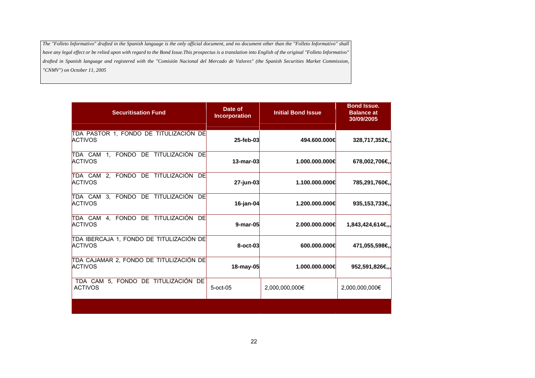| <b>Securitisation Fund</b>                                  | Date of<br><b>Incorporation</b> | <b>Initial Bond Issue</b> | <b>Bond Issue.</b><br><b>Balance at</b><br>30/09/2005 |
|-------------------------------------------------------------|---------------------------------|---------------------------|-------------------------------------------------------|
| TDA PASTOR 1, FONDO DE TITULIZACIÓN DE<br><b>ACTIVOS</b>    | 25-feb-03                       | 494.600.000€              | 328,717,352€,                                         |
| TDA CAM 1, FONDO DE TITULIZACIÓN<br>- DEI<br><b>ACTIVOS</b> | 13-mar-03                       | 1.000.000.000€            | 678,002,706€,                                         |
| TDA CAM 2, FONDO DE TITULIZACIÓN<br>DE<br><b>ACTIVOS</b>    | 27-jun-03                       | 1.100.000.000€            | 785,291,760€,                                         |
| TDA CAM 3, FONDO DE TITULIZACIÓN<br>- DEI<br><b>ACTIVOS</b> | $16$ -jan-04                    | 1.200.000.000€            | 935,153,733€,                                         |
| TDA CAM 4, FONDO DE TITULIZACIÓN DE<br><b>ACTIVOS</b>       | 9-mar-05                        | 2.000.000.000€            | 1,843,424,614€,,                                      |
| TDA IBERCAJA 1, FONDO DE TITULIZACIÓN DE<br><b>ACTIVOS</b>  | 8-oct-03                        | 600.000.000€              | 471,055,598€,                                         |
| TDA CAJAMAR 2, FONDO DE TITULIZACIÓN DE<br><b>ACTIVOS</b>   | 18-may-05                       | 1.000.000.000€            | 952,591,826€,,                                        |
| TDA CAM 5, FONDO DE TITULIZACIÓN DE<br><b>ACTIVOS</b>       | $5$ -oct-05                     | 2,000,000,000€            | 2,000,000,000€                                        |
|                                                             |                                 |                           |                                                       |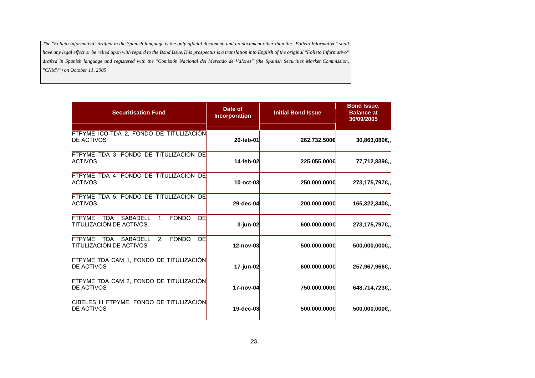| <b>Securitisation Fund</b>                                                        | Date of<br><b>Incorporation</b> | <b>Initial Bond Issue</b> | <b>Bond Issue.</b><br><b>Balance at</b><br>30/09/2005 |
|-----------------------------------------------------------------------------------|---------------------------------|---------------------------|-------------------------------------------------------|
| FTPYME ICO-TDA 2, FONDO DE TITULIZACIÓN<br><b>DE ACTIVOS</b>                      | 20-feb-01                       | 262.732.500€              | 30,863,080€.                                          |
| FTPYME TDA 3, FONDO DE TITULIZACIÓN DE<br><b>ACTIVOS</b>                          | 14-feb-02                       | 225.055.000€              | 77,712,839€,                                          |
| FTPYME TDA 4, FONDO DE TITULIZACIÓN DE<br><b>ACTIVOS</b>                          | 10-oct-03                       | 250,000,000€              | 273,175,797€,                                         |
| FTPYME TDA 5, FONDO DE TITULIZACIÓN DE<br><b>ACTIVOS</b>                          | 29-dec-04                       | 200,000,000€              | 165,322,340€,                                         |
| FTPYME TDA SABADELL<br><b>FONDO</b><br>DE<br>1.<br><b>TITULIZACIÓN DE ACTIVOS</b> | 3-jun-02                        | 600,000,000€              | 273,175,797€,                                         |
| DE<br>FTPYME TDA SABADELL<br>2. FONDO<br><b>TITULIZACIÓN DE ACTIVOS</b>           | 12-nov-03                       | 500,000,000€              | 500,000,000€,                                         |
| FTPYME TDA CAM 1, FONDO DE TITULIZACIÓN<br><b>DE ACTIVOS</b>                      | 17-jun-02                       | 600,000,000€              | 257,967,966€,                                         |
| FTPYME TDA CAM 2, FONDO DE TITULIZACIÓN<br><b>DE ACTIVOS</b>                      | 17-nov-04                       | 750,000,000€              | 648,714,723€,                                         |
| CIBELES III FTPYME, FONDO DE TITULIZACIÓN<br><b>DE ACTIVOS</b>                    | 19-dec-03                       | 500,000,000€              | 500,000,000€,                                         |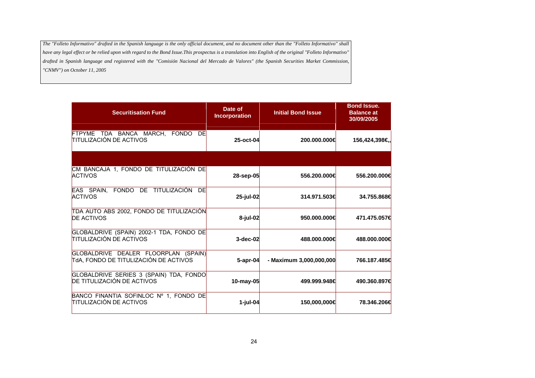| <b>Securitisation Fund</b>                                                    | Date of<br><b>Incorporation</b> | <b>Initial Bond Issue</b> | <b>Bond Issue.</b><br><b>Balance at</b><br>30/09/2005 |
|-------------------------------------------------------------------------------|---------------------------------|---------------------------|-------------------------------------------------------|
| FTPYME TDA BANCA MARCH, FONDO DE<br><b>TITULIZACIÓN DE ACTIVOS</b>            | 25-oct-04                       | 200,000,000€              | 156,424,398€,                                         |
|                                                                               |                                 |                           |                                                       |
| CM BANCAJA 1, FONDO DE TITULIZACIÓN DE<br><b>ACTIVOS</b>                      | 28-sep-05                       | 556.200.000€              | 556,200,000€                                          |
| EAS SPAIN. FONDO DE TITULIZACIÓN<br>DE<br><b>ACTIVOS</b>                      | 25-jul-02                       | 314.971.503€              | 34.755.868€                                           |
| TDA AUTO ABS 2002, FONDO DE TITULIZACIÓN<br><b>DE ACTIVOS</b>                 | 8-jul-02                        | 950,000,000€              | 471.475.057€                                          |
| GLOBALDRIVE (SPAIN) 2002-1 TDA, FONDO DE<br><b>TITULIZACIÓN DE ACTIVOS</b>    | $3-dec-02$                      | 488,000,000€              | 488,000,000€                                          |
| GLOBALDRIVE DEALER FLOORPLAN (SPAIN)<br>TdA, FONDO DE TITULIZACIÓN DE ACTIVOS | $5$ -apr-04                     | - Maximum 3,000,000,000   | 766.187.485€                                          |
| GLOBALDRIVE SERIES 3 (SPAIN) TDA, FONDO<br>DE TITULIZACIÓN DE ACTIVOS         | 10-may-05                       | 499.999.948€              | 490.360.897€                                          |
| BANCO FINANTIA SOFINLOC Nº 1, FONDO DE<br><b>TITULIZACIÓN DE ACTIVOS</b>      | 1-jul-04                        | 150,000,000€              | 78.346.206€                                           |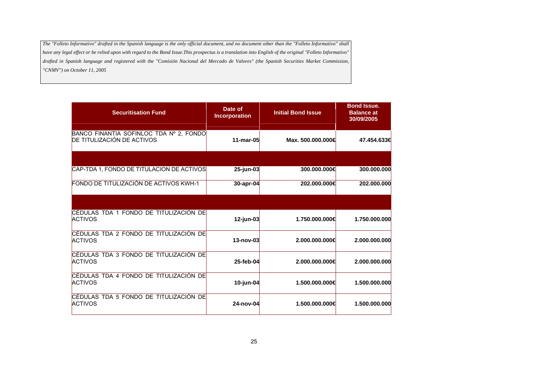| <b>Securitisation Fund</b>                                            | Date of<br><b>Incorporation</b> | <b>Initial Bond Issue</b> | <b>Bond Issue.</b><br><b>Balance at</b><br>30/09/2005 |
|-----------------------------------------------------------------------|---------------------------------|---------------------------|-------------------------------------------------------|
| BANCO FINANTIA SOFINLOC TDA Nº 2, FONDO<br>DE TITULIZACIÓN DE ACTIVOS | 11-mar-05                       | Max. 500.000.000€         | 47.454.633€                                           |
|                                                                       |                                 |                           |                                                       |
| CAP-TDA 1, FONDO DE TITULACION DE ACTIVOS                             | 25-jun-03                       | 300,000,000€              | 300.000.000                                           |
| FONDO DE TITULIZACIÓN DE ACTIVOS KWH-1                                | 30-apr-04                       | 202.000.000€              | 202.000.000                                           |
|                                                                       |                                 |                           |                                                       |
| CÉDULAS TDA 1 FONDO DE TITULIZACIÓN DE<br><b>ACTIVOS</b>              | $12$ -jun-03                    | 1.750.000.000€            | 1.750.000.000                                         |
| CÉDULAS TDA 2 FONDO DE TITULIZACIÓN DE<br><b>ACTIVOS</b>              | 13-nov-03                       | 2.000.000.000€            | 2.000.000.000                                         |
| CÉDULAS TDA 3 FONDO DE TITULIZACIÓN DE<br><b>ACTIVOS</b>              | 25-feb-04                       | 2.000.000.000€            | 2.000.000.000                                         |
| CÉDULAS TDA 4 FONDO DE TITULIZACIÓN DE<br><b>ACTIVOS</b>              | $10$ -jun-04                    | 1.500.000.000€            | 1.500.000.000                                         |
| CÉDULAS TDA 5 FONDO DE TITULIZACIÓN DE<br><b>ACTIVOS</b>              | 24-nov-04                       | 1.500.000.000€            | 1.500.000.000                                         |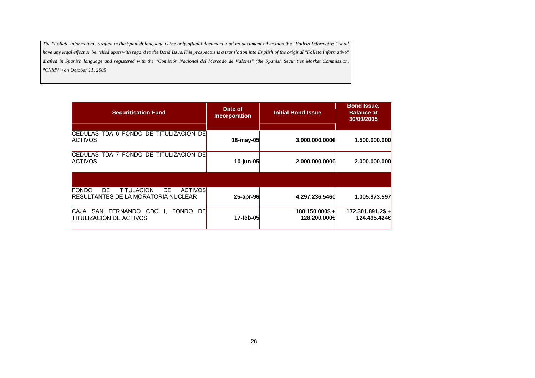| <b>Securitisation Fund</b>                                                                                      | Date of<br><b>Incorporation</b> | <b>Initial Bond Issue</b>          | <b>Bond Issue.</b><br><b>Balance at</b><br>30/09/2005 |
|-----------------------------------------------------------------------------------------------------------------|---------------------------------|------------------------------------|-------------------------------------------------------|
| CÉDULAS TDA 6 FONDO DE TITULIZACIÓN DE<br><b>ACTIVOS</b>                                                        | 18-may-05                       | 3.000.000.000€                     | 1.500.000.000                                         |
| ICÉDULAS TDA 7 FONDO DE TITULIZACIÓN DEI<br><b>ACTIVOS</b>                                                      | 10-jun-05                       | 2.000.000.000€                     | 2.000.000.000                                         |
|                                                                                                                 |                                 |                                    |                                                       |
| <b>ACTIVOS</b><br><b>FONDO</b><br>DE.<br><b>TITULACION</b><br>DE.<br><b>RESULTANTES DE LA MORATORIA NUCLEAR</b> | 25-apr-96                       | 4.297.236.546€                     | 1.005.973.597                                         |
| SAN FERNANDO<br><b>FONDO</b><br>DE<br>CDO<br><b>CAJA</b><br><b>TITULIZACIÓN DE ACTIVOS</b>                      | 17-feb-05                       | $180.150.000$ \$ +<br>128.200.000€ | $172.301.891.2$ \$ +<br>124.495.424€                  |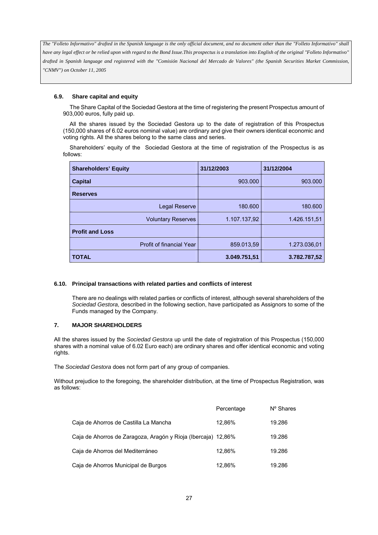### **6.9. Share capital and equity**

The Share Capital of the Sociedad Gestora at the time of registering the present Prospectus amount of 903,000 euros, fully paid up.

All the shares issued by the Sociedad Gestora up to the date of registration of this Prospectus (150,000 shares of 6.02 euros nominal value) are ordinary and give their owners identical economic and voting rights. All the shares belong to the same class and series.

Shareholders' equity of the Sociedad Gestora at the time of registration of the Prospectus is as follows:

| <b>Shareholders' Equity</b> | 31/12/2003   | 31/12/2004   |
|-----------------------------|--------------|--------------|
| <b>Capital</b>              | 903.000      | 903.000      |
| <b>Reserves</b>             |              |              |
| <b>Legal Reserve</b>        | 180,600      | 180,600      |
| <b>Voluntary Reserves</b>   | 1.107.137,92 | 1.426.151,51 |
| <b>Profit and Loss</b>      |              |              |
| Profit of financial Year    | 859.013,59   | 1.273.036,01 |
| <b>TOTAL</b>                | 3.049.751,51 | 3.782.787,52 |

#### **6.10. Principal transactions with related parties and conflicts of interest**

There are no dealings with related parties or conflicts of interest, although several shareholders of the *Sociedad Gestora*, described in the following section, have participated as Assignors to some of the Funds managed by the Company.

### **7. MAJOR SHAREHOLDERS**

All the shares issued by the *Sociedad Gestora* up until the date of registration of this Prospectus (150,000 shares with a nominal value of 6.02 Euro each) are ordinary shares and offer identical economic and voting rights.

The *Sociedad Gestora* does not form part of any group of companies.

Without prejudice to the foregoing, the shareholder distribution, at the time of Prospectus Registration, was as follows:

|                                                               | Percentage | Nº Shares |
|---------------------------------------------------------------|------------|-----------|
| Caja de Ahorros de Castilla La Mancha                         | 12.86%     | 19.286    |
| Caja de Ahorros de Zaragoza, Aragón y Rioja (Ibercaja) 12,86% |            | 19.286    |
| Caja de Ahorros del Mediterráneo                              | 12.86%     | 19.286    |
| Caja de Ahorros Municipal de Burgos                           | 12.86%     | 19.286    |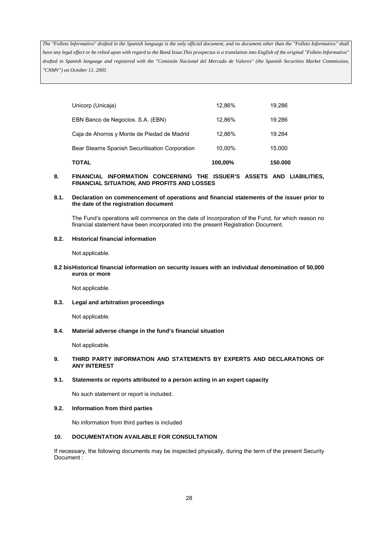| <b>TOTAL</b>                                    | 100,00% | 150,000 |
|-------------------------------------------------|---------|---------|
| Bear Stearns Spanish Securitisation Corporation | 10.00%  | 15.000  |
| Caja de Ahorros y Monte de Piedad de Madrid     | 12.86%  | 19.284  |
| EBN Banco de Negocios. S.A. (EBN)               | 12.86%  | 19.286  |
| Unicorp (Unicaja)                               | 12.86%  | 19.286  |

#### **8. FINANCIAL INFORMATION CONCERNING THE ISSUER'S ASSETS AND LIABILITIES, FINANCIAL SITUATION, AND PROFITS AND LOSSES**

#### **8.1. Declaration on commencement of operations and financial statements of the issuer prior to the date of the registration document**

The Fund's operations will commence on the date of Incorporation of the Fund, for which reason no financial statement have been incorporated into the present Registration Document.

### **8.2. Historical financial information**

Not applicable.

### **8.2 bis Historical financial information on security issues with an individual denomination of 50,000 euros or more**

Not applicable.

### **8.3. Legal and arbitration proceedings**

Not applicable.

#### **8.4. Material adverse change in the fund's financial situation**

Not applicable.

### **9. THIRD PARTY INFORMATION AND STATEMENTS BY EXPERTS AND DECLARATIONS OF ANY INTEREST**

### **9.1. Statements or reports attributed to a person acting in an expert capacity**

No such statement or report is included.

#### **9.2. Information from third parties**

No information from third parties is included

#### **10. DOCUMENTATION AVAILABLE FOR CONSULTATION**

If necessary, the following documents may be inspected physically, during the term of the present Security Document :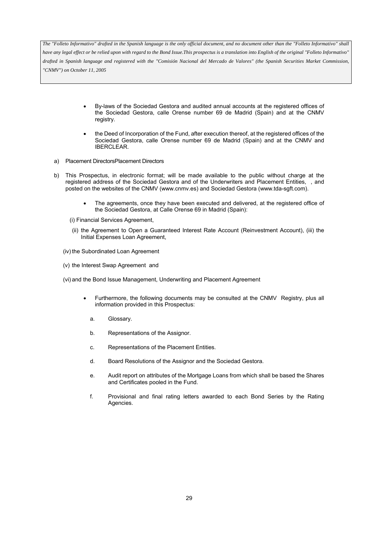- By-laws of the Sociedad Gestora and audited annual accounts at the registered offices of the Sociedad Gestora, calle Orense number 69 de Madrid (Spain) and at the CNMV registry.
- the Deed of Incorporation of the Fund, after execution thereof, at the registered offices of the Sociedad Gestora, calle Orense number 69 de Madrid (Spain) and at the CNMV and IBERCLEAR.
- a) Placement DirectorsPlacement Directors
- b) This Prospectus, in electronic format; will be made available to the public without charge at the registered address of the Sociedad Gestora and of the Underwriters and Placement Entities, , and posted on the websites of the CNMV (www.cnmv.es) and Sociedad Gestora (www.tda-sgft.com).
	- The agreements, once they have been executed and delivered, at the registered office of the Sociedad Gestora, at Calle Orense 69 in Madrid (Spain):
	- (i) Financial Services Agreement,
	- (ii) the Agreement to Open a Guaranteed Interest Rate Account (Reinvestment Account), (iii) the Initial Expenses Loan Agreement,
	- (iv) the Subordinated Loan Agreement
	- (v) the Interest Swap Agreement and
	- (vi) and the Bond Issue Management, Underwriting and Placement Agreement
		- Furthermore, the following documents may be consulted at the CNMV Registry, plus all information provided in this Prospectus:
			- a. Glossary.
			- b. Representations of the Assignor.
			- c. Representations of the Placement Entities.
			- d. Board Resolutions of the Assignor and the Sociedad Gestora.
			- e. Audit report on attributes of the Mortgage Loans from which shall be based the Shares and Certificates pooled in the Fund.
			- f. Provisional and final rating letters awarded to each Bond Series by the Rating Agencies.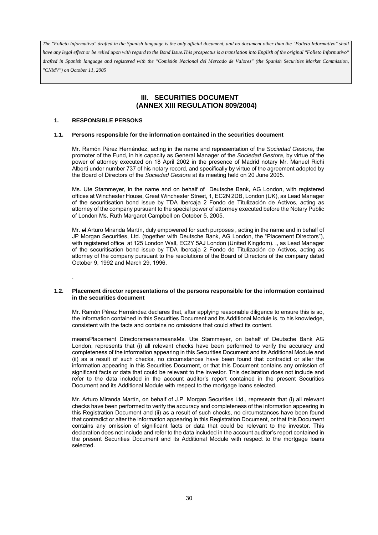*have any legal effect or be relied upon with regard to the Bond Issue.This prospectus is a translation into English of the original "Folleto Informativo" drafted in Spanish language and registered with the "Comisión Nacional del Mercado de Valores" (the Spanish Securities Market Commission, "CNMV") on October 11, 2005*

# **III. SECURITIES DOCUMENT (ANNEX XIII REGULATION 809/2004)**

# **1. RESPONSIBLE PERSONS**

.

#### **1.1. Persons responsible for the information contained in the securities document**

Mr. Ramón Pérez Hernández, acting in the name and representation of the *Sociedad Gestora*, the promoter of the Fund, in his capacity as General Manager of the *Sociedad Gestora*, by virtue of the power of attorney executed on 18 April 2002 in the presence of Madrid notary Mr. Manuel Richi Alberti under number 737 of his notary record, and specifically by virtue of the agreement adopted by the Board of Directors of the *Sociedad Gestora* at its meeting held on 20 June 2005.

Ms. Ute Stammeyer, in the name and on behalf of Deutsche Bank, AG London, with registered offices at Winchester House, Great Winchester Street, 1, EC2N 2DB, London (UK), as Lead Manager of the securitisation bond issue by TDA Ibercaja 2 Fondo de Titulización de Activos, acting as attorney of the company pursuant to the special power of attormey executed before the Notary Public of London Ms. Ruth Margaret Campbell on October 5, 2005.

Mr. el Arturo Miranda Martín, duly empowered for such purposes , acting in the name and in behalf of JP Morgan Securities, Ltd. (together with Deutsche Bank, AG London, the "Placement Directors"), with registered office at 125 London Wall, EC2Y 5AJ London (United Kingdom). ., as Lead Manager of the securitisation bond issue by TDA Ibercaja 2 Fondo de Titulización de Activos, acting as attorney of the company pursuant to the resolutions of the Board of Directors of the company dated October 9, 1992 and March 29, 1996.

#### **1.2. Placement director representations of the persons responsible for the information contained in the securities document**

Mr. Ramón Pérez Hernández declares that, after applying reasonable diligence to ensure this is so, the information contained in this Securities Document and its Additional Module is, to his knowledge, consistent with the facts and contains no omissions that could affect its content.

meansPlacement DirectorsmeansmeansMs. Ute Stammeyer, on behalf of Deutsche Bank AG London, represents that (i) all relevant checks have been performed to verify the accuracy and completeness of the information appearing in this Securities Document and its Additional Module and (ii) as a result of such checks, no circumstances have been found that contradict or alter the information appearing in this Securities Document, or that this Document contains any omission of significant facts or data that could be relevant to the investor. This declaration does not include and refer to the data included in the account auditor's report contained in the present Securities Document and its Additional Module with respect to the mortgage loans selected.

Mr. Arturo Miranda Martín, on behalf of J.P. Morgan Securities Ltd., represents that (i) all relevant checks have been performed to verify the accuracy and completeness of the information appearing in this Registration Document and (ii) as a result of such checks, no circumstances have been found that contradict or alter the information appearing in this Registration Document, or that this Document contains any omission of significant facts or data that could be relevant to the investor. This declaration does not include and refer to the data included in the account auditor's report contained in the present Securities Document and its Additional Module with respect to the mortgage loans selected.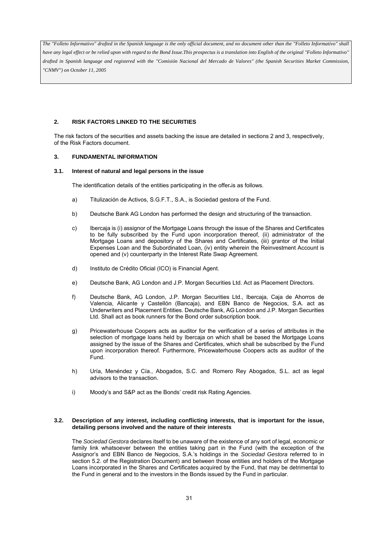# **2. RISK FACTORS LINKED TO THE SECURITIES**

The risk factors of the securities and assets backing the issue are detailed in sections 2 and 3, respectively, of the Risk Factors document.

### **3. FUNDAMENTAL INFORMATION**

#### **3.1. Interest of natural and legal persons in the issue**

The identification details of the entities participating in the offer.is as follows.

- a) Titulización de Activos, S.G.F.T., S.A., is Sociedad gestora of the Fund.
- b) Deutsche Bank AG London has performed the design and structuring of the transaction.
- c) Ibercaja is (i) assignor of the Mortgage Loans through the issue of the Shares and Certificates to be fully subscribed by the Fund upon incorporation thereof, (ii) administrator of the Mortgage Loans and depository of the Shares and Certificates, (iii) grantor of the Initial Expenses Loan and the Subordinated Loan, (iv) entity wherein the Reinvestment Account is opened and (v) counterparty in the Interest Rate Swap Agreement.
- d) Instituto de Crédito Oficial (ICO) is Financial Agent.
- e) Deutsche Bank, AG London and J.P. Morgan Securities Ltd. Act as Placement Directors.
- f) Deutsche Bank, AG London, J.P. Morgan Securities Ltd., Ibercaja, Caja de Ahorros de Valencia, Alicante y Castellón (Bancaja), and EBN Banco de Negocios, S.A. act as Underwriters and Placement Entities. Deutsche Bank, AG London and J.P. Morgan Securities Ltd. Shall act as book runners for the Bond order subscription book.
- g) Pricewaterhouse Coopers acts as auditor for the verification of a series of attributes in the selection of mortgage loans held by Ibercaja on which shall be based the Mortgage Loans assigned by the issue of the Shares and Certificates, which shall be subscribed by the Fund upon incorporation thereof. Furthermore, Pricewaterhouse Coopers acts as auditor of the Fund.
- h) Uría, Menéndez y Cía., Abogados, S.C. and Romero Rey Abogados, S.L. act as legal advisors to the transaction.
- i) Moody's and S&P act as the Bonds' credit risk Rating Agencies.

#### **3.2. Description of any interest, including conflicting interests, that is important for the issue, detailing persons involved and the nature of their interests**

The *Sociedad Gestora* declares itself to be unaware of the existence of any sort of legal, economic or family link whatsoever between the entities taking part in the Fund (with the exception of the Assignor's and EBN Banco de Negocios, S.A.'s holdings in the *Sociedad Gestora* referred to in section 5.2. of the Registration Document) and between those entities and holders of the Mortgage Loans incorporated in the Shares and Certificates acquired by the Fund, that may be detrimental to the Fund in general and to the investors in the Bonds issued by the Fund in particular.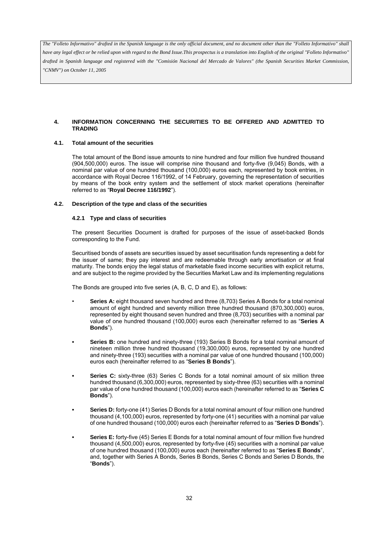*have any legal effect or be relied upon with regard to the Bond Issue.This prospectus is a translation into English of the original "Folleto Informativo" drafted in Spanish language and registered with the "Comisión Nacional del Mercado de Valores" (the Spanish Securities Market Commission, "CNMV") on October 11, 2005*

# **4. INFORMATION CONCERNING THE SECURITIES TO BE OFFERED AND ADMITTED TO TRADING**

# **4.1. Total amount of the securities**

The total amount of the Bond issue amounts to nine hundred and four million five hundred thousand (904,500,000) euros. The issue will comprise nine thousand and forty-five (9,045) Bonds, with a nominal par value of one hundred thousand (100,000) euros each, represented by book entries, in accordance with Royal Decree 116/1992, of 14 February, governing the representation of securities by means of the book entry system and the settlement of stock market operations (hereinafter referred to as "**Royal Decree 116/1992**").

#### **4.2. Description of the type and class of the securities**

#### **4.2.1 Type and class of securities**

The present Securities Document is drafted for purposes of the issue of asset-backed Bonds corresponding to the Fund.

Securitised bonds of assets are securities issued by asset securitisation funds representing a debt for the issuer of same; they pay interest and are redeemable through early amortisation or at final maturity. The bonds enjoy the legal status of marketable fixed income securities with explicit returns, and are subject to the regime provided by the Securities Market Law and its implementing regulations

The Bonds are grouped into five series (A, B, C, D and E), as follows:

- **Series A:** eight thousand seven hundred and three (8,703) Series A Bonds for a total nominal amount of eight hundred and seventy million three hundred thousand (870,300,000) euros, represented by eight thousand seven hundred and three (8,703) securities with a nominal par value of one hundred thousand (100,000) euros each (hereinafter referred to as "**Series A Bonds**").
- **Series B:** one hundred and ninety-three (193) Series B Bonds for a total nominal amount of nineteen million three hundred thousand (19,300,000) euros, represented by one hundred and ninety-three (193) securities with a nominal par value of one hundred thousand (100,000) euros each (hereinafter referred to as "**Series B Bonds**").
- **Series C:** sixty-three (63) Series C Bonds for a total nominal amount of six million three hundred thousand (6,300,000) euros, represented by sixty-three (63) securities with a nominal par value of one hundred thousand (100,000) euros each (hereinafter referred to as "**Series C Bonds**").
- **Series D:** forty-one (41) Series D Bonds for a total nominal amount of four million one hundred thousand (4,100,000) euros, represented by forty-one (41) securities with a nominal par value of one hundred thousand (100,000) euros each (hereinafter referred to as "**Series D Bonds**").
- **Series E:** forty-five (45) Series E Bonds for a total nominal amount of four million five hundred thousand (4,500,000) euros, represented by forty-five (45) securities with a nominal par value of one hundred thousand (100,000) euros each (hereinafter referred to as "**Series E Bonds**", and, together with Series A Bonds, Series B Bonds, Series C Bonds and Series D Bonds, the "**Bonds**").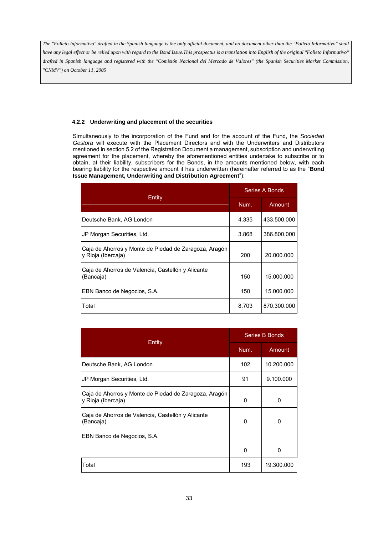*have any legal effect or be relied upon with regard to the Bond Issue.This prospectus is a translation into English of the original "Folleto Informativo" drafted in Spanish language and registered with the "Comisión Nacional del Mercado de Valores" (the Spanish Securities Market Commission, "CNMV") on October 11, 2005*

# **4.2.2 Underwriting and placement of the securities**

Simultaneously to the incorporation of the Fund and for the account of the Fund, the *Sociedad Gestora* will execute with the Placement Directors and with the Underwriters and Distributors mentioned in section 5.2 of the Registration Document a management, subscription and underwriting agreement for the placement, whereby the aforementioned entities undertake to subscribe or to obtain, at their liability, subscribers for the Bonds, in the amounts mentioned below, with each bearing liability for the respective amount it has underwritten (hereinafter referred to as the "**Bond Issue Management, Underwriting and Distribution Agreement**"):

| Entity                                                                      | Series A Bonds |             |
|-----------------------------------------------------------------------------|----------------|-------------|
|                                                                             | Num.           | Amount      |
| Deutsche Bank, AG London                                                    | 4.335          | 433.500.000 |
| JP Morgan Securities, Ltd.                                                  | 3.868          | 386.800.000 |
| Caja de Ahorros y Monte de Piedad de Zaragoza, Aragón<br>y Rioja (Ibercaja) | 200            | 20.000.000  |
| Caja de Ahorros de Valencia, Castellón y Alicante<br>(Bancaja)              | 150            | 15.000.000  |
| EBN Banco de Negocios, S.A.                                                 | 150            | 15.000.000  |
| Total                                                                       | 8.703          | 870.300.000 |

| Entity                                                                      | Series B Bonds |            |  |
|-----------------------------------------------------------------------------|----------------|------------|--|
|                                                                             | Num.           | Amount     |  |
| Deutsche Bank, AG London                                                    | 102            | 10.200.000 |  |
| JP Morgan Securities, Ltd.                                                  | 91             | 9.100.000  |  |
| Caja de Ahorros y Monte de Piedad de Zaragoza, Aragón<br>y Rioja (Ibercaja) | 0              | 0          |  |
| Caja de Ahorros de Valencia, Castellón y Alicante<br>(Bancaja)              | 0              | $\Omega$   |  |
| EBN Banco de Negocios, S.A.                                                 |                |            |  |
|                                                                             | 0              | $\Omega$   |  |
| Total                                                                       | 193            | 19.300.000 |  |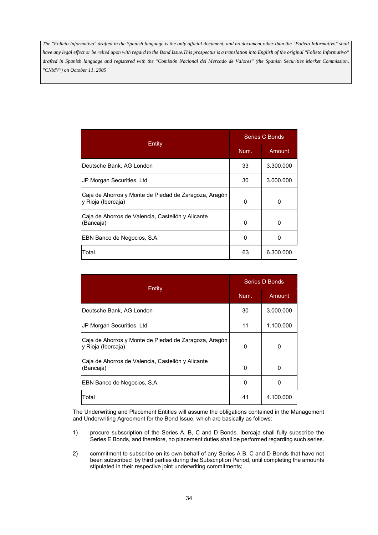|                                                                             | Series C Bonds |           |  |
|-----------------------------------------------------------------------------|----------------|-----------|--|
| Entity                                                                      | Num.           | Amount    |  |
| Deutsche Bank, AG London                                                    | 33             | 3.300.000 |  |
| JP Morgan Securities, Ltd.                                                  | 30             | 3.000.000 |  |
| Caja de Ahorros y Monte de Piedad de Zaragoza, Aragón<br>y Rioja (Ibercaja) | 0              | 0         |  |
| Caja de Ahorros de Valencia, Castellón y Alicante<br>(Bancaja)              | 0              | 0         |  |
| EBN Banco de Negocios, S.A.                                                 | O              | O         |  |
| Total                                                                       | 63             | 6.300.000 |  |

| Entity                                                                      | <b>Series D Bonds</b> |           |  |
|-----------------------------------------------------------------------------|-----------------------|-----------|--|
|                                                                             | Num.                  | Amount    |  |
| Deutsche Bank, AG London                                                    | 30                    | 3.000.000 |  |
| JP Morgan Securities, Ltd.                                                  | 11                    | 1.100.000 |  |
| Caja de Ahorros y Monte de Piedad de Zaragoza, Aragón<br>y Rioja (Ibercaja) | 0                     | 0         |  |
| Caja de Ahorros de Valencia, Castellón y Alicante<br>(Bancaja)              | $\Omega$              | 0         |  |
| EBN Banco de Negocios, S.A.                                                 | O                     | 0         |  |
| Total                                                                       | 41                    | 4.100.000 |  |

The Underwriting and Placement Entities will assume the obligations contained in the Management and Underwriting Agreement for the Bond Issue, which are basically as follows:

- 1) procure subscription of the Series A, B, C and D Bonds. Ibercaja shall fully subscribe the Series E Bonds, and therefore, no placement duties shall be performed regarding such series.
- 2) commitment to subscribe on its own behalf of any Series A B, C and D Bonds that have not been subscribed by third parties during the Subscription Period, until completing the amounts stipulated in their respective joint underwriting commitments;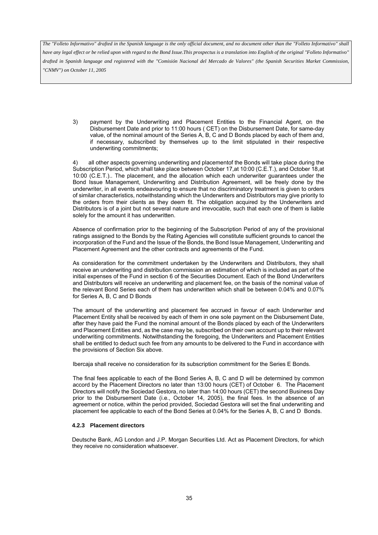*have any legal effect or be relied upon with regard to the Bond Issue.This prospectus is a translation into English of the original "Folleto Informativo" drafted in Spanish language and registered with the "Comisión Nacional del Mercado de Valores" (the Spanish Securities Market Commission, "CNMV") on October 11, 2005*

3) payment by the Underwriting and Placement Entities to the Financial Agent, on the Disbursement Date and prior to 11:00 hours ( CET) on the Disbursement Date, for same-day value, of the nominal amount of the Series A, B, C and D Bonds placed by each of them and, if necessary, subscribed by themselves up to the limit stipulated in their respective underwriting commitments;

4) all other aspects governing underwriting and placementof the Bonds will take place during the Subscription Period, which shall take place between October 17,at 10:00 (C.E.T.), and October 18,at 10:00 (C.E.T.).. The placement, and the allocation which each underwriter guarantees under the Bond Issue Management, Underwriting and Distribution Agreement, will be freely done by the underwriter, in all events endeavouring to ensure that no discriminatory treatment is given to orders of similar characteristics, notwithstanding which the Underwriters and Distributors may give priority to the orders from their clients as they deem fit. The obligation acquired by the Underwriters and Distributors is of a joint but not several nature and irrevocable, such that each one of them is liable solely for the amount it has underwritten.

Absence of confirmation prior to the beginning of the Subscription Period of any of the provisional ratings assigned to the Bonds by the Rating Agencies will constitute sufficient grounds to cancel the incorporation of the Fund and the Issue of the Bonds, the Bond Issue Management, Underwriting and Placement Agreement and the other contracts and agreements of the Fund.

As consideration for the commitment undertaken by the Underwriters and Distributors, they shall receive an underwriting and distribution commission an estimation of which is included as part of the initial expenses of the Fund in section 6 of the Securities Document. Each of the Bond Underwriters and Distributors will receive an underwriting and placement fee, on the basis of the nominal value of the relevant Bond Series each of them has underwritten which shall be between 0.04% and 0.07% for Series A, B, C and D Bonds

The amount of the underwriting and placement fee accrued in favour of each Underwriter and Placement Entity shall be received by each of them in one sole payment on the Disbursement Date, after they have paid the Fund the nominal amount of the Bonds placed by each of the Underwriters and Placement Entities and, as the case may be, subscribed on their own account up to their relevant underwriting commitments. Notwithstanding the foregoing, the Underwriters and Placement Entities shall be entitled to deduct such fee from any amounts to be delivered to the Fund in accordance with the provisions of Section Six above.

Ibercaja shall receive no consideration for its subscription commitment for the Series E Bonds.

The final fees applicable to each of the Bond Series A, B, C and D will be determined by common accord by the Placement Directors no later than 13:00 hours (CET) of October 6. The Placement Directors will notify the Sociedad Gestora, no later than 14:00 hours (CET) the second Business Day prior to the Disbursement Date (i.e., October 14, 2005), the final fees. In the absence of an agreement or notice, within the period provided, Sociedad Gestora will set the final underwriting and placement fee applicable to each of the Bond Series at 0.04% for the Series A, B, C and D Bonds.

#### **4.2.3 Placement directors**

Deutsche Bank, AG London and J.P. Morgan Securities Ltd. Act as Placement Directors, for which they receive no consideration whatsoever.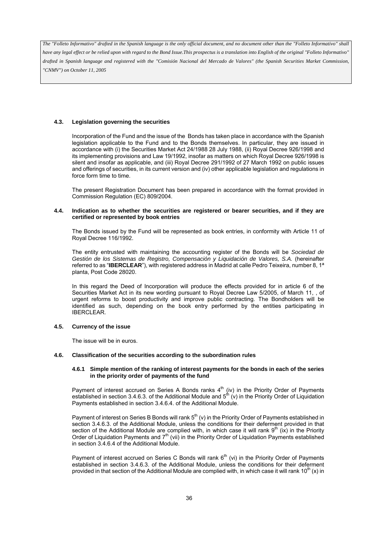*have any legal effect or be relied upon with regard to the Bond Issue.This prospectus is a translation into English of the original "Folleto Informativo" drafted in Spanish language and registered with the "Comisión Nacional del Mercado de Valores" (the Spanish Securities Market Commission, "CNMV") on October 11, 2005*

# **4.3. Legislation governing the securities**

Incorporation of the Fund and the issue of the Bonds has taken place in accordance with the Spanish legislation applicable to the Fund and to the Bonds themselves. In particular, they are issued in accordance with (i) the Securities Market Act 24/1988 28 July 1988, (ii) Royal Decree 926/1998 and its implementing provisions and Law 19/1992, insofar as matters on which Royal Decree 926/1998 is silent and insofar as applicable, and (iii) Royal Decree 291/1992 of 27 March 1992 on public issues and offerings of securities, in its current version and (iv) other applicable legislation and regulations in force form time to time.

The present Registration Document has been prepared in accordance with the format provided in Commission Regulation (EC) 809/2004.

#### **4.4. Indication as to whether the securities are registered or bearer securities, and if they are certified or represented by book entries**

The Bonds issued by the Fund will be represented as book entries, in conformity with Article 11 of Royal Decree 116/1992.

The entity entrusted with maintaining the accounting register of the Bonds will be *Sociedad de Gestión de los Sistemas de Registro, Compensación y Liquidación de Valores, S.A.* (hereinafter referred to as "**IBERCLEAR**"), with registered address in Madrid at calle Pedro Teixeira, number 8, 1ª planta, Post Code 28020.

In this regard the Deed of Incorporation will produce the effects provided for in article 6 of the Securities Market Act in its new wording pursuant to Royal Decree Law 5/2005, of March 11, , of urgent reforms to boost productivity and improve public contracting. The Bondholders will be identified as such, depending on the book entry performed by the entities participating in IBERCLEAR.

#### **4.5. Currency of the issue**

The issue will be in euros.

#### **4.6. Classification of the securities according to the subordination rules**

#### **4.6.1 Simple mention of the ranking of interest payments for the bonds in each of the series in the priority order of payments of the fund**

Payment of interest accrued on Series A Bonds ranks  $4<sup>th</sup>$  (iv) in the Priority Order of Payments established in section 3.4.6.3. of the Additional Module and  $5^{th}$  (v) in the Priority Order of Liquidation Payments established in section 3.4.6.4. of the Additional Module.

Payment of interest on Series B Bonds will rank  $5^{th}$  (v) in the Priority Order of Payments established in section 3.4.6.3. of the Additional Module, unless the conditions for their deferment provided in that section of the Additional Module are complied with, in which case it will rank  $9<sup>th</sup>$  (ix) in the Priority Order of Liquidation Payments and 7<sup>th</sup> (vii) in the Priority Order of Liquidation Payments established in section 3.4.6.4 of the Additional Module.

Payment of interest accrued on Series C Bonds will rank 6<sup>th</sup> (vi) in the Priority Order of Payments established in section 3.4.6.3. of the Additional Module, unless the conditions for their deferment provided in that section of the Additional Module are complied with, in which case it will rank 10<sup>th</sup> (x) in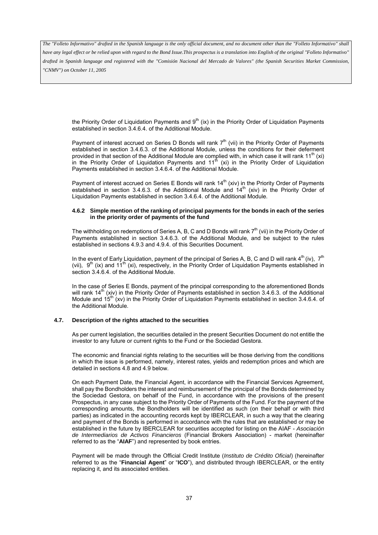*have any legal effect or be relied upon with regard to the Bond Issue.This prospectus is a translation into English of the original "Folleto Informativo" drafted in Spanish language and registered with the "Comisión Nacional del Mercado de Valores" (the Spanish Securities Market Commission, "CNMV") on October 11, 2005*

the Priority Order of Liquidation Payments and  $9<sup>th</sup>$  (ix) in the Priority Order of Liquidation Payments established in section 3.4.6.4. of the Additional Module.

Payment of interest accrued on Series D Bonds will rank  $7<sup>th</sup>$  (vii) in the Priority Order of Payments established in section 3.4.6.3. of the Additional Module, unless the conditions for their deferment provided in that section of the Additional Module are complied with, in which case it will rank  $11^{th}$  (xi) in the Priority Order of Liquidation Payments and  $11<sup>th</sup>$  (xi) in the Priority Order of Liquidation Payments established in section 3.4.6.4. of the Additional Module.

Payment of interest accrued on Series E Bonds will rank 14<sup>th</sup> (xiv) in the Priority Order of Payments established in section 3.4.6.3. of the Additional Module and  $14<sup>th</sup>$  (xiv) in the Priority Order of Liquidation Payments established in section 3.4.6.4. of the Additional Module.

#### **4.6.2 Simple mention of the ranking of principal payments for the bonds in each of the series in the priority order of payments of the fund**

The withholding on redemptions of Series A, B, C and D Bonds will rank 7<sup>th</sup> (vii) in the Priority Order of Payments established in section 3.4.6.3. of the Additional Module, and be subject to the rules established in sections 4.9.3 and 4.9.4. of this Securities Document.

In the event of Early Liquidation, payment of the principal of Series A, B, C and D will rank  $4^{th}$  (iv),  $7^{th}$ (vii),  $9^{th}$  (ix) and  $11^{th}$  (xi), respectively, in the Priority Order of Liquidation Payments established in section 3.4.6.4. of the Additional Module.

In the case of Series E Bonds, payment of the principal corresponding to the aforementioned Bonds will rank 14<sup>th</sup> (xiv) in the Priority Order of Payments established in section 3.4.6.3. of the Additional Module and 15<sup>th</sup> (xv) in the Priority Order of Liquidation Payments established in section 3.4.6.4. of the Additional Module.

#### **4.7. Description of the rights attached to the securities**

As per current legislation, the securities detailed in the present Securities Document do not entitle the investor to any future or current rights to the Fund or the Sociedad Gestora.

The economic and financial rights relating to the securities will be those deriving from the conditions in which the issue is performed, namely, interest rates, yields and redemption prices and which are detailed in sections 4.8 and 4.9 below.

On each Payment Date, the Financial Agent, in accordance with the Financial Services Agreement, shall pay the Bondholders the interest and reimbursement of the principal of the Bonds determined by the Sociedad Gestora, on behalf of the Fund, in accordance with the provisions of the present Prospectus, in any case subject to the Priority Order of Payments of the Fund. For the payment of the corresponding amounts, the Bondholders will be identified as such (on their behalf or with third parties) as indicated in the accounting records kept by IBERCLEAR, in such a way that the clearing and payment of the Bonds is performed in accordance with the rules that are established or may be established in the future by IBERCLEAR for securities accepted for listing on the AIAF - *Asociación de Intermediarios de Activos Financieros* (Financial Brokers Association) - market (hereinafter referred to as the "**AIAF**") and represented by book entries.

Payment will be made through the Official Credit Institute (*Instituto de Crédito Oficial*) (hereinafter referred to as the "**Financial Agent**" or "**ICO**"), and distributed through IBERCLEAR, or the entity replacing it, and its associated entities.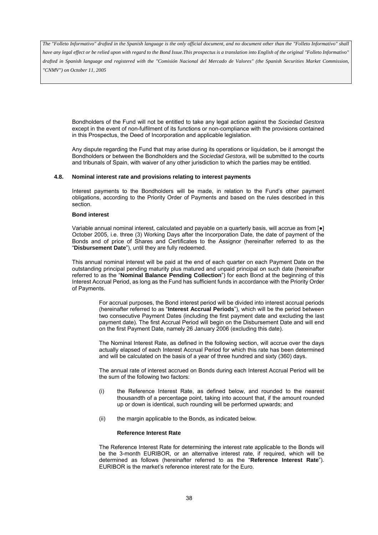*have any legal effect or be relied upon with regard to the Bond Issue.This prospectus is a translation into English of the original "Folleto Informativo" drafted in Spanish language and registered with the "Comisión Nacional del Mercado de Valores" (the Spanish Securities Market Commission, "CNMV") on October 11, 2005*

Bondholders of the Fund will not be entitled to take any legal action against the *Sociedad Gestora* except in the event of non-fulfilment of its functions or non-compliance with the provisions contained in this Prospectus, the Deed of Incorporation and applicable legislation.

Any dispute regarding the Fund that may arise during its operations or liquidation, be it amongst the Bondholders or between the Bondholders and the *Sociedad Gestora*, will be submitted to the courts and tribunals of Spain, with waiver of any other jurisdiction to which the parties may be entitled.

## **4.8. Nominal interest rate and provisions relating to interest payments**

Interest payments to the Bondholders will be made, in relation to the Fund's other payment obligations, according to the Priority Order of Payments and based on the rules described in this section.

#### **Bond interest**

Variable annual nominal interest, calculated and payable on a quarterly basis, will accrue as from [●] October 2005, i.e. three (3) Working Days after the Incorporation Date, the date of payment of the Bonds and of price of Shares and Certificates to the Assignor (hereinafter referred to as the "**Disbursement Date**"), until they are fully redeemed.

This annual nominal interest will be paid at the end of each quarter on each Payment Date on the outstanding principal pending maturity plus matured and unpaid principal on such date (hereinafter referred to as the "**Nominal Balance Pending Collection**") for each Bond at the beginning of this Interest Accrual Period, as long as the Fund has sufficient funds in accordance with the Priority Order of Payments.

> For accrual purposes, the Bond interest period will be divided into interest accrual periods (hereinafter referred to as "**Interest Accrual Periods**"), which will be the period between two consecutive Payment Dates (including the first payment date and excluding the last payment date). The first Accrual Period will begin on the Disbursement Date and will end on the first Payment Date, namely 26 January 2006 (excluding this date).

> The Nominal Interest Rate, as defined in the following section, will accrue over the days actually elapsed of each Interest Accrual Period for which this rate has been determined and will be calculated on the basis of a year of three hundred and sixty (360) days.

> The annual rate of interest accrued on Bonds during each Interest Accrual Period will be the sum of the following two factors:

- (i) the Reference Interest Rate, as defined below, and rounded to the nearest thousandth of a percentage point, taking into account that, if the amount rounded up or down is identical, such rounding will be performed upwards; and
- (ii) the margin applicable to the Bonds, as indicated below.

#### **Reference Interest Rate**

The Reference Interest Rate for determining the interest rate applicable to the Bonds will be the 3-month EURIBOR, or an alternative interest rate, if required, which will be determined as follows (hereinafter referred to as the "**Reference Interest Rate**"). EURIBOR is the market's reference interest rate for the Euro.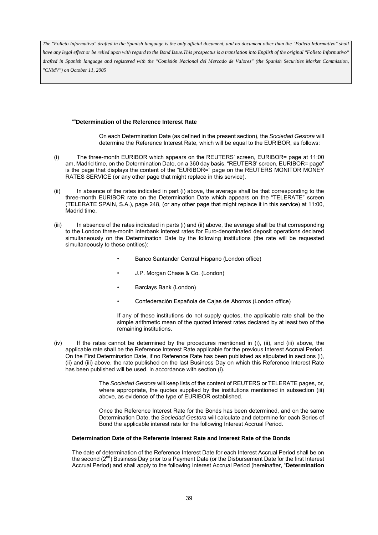*have any legal effect or be relied upon with regard to the Bond Issue.This prospectus is a translation into English of the original "Folleto Informativo" drafted in Spanish language and registered with the "Comisión Nacional del Mercado de Valores" (the Spanish Securities Market Commission, "CNMV") on October 11, 2005*

### ""**Determination of the Reference Interest Rate**

On each Determination Date (as defined in the present section), the *Sociedad Gestora* will determine the Reference Interest Rate, which will be equal to the EURIBOR, as follows:

- (i) The three-month EURIBOR which appears on the REUTERS' screen, EURIBOR= page at 11:00 am, Madrid time, on the Determination Date, on a 360 day basis. "REUTERS' screen, EURIBOR= page" is the page that displays the content of the "EURIBOR=" page on the REUTERS MONITOR MONEY RATES SERVICE (or any other page that might replace in this service).
- (ii) In absence of the rates indicated in part (i) above, the average shall be that corresponding to the three-month EURIBOR rate on the Determination Date which appears on the "TELERATE" screen (TELERATE SPAIN, S.A.), page 248, (or any other page that might replace it in this service) at 11:00, Madrid time.
- (iii) In absence of the rates indicated in parts (i) and (ii) above, the average shall be that corresponding to the London three-month interbank interest rates for Euro-denominated deposit operations declared simultaneously on the Determination Date by the following institutions (the rate will be requested simultaneously to these entities):
	- Banco Santander Central Hispano (London office)
	- J.P. Morgan Chase & Co. (London)
	- Barclays Bank (London)
	- Confederación Española de Cajas de Ahorros (London office)

If any of these institutions do not supply quotes, the applicable rate shall be the simple arithmetic mean of the quoted interest rates declared by at least two of the remaining institutions.

(iv) If the rates cannot be determined by the procedures mentioned in (i), (ii), and (iii) above, the applicable rate shall be the Reference Interest Rate applicable for the previous Interest Accrual Period. On the First Determination Date, if no Reference Rate has been published as stipulated in sections (i), (ii) and (iii) above, the rate published on the last Business Day on which this Reference Interest Rate has been published will be used, in accordance with section (i).

> The *Sociedad Gestora* will keep lists of the content of REUTERS or TELERATE pages, or, where appropriate, the quotes supplied by the institutions mentioned in subsection (iii) above, as evidence of the type of EURIBOR established.

> Once the Reference Interest Rate for the Bonds has been determined, and on the same Determination Date, the *Sociedad Gestora* will calculate and determine for each Series of Bond the applicable interest rate for the following Interest Accrual Period.

#### **Determination Date of the Referente Interest Rate and Interest Rate of the Bonds**

The date of determination of the Reference Interest Date for each Interest Accrual Period shall be on the second  $(2^{nd})$  Business Day prior to a Payment Date (or the Disbursement Date for the first Interest Accrual Period) and shall apply to the following Interest Accrual Period (hereinafter, "**Determination**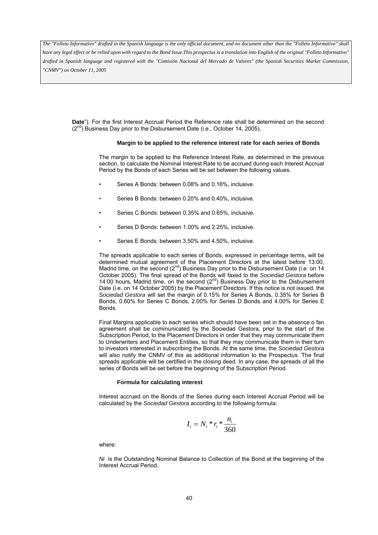*have any legal effect or be relied upon with regard to the Bond Issue.This prospectus is a translation into English of the original "Folleto Informativo" drafted in Spanish language and registered with the "Comisión Nacional del Mercado de Valores" (the Spanish Securities Market Commission, "CNMV") on October 11, 2005*

**Date**"). For the first Interest Accrual Period the Reference rate shall be determined on the second  $(2^{nd})$  Business Day prior to the Disbursement Date (i.e., October 14, 2005).

#### **Margin to be applied to the reference interest rate for each series of Bonds**

The margin to be applied to the Reference Interest Rate, as determined in the previous section, to calculate the Nominal Interest Rate to be accrued during each Interest Accrual Period by the Bonds of each Series will be set between the following values.

- Series A Bonds: between 0.08% and 0.16%, inclusive.
- Series B Bonds: between 0.20% and 0.40%, inclusive.
- Series C Bonds: between 0.35% and 0.65%, inclusive.
- Series D Bonds: between 1.00% and 2.25%, inclusive.
- Series E Bonds: between 3.50% and 4.50%, inclusive.

The spreads applicable to each series of Bonds, expressed in percentage terms, will be determined mutual agreement of the Placement Directors at the latest before 13:00, Madrid time, on the second ( $2^{nd}$ ) Business Day prior to the Disbursement Date (i.e. on 14 October 2005). The final spread of the Bonds will faxed to the *Sociedad Gestora* before 14:00 hours, Madrid time, on the second  $(2^{nd})$  Business Day prior to the Disbursement Date (i.e. on 14 October 2005) by the Placement Directors. If this notice is not issued, the *Sociedad Gestora* will set the margin of 0.15% for Series A Bonds, 0.35% for Series B Bonds, 0.60% for Series C Bonds, 2.00% for Series D Bonds and 4.00% for Series E Bonds.

Final Margins applicable to each series which should have been set in the absence o fan agreement shall be communicated by the Sociedad Gestora, prior to the start of the Subscription Period, to the Placement Directors in order that they may communicate them to Underwriters and Placement Entities, so that they may communicate them in their turn to investors interested in subscribing the Bonds. At the same time, the *Sociedad Gestora* will also notify the CNMV of this as additional information to the Prospectus. The final spreads applicable will be certified in the closing deed. In any case, the spreads of all the series of Bonds will be set before the beginning of the Subscription Period.

#### **Formula for calculating interest**

Interest accrued on the Bonds of the Series during each Interest Accrual Period will be calculated by the *Sociedad Gestora* according to the following formula:

$$
I_i = N_i * r_i * \frac{n_i}{360}
$$

where:

*Ni* is the Outstanding Nominal Balance to Collection of the Bond at the beginning of the Interest Accrual Period.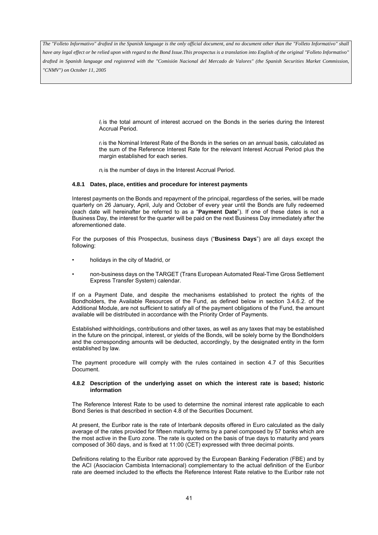*have any legal effect or be relied upon with regard to the Bond Issue.This prospectus is a translation into English of the original "Folleto Informativo" drafted in Spanish language and registered with the "Comisión Nacional del Mercado de Valores" (the Spanish Securities Market Commission, "CNMV") on October 11, 2005*

> $I_i$  is the total amount of interest accrued on the Bonds in the series during the Interest Accrual Period.

> *ri* is the Nominal Interest Rate of the Bonds in the series on an annual basis, calculated as the sum of the Reference Interest Rate for the relevant Interest Accrual Period plus the margin established for each series.

*n<sub>i</sub>* is the number of days in the Interest Accrual Period.

### **4.8.1 Dates, place, entities and procedure for interest payments**

Interest payments on the Bonds and repayment of the principal, regardless of the series, will be made quarterly on 26 January, April, July and October of every year until the Bonds are fully redeemed (each date will hereinafter be referred to as a "**Payment Date**"). If one of these dates is not a Business Day, the interest for the quarter will be paid on the next Business Day immediately after the aforementioned date.

For the purposes of this Prospectus, business days ("**Business Days**") are all days except the following:

- holidays in the city of Madrid, or
- non-business days on the TARGET (Trans European Automated Real-Time Gross Settlement Express Transfer System) calendar.

If on a Payment Date, and despite the mechanisms established to protect the rights of the Bondholders, the Available Resources of the Fund, as defined below in section 3.4.6.2. of the Additional Module, are not sufficient to satisfy all of the payment obligations of the Fund, the amount available will be distributed in accordance with the Priority Order of Payments.

Established withholdings, contributions and other taxes, as well as any taxes that may be established in the future on the principal, interest, or yields of the Bonds, will be solely borne by the Bondholders and the corresponding amounts will be deducted, accordingly, by the designated entity in the form established by law.

The payment procedure will comply with the rules contained in section 4.7 of this Securities Document.

#### **4.8.2 Description of the underlying asset on which the interest rate is based; historic information**

The Reference Interest Rate to be used to determine the nominal interest rate applicable to each Bond Series is that described in section 4.8 of the Securities Document.

At present, the Euribor rate is the rate of Interbank deposits offered in Euro calculated as the daily average of the rates provided for fifteen maturity terms by a panel composed by 57 banks which are the most active in the Euro zone. The rate is quoted on the basis of true days to maturity and years composed of 360 days, and is fixed at 11:00 (CET) expressed with three decimal points.

Definitions relating to the Euribor rate approved by the European Banking Federation (FBE) and by the ACI (Asociacion Cambista Internacional) complementary to the actual definition of the Euribor rate are deemed included to the effects the Reference Interest Rate relative to the Euribor rate not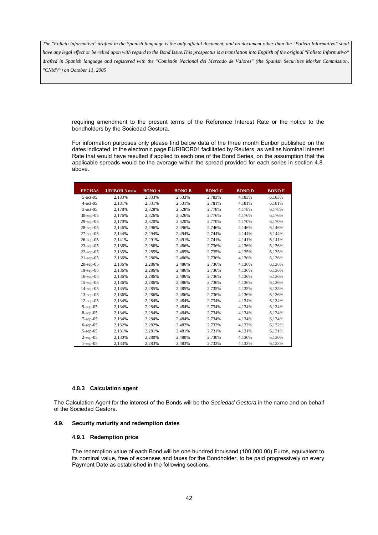*have any legal effect or be relied upon with regard to the Bond Issue.This prospectus is a translation into English of the original "Folleto Informativo" drafted in Spanish language and registered with the "Comisión Nacional del Mercado de Valores" (the Spanish Securities Market Commission, "CNMV") on October 11, 2005*

requiring amendment to the present terms of the Reference Interest Rate or the notice to the bondholders by the Sociedad Gestora.

For information purposes only please find below data of the three month Euribor published on the dates indicated, in the electronic page EURIBOR01 facilitated by Reuters, as well as Nominal Interest Rate that would have resulted if applied to each one of the Bond Series, on the assumption that the applicable spreads would be the average within the spread provided for each series in section 4.8. above.

| <b>FECHAS</b>   | <b>URIBOR 3 mest</b> | <b>BONO A</b> | <b>BONO B</b> | <b>BONO C</b> | <b>BONOD</b> | <b>BONOE</b> |
|-----------------|----------------------|---------------|---------------|---------------|--------------|--------------|
| $5$ -oct-05     | 2,183%               | 2,333%        | 2,533%        | 2,783%        | 4,183%       | 6,183%       |
| $4$ -oct-05     | 2,181%               | 2,331%        | 2,531%        | 2,781%        | 4,181%       | 6,181%       |
| $3$ -oct-05     | 2,178%               | 2,328%        | 2,528%        | 2,778%        | 4,178%       | 6,178%       |
| $30$ -sep- $05$ | 2,176%               | 2,326%        | 2,526%        | 2,776%        | 4,176%       | 6,176%       |
| $29$ -sep-05    | 2,170%               | 2,320%        | 2,520%        | 2,770%        | 4,170%       | 6,170%       |
| $28$ -sep-05    | 2,146%               | 2,296%        | 2,496%        | 2,746%        | 4,146%       | 6,146%       |
| $27$ -sep-05    | 2,144%               | 2,294%        | 2,494%        | 2,744%        | 4,144%       | 6,144%       |
| $26$ -sep-05    | 2,141%               | 2,291%        | 2,491%        | 2,741%        | 4,141%       | 6,141%       |
| $23$ -sep-05    | 2.136%               | 2,286%        | 2,486%        | 2,736%        | 4,136%       | 6,136%       |
| $22$ -sep-05    | 2,135%               | 2,285%        | 2,485%        | 2,735%        | 4,135%       | 6,135%       |
| $21$ -sep-05    | 2,136%               | 2,286%        | 2,486%        | 2,736%        | 4,136%       | 6,136%       |
| $20$ -sep- $05$ | 2,136%               | 2,286%        | 2,486%        | 2,736%        | 4,136%       | 6,136%       |
| $19$ -sep- $05$ | 2,136%               | 2,286%        | 2,486%        | 2,736%        | 4,136%       | 6,136%       |
| $16$ -sep- $05$ | 2,136%               | 2,286%        | 2,486%        | 2,736%        | 4,136%       | 6,136%       |
| $15$ -sep-05    | 2,136%               | 2,286%        | 2,486%        | 2,736%        | 4,136%       | 6,136%       |
| $14$ -sep- $05$ | 2,135%               | 2,285%        | 2,485%        | 2,735%        | 4,135%       | 6,135%       |
| $13$ -sep-05    | 2,136%               | 2,286%        | 2,486%        | 2,736%        | 4,136%       | 6,136%       |
| $12$ -sep-05    | 2,134%               | 2,284%        | 2,484%        | 2,734%        | 4,134%       | 6,134%       |
| $9$ -sep-05     | 2,134%               | 2,284%        | 2,484%        | 2,734%        | 4,134%       | 6,134%       |
| $8$ -sep-05     | 2,134%               | 2,284%        | 2,484%        | 2,734%        | 4,134%       | 6,134%       |
| $7$ -sep- $05$  | 2,134%               | 2,284%        | 2,484%        | 2,734%        | 4,134%       | 6,134%       |
| $6$ -sep $-05$  | 2,132%               | 2,282%        | 2,482%        | 2,732%        | 4,132%       | 6,132%       |
| $5$ -sep-05     | 2,131%               | 2,281%        | 2,481%        | 2,731%        | 4,131%       | 6,131%       |
| $2$ -sep-05     | 2,130%               | 2,280%        | 2,480%        | 2,730%        | 4,130%       | 6,130%       |
| $1$ -sep- $05$  | 2,133%               | 2,283%        | 2,483%        | 2,733%        | 4,133%       | 6,133%       |

#### **4.8.3 Calculation agent**

The Calculation Agent for the interest of the Bonds will be the *Sociedad Gestora* in the name and on behalf of the Sociedad Gestora.

### **4.9. Security maturity and redemption dates**

#### **4.9.1 Redemption price**

The redemption value of each Bond will be one hundred thousand (100,000.00) Euros, equivalent to its nominal value, free of expenses and taxes for the Bondholder, to be paid progressively on every Payment Date as established in the following sections.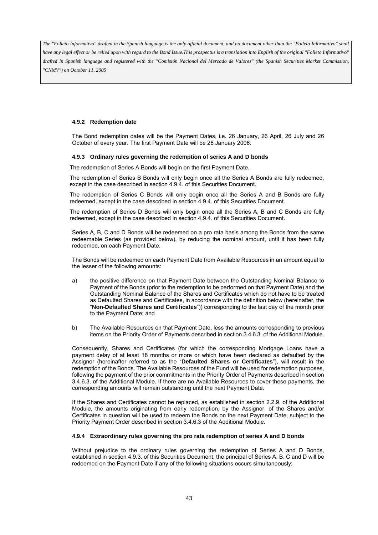## **4.9.2 Redemption date**

The Bond redemption dates will be the Payment Dates, i.e. 26 January, 26 April, 26 July and 26 October of every year. The first Payment Date will be 26 January 2006.

### **4.9.3 Ordinary rules governing the redemption of series A and D bonds**

The redemption of Series A Bonds will begin on the first Payment Date.

The redemption of Series B Bonds will only begin once all the Series A Bonds are fully redeemed, except in the case described in section 4.9.4. of this Securities Document.

The redemption of Series C Bonds will only begin once all the Series A and B Bonds are fully redeemed, except in the case described in section 4.9.4. of this Securities Document.

The redemption of Series D Bonds will only begin once all the Series A, B and C Bonds are fully redeemed, except in the case described in section 4.9.4. of this Securities Document.

Series A, B, C and D Bonds will be redeemed on a pro rata basis among the Bonds from the same redeemable Series (as provided below), by reducing the nominal amount, until it has been fully redeemed, on each Payment Date.

The Bonds will be redeemed on each Payment Date from Available Resources in an amount equal to the lesser of the following amounts:

- a) the positive difference on that Payment Date between the Outstanding Nominal Balance to Payment of the Bonds (prior to the redemption to be performed on that Payment Date) and the Outstanding Nominal Balance of the Shares and Certificates which do not have to be treated as Defaulted Shares and Certificates, in accordance with the definition below (hereinafter, the "**Non-Defaulted Shares and Certificates**")) corresponding to the last day of the month prior to the Payment Date; and
- b) The Available Resources on that Payment Date, less the amounts corresponding to previous items on the Priority Order of Payments described in section 3.4.6.3. of the Additional Module.

Consequently, Shares and Certificates (for which the corresponding Mortgage Loans have a payment delay of at least 18 months or more or which have been declared as defaulted by the Assignor (hereinafter referred to as the "**Defaulted Shares or Certificates**"), will result in the redemption of the Bonds. The Available Resources of the Fund will be used for redemption purposes, following the payment of the prior commitments in the Priority Order of Payments described in section 3.4.6.3. of the Additional Module. If there are no Available Resources to cover these payments, the corresponding amounts will remain outstanding until the next Payment Date.

If the Shares and Certificates cannot be replaced, as established in section 2.2.9. of the Additional Module, the amounts originating from early redemption, by the Assignor, of the Shares and/or Certificates in question will be used to redeem the Bonds on the next Payment Date, subject to the Priority Payment Order described in section 3.4.6.3 of the Additional Module.

#### **4.9.4 Extraordinary rules governing the pro rata redemption of series A and D bonds**

Without prejudice to the ordinary rules governing the redemption of Series A and D Bonds, established in section 4.9.3. of this Securities Document, the principal of Series A, B, C and D will be redeemed on the Payment Date if any of the following situations occurs simultaneously: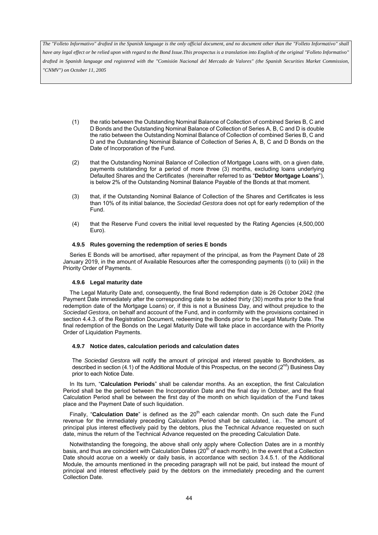*have any legal effect or be relied upon with regard to the Bond Issue.This prospectus is a translation into English of the original "Folleto Informativo" drafted in Spanish language and registered with the "Comisión Nacional del Mercado de Valores" (the Spanish Securities Market Commission, "CNMV") on October 11, 2005*

- (1) the ratio between the Outstanding Nominal Balance of Collection of combined Series B, C and D Bonds and the Outstanding Nominal Balance of Collection of Series A, B, C and D is double the ratio between the Outstanding Nominal Balance of Collection of combined Series B, C and D and the Outstanding Nominal Balance of Collection of Series A, B, C and D Bonds on the Date of Incorporation of the Fund.
- (2) that the Outstanding Nominal Balance of Collection of Mortgage Loans with, on a given date, payments outstanding for a period of more three (3) months, excluding loans underlying Defaulted Shares and the Certificates (hereinafter referred to as "**Debtor Mortgage Loans**"), is below 2% of the Outstanding Nominal Balance Payable of the Bonds at that moment.
- (3) that, if the Outstanding Nominal Balance of Collection of the Shares and Certificates is less than 10% of its initial balance, the *Sociedad Gestora* does not opt for early redemption of the Fund.
- (4) that the Reserve Fund covers the initial level requested by the Rating Agencies (4,500,000 Euro).

#### **4.9.5 Rules governing the redemption of series E bonds**

Series E Bonds will be amortised, after repayment of the principal, as from the Payment Date of 28 January 2019, in the amount of Available Resources after the corresponding payments (i) to (xiii) in the Priority Order of Payments.

#### **4.9.6 Legal maturity date**

The Legal Maturity Date and, consequently, the final Bond redemption date is 26 October 2042 (the Payment Date immediately after the corresponding date to be added thirty (30) months prior to the final redemption date of the Mortgage Loans) or, if this is not a Business Day, and without prejudice to the *Sociedad Gestora*, on behalf and account of the Fund, and in conformity with the provisions contained in section 4.4.3. of the Registration Document, redeeming the Bonds prior to the Legal Maturity Date. The final redemption of the Bonds on the Legal Maturity Date will take place in accordance with the Priority Order of Liquidation Payments.

#### **4.9.7 Notice dates, calculation periods and calculation dates**

The *Sociedad Gestora* will notify the amount of principal and interest payable to Bondholders, as described in section (4.1) of the Additional Module of this Prospectus, on the second  $(2^{nd})$  Business Day prior to each Notice Date.

In Its turn, "**Calculation Periods**" shall be calendar months. As an exception, the first Calculation Period shall be the period between the Incorporation Date and the final day in October, and the final Calculation Period shall be between the first day of the month on which liquidation of the Fund takes place and the Payment Date of such liquidation.

Finally, "Calculation Date" is defined as the 20<sup>th</sup> each calendar month. On such date the Fund revenue for the immediately preceding Calculation Period shall be calculated, i.e.. The amount of principal plus interest effectively paid by the debtors, plus the Technical Advance requested on such date, minus the return of the Technical Advance requested on the preceding Calculation Date.

Notwithstanding the foregoing, the above shall only apply where Collection Dates are in a monthly basis, and thus are coincident with Calculation Dates  $(20<sup>th</sup>$  of each month). In the event that a Collection Date should accrue on a weekly or daily basis, in accordance with section 3.4.5.1. of the Additional Module, the amounts mentioned in the preceding paragraph will not be paid, but instead the mount of principal and interest effectively paid by the debtors on the immediately preceding and the current Collection Date.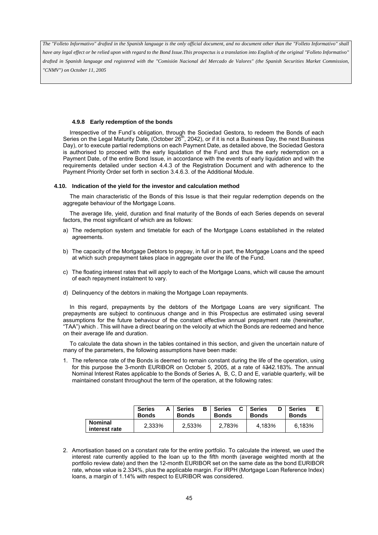*have any legal effect or be relied upon with regard to the Bond Issue.This prospectus is a translation into English of the original "Folleto Informativo" drafted in Spanish language and registered with the "Comisión Nacional del Mercado de Valores" (the Spanish Securities Market Commission, "CNMV") on October 11, 2005*

#### **4.9.8 Early redemption of the bonds**

Irrespective of the Fund's obligation, through the Sociedad Gestora, to redeem the Bonds of each Series on the Legal Maturity Date, (October 26<sup>th</sup>, 2042), or if it is not a Business Day, the next Business Day), or to execute partial redemptions on each Payment Date, as detailed above, the Sociedad Gestora is authorised to proceed with the early liquidation of the Fund and thus the early redemption on a Payment Date, of the entire Bond Issue, in accordance with the events of early liquidation and with the requirements detailed under section 4.4.3 of the Registration Document and with adherence to the Payment Priority Order set forth in section 3.4.6.3. of the Additional Module.

#### **4.10. Indication of the yield for the investor and calculation method**

The main characteristic of the Bonds of this Issue is that their regular redemption depends on the aggregate behaviour of the Mortgage Loans.

The average life, yield, duration and final maturity of the Bonds of each Series depends on several factors, the most significant of which are as follows:

- a) The redemption system and timetable for each of the Mortgage Loans established in the related agreements.
- b) The capacity of the Mortgage Debtors to prepay, in full or in part, the Mortgage Loans and the speed at which such prepayment takes place in aggregate over the life of the Fund.
- c) The floating interest rates that will apply to each of the Mortgage Loans, which will cause the amount of each repayment instalment to vary.
- d) Delinquency of the debtors in making the Mortgage Loan repayments.

In this regard, prepayments by the debtors of the Mortgage Loans are very significant. The prepayments are subject to continuous change and in this Prospectus are estimated using several assumptions for the future behaviour of the constant effective annual prepayment rate (hereinafter, "TAA") which . This will have a direct bearing on the velocity at which the Bonds are redeemed and hence on their average life and duration.

To calculate the data shown in the tables contained in this section, and given the uncertain nature of many of the parameters, the following assumptions have been made:

1. The reference rate of the Bonds is deemed to remain constant during the life of the operation, using for this purpose the 3-month EURIBOR on October 5, 2005, at a rate of 1342.183%. The annual Nominal Interest Rates applicable to the Bonds of Series A, B, C, D and E, variable quarterly, will be maintained constant throughout the term of the operation, at the following rates:

|                                 | Α<br><b>Series</b><br><b>Bonds</b> | в<br><b>Series</b><br><b>Bonds</b> | <b>Series</b><br><b>Bonds</b> | <b>Series</b><br><b>Bonds</b> | <b>Series</b><br><b>Bonds</b> |
|---------------------------------|------------------------------------|------------------------------------|-------------------------------|-------------------------------|-------------------------------|
| <b>Nominal</b><br>interest rate | 2.333%                             | 2,533%                             | 2.783%                        | 4.183%                        | 6.183%                        |

2. Amortisation based on a constant rate for the entire portfolio. To calculate the interest, we used the interest rate currently applied to the loan up to the fifth month (average weighted month at the portfolio review date) and then the 12-month EURIBOR set on the same date as the bond EURIBOR rate, whose value is 2.334%, plus the applicable margin. For IRPH (Mortgage Loan Reference Index) loans, a margin of 1.14% with respect to EURIBOR was considered.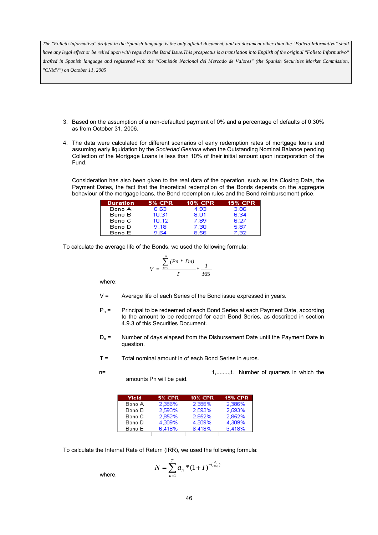- 3. Based on the assumption of a non-defaulted payment of 0% and a percentage of defaults of 0.30% as from October 31, 2006.
- 4. The data were calculated for different scenarios of early redemption rates of mortgage loans and assuming early liquidation by the *Sociedad Gestora* when the Outstanding Nominal Balance pending Collection of the Mortgage Loans is less than 10% of their initial amount upon incorporation of the Fund.

Consideration has also been given to the real data of the operation, such as the Closing Data, the Payment Dates, the fact that the theoretical redemption of the Bonds depends on the aggregate behaviour of the mortgage loans, the Bond redemption rules and the Bond reimbursement price.

| <b>Duration</b> | <b>5% CPR</b> | <b>10% CPR</b> | <b>15% CPR</b> |
|-----------------|---------------|----------------|----------------|
| Bono A          | 6.63          | 4.93           | 3.86           |
| Bono B          | 10,31         | 8,01           | 6,34           |
| Bono C          | 10.12         | 7.89           | 6.27           |
| Bono D          | 9.18          | 7.30           | 5.87           |
| Bono El         | 9 64          | 8.56.          | 7.32           |

To calculate the average life of the Bonds, we used the following formula:

$$
V = \frac{\sum_{n=1}^{n} (Pn * Dn)}{T} * \frac{1}{365}
$$

where:

- $V =$  Average life of each Series of the Bond issue expressed in years.
- $P_n =$  Principal to be redeemed of each Bond Series at each Payment Date, according to the amount to be redeemed for each Bond Series, as described in section 4.9.3 of this Securities Document.
- $D_n =$  Number of days elapsed from the Disbursement Date until the Payment Date in question.
- T = Total nominal amount in of each Bond Series in euros.
- 

Yield **5% CPR 10% CPR 15% CPR** Bono A 2.386% 2,386% 2,386% 2,593% 2,593% 2,593% Bono B 2,852% Bono C 2,852% 2,852% Bono D 4.309% 4,309% 4,309%

6,418%

6.418%

amounts Pn will be paid.

To calculate the Internal Rate of Return (IRR), we used the following formula:

6,418%

Bono E

$$
N = \sum_{n=1}^{T} a_n \cdot (1+I)^{-(\frac{d_n}{365})}
$$

where,

n= 1,........,t. Number of quarters in which the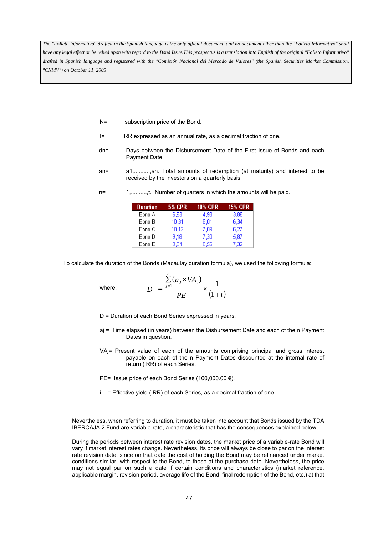- N= subscription price of the Bond.
- I= IRR expressed as an annual rate, as a decimal fraction of one.
- dn= Days between the Disbursement Date of the First Issue of Bonds and each Payment Date.
- an= a1,..........,an. Total amounts of redemption (at maturity) and interest to be received by the investors on a quarterly basis
- n= 1,............t. Number of quarters in which the amounts will be paid.

| <b>Duration</b> | <b>5% CPR</b> | <b>10% CPR</b> | <b>15% CPR</b> |
|-----------------|---------------|----------------|----------------|
| Bono A          | 6.63          | 4.93           | 3.86           |
| Bono B          | 10,31         | 8.01           | 6.34           |
| Bono C          | 10,12         | 7,89           | 6,27           |
| Bono D          | 9,18          | 7,30           | 5,87           |
| Bono E          | 9,64          | 8.56           | 7,32           |

To calculate the duration of the Bonds (Macaulay duration formula), we used the following formula:

where:

$$
D = \frac{\sum_{j=1}^{n} (a_j \times VA_j)}{PE} \times \frac{1}{(1+i)}
$$

D = Duration of each Bond Series expressed in years.

*n*

- aj = Time elapsed (in years) between the Disbursement Date and each of the n Payment Dates in question.
- VAj= Present value of each of the amounts comprising principal and gross interest payable on each of the n Payment Dates discounted at the internal rate of return (IRR) of each Series.
- PE= Issue price of each Bond Series (100,000.00 €).
- i = Effective yield (IRR) of each Series, as a decimal fraction of one.

Nevertheless, when referring to duration, it must be taken into account that Bonds issued by the TDA IBERCAJA 2 Fund are variable-rate, a characteristic that has the consequences explained below.

During the periods between interest rate revision dates, the market price of a variable-rate Bond will vary if market interest rates change. Nevertheless, its price will always be close to par on the interest rate revision date, since on that date the cost of holding the Bond may be refinanced under market conditions similar, with respect to the Bond, to those at the purchase date. Nevertheless, the price may not equal par on such a date if certain conditions and characteristics (market reference, applicable margin, revision period, average life of the Bond, final redemption of the Bond, etc.) at that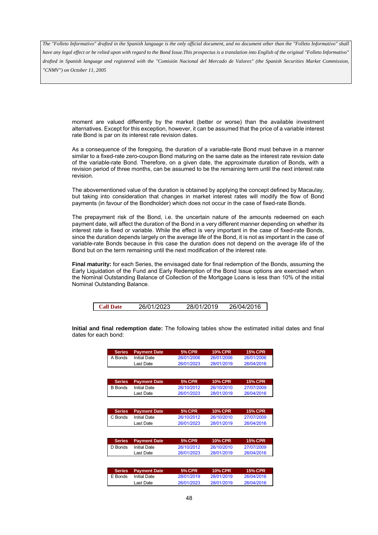*have any legal effect or be relied upon with regard to the Bond Issue.This prospectus is a translation into English of the original "Folleto Informativo" drafted in Spanish language and registered with the "Comisión Nacional del Mercado de Valores" (the Spanish Securities Market Commission, "CNMV") on October 11, 2005*

moment are valued differently by the market (better or worse) than the available investment alternatives. Except for this exception, however, it can be assumed that the price of a variable interest rate Bond is par on its interest rate revision dates.

As a consequence of the foregoing, the duration of a variable-rate Bond must behave in a manner similar to a fixed-rate zero-coupon Bond maturing on the same date as the interest rate revision date of the variable-rate Bond. Therefore, on a given date, the approximate duration of Bonds, with a revision period of three months, can be assumed to be the remaining term until the next interest rate revision.

The abovementioned value of the duration is obtained by applying the concept defined by Macaulay, but taking into consideration that changes in market interest rates will modify the flow of Bond payments (in favour of the Bondholder) which does not occur in the case of fixed-rate Bonds.

The prepayment risk of the Bond, i.e. the uncertain nature of the amounts redeemed on each payment date, will affect the duration of the Bond in a very different manner depending on whether its interest rate is fixed or variable. While the effect is very important in the case of fixed-rate Bonds, since the duration depends largely on the average life of the Bond, it is not as important in the case of variable-rate Bonds because in this case the duration does not depend on the average life of the Bond but on the term remaining until the next modification of the interest rate.

**Final maturity:** for each Series, the envisaged date for final redemption of the Bonds, assuming the Early Liquidation of the Fund and Early Redemption of the Bond Issue options are exercised when the Nominal Outstanding Balance of Collection of the Mortgage Loans is less than 10% of the initial Nominal Outstanding Balance.

**Initial and final redemption date:** The following tables show the estimated initial dates and final dates for each bond:

| <b>Series</b>  | <b>Payment Date</b> | <b>5% CPR</b> | <b>10% CPR</b> | <b>15% CPR</b> |
|----------------|---------------------|---------------|----------------|----------------|
| A Bonds        | <b>Initial Date</b> | 26/01/2006    | 26/01/2006     | 26/01/2006     |
|                | Last Date           | 26/01/2023    | 28/01/2019     | 26/04/2016     |
|                |                     |               |                |                |
|                |                     |               |                |                |
| <b>Series</b>  | <b>Payment Date</b> | <b>5% CPR</b> | <b>10% CPR</b> | <b>15% CPR</b> |
| <b>B</b> Bonds | <b>Initial Date</b> | 26/10/2012    | 26/10/2010     | 27/07/2009     |
|                | Last Date           | 26/01/2023    | 28/01/2019     | 26/04/2016     |
|                |                     |               |                |                |
|                |                     |               |                |                |
| <b>Series</b>  | <b>Payment Date</b> | <b>5% CPR</b> | <b>10% CPR</b> | <b>15% CPR</b> |

| C Bonds | <b>Initial Date</b> | 26/10/2012 | 26/10/2010 | 27/07/2009 |
|---------|---------------------|------------|------------|------------|
|         | Last Date           | 26/01/2023 | 28/01/2019 | 26/04/2016 |
|         |                     |            |            |            |

|         | <b>Series</b> Payment Date | <b>5% CPR</b> | 10% CPR'   | <b>15% CPR</b> |
|---------|----------------------------|---------------|------------|----------------|
| D Bonds | Initial Date               | 26/10/2012    | 26/10/2010 | 27/07/2009     |
|         | Last Date                  | 26/01/2023    | 28/01/2019 | 26/04/2016     |

|         | <b>Series</b> Payment Date | <b>5% CPR</b> | <b>10% CPR</b> | <b>15% CPR</b> |
|---------|----------------------------|---------------|----------------|----------------|
| E Bonds | Initial Date               | 28/01/2019    | 28/01/2019     | 26/04/2016     |
|         | Last Date                  | 26/01/2023    | 28/01/2019     | 26/04/2016     |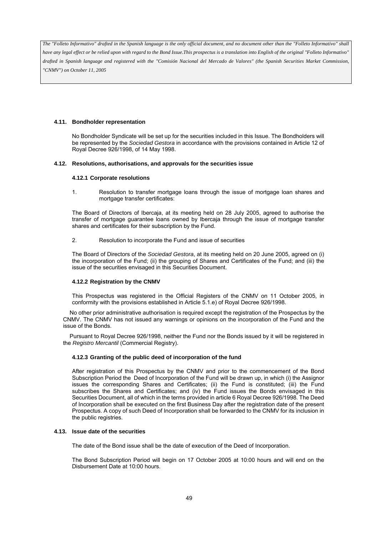## **4.11. Bondholder representation**

No Bondholder Syndicate will be set up for the securities included in this Issue. The Bondholders will be represented by the *Sociedad Gestora* in accordance with the provisions contained in Article 12 of Royal Decree 926/1998, of 14 May 1998.

# **4.12. Resolutions, authorisations, and approvals for the securities issue**

# **4.12.1 Corporate resolutions**

1. Resolution to transfer mortgage loans through the issue of mortgage loan shares and mortgage transfer certificates:

The Board of Directors of Ibercaja, at its meeting held on 28 July 2005, agreed to authorise the transfer of mortgage guarantee loans owned by Ibercaja through the issue of mortgage transfer shares and certificates for their subscription by the Fund.

2. Resolution to incorporate the Fund and issue of securities

The Board of Directors of the *Sociedad Gestora*, at its meeting held on 20 June 2005, agreed on (i) the incorporation of the Fund; (ii) the grouping of Shares and Certificates of the Fund; and (iii) the issue of the securities envisaged in this Securities Document.

# **4.12.2 Registration by the CNMV**

This Prospectus was registered in the Official Registers of the CNMV on 11 October 2005, in conformity with the provisions established in Article 5.1.e) of Royal Decree 926/1998.

No other prior administrative authorisation is required except the registration of the Prospectus by the CNMV. The CNMV has not issued any warnings or opinions on the incorporation of the Fund and the issue of the Bonds.

Pursuant to Royal Decree 926/1998, neither the Fund nor the Bonds issued by it will be registered in the *Registro Mercantil* (Commercial Registry).

# **4.12.3 Granting of the public deed of incorporation of the fund**

After registration of this Prospectus by the CNMV and prior to the commencement of the Bond Subscription Period the Deed of Incorporation of the Fund will be drawn up, in which (i) the Assignor issues the corresponding Shares and Certificates; (ii) the Fund is constituted; (iii) the Fund subscribes the Shares and Certificates; and (iv) the Fund issues the Bonds envisaged in this Securities Document, all of which in the terms provided in article 6 Royal Decree 926/1998. The Deed of Incorporation shall be executed on the first Business Day after the registration date of the present Prospectus. A copy of such Deed of Incorporation shall be forwarded to the CNMV for its inclusion in the public registries.

#### **4.13. Issue date of the securities**

The date of the Bond issue shall be the date of execution of the Deed of Incorporation.

The Bond Subscription Period will begin on 17 October 2005 at 10:00 hours and will end on the Disbursement Date at 10:00 hours.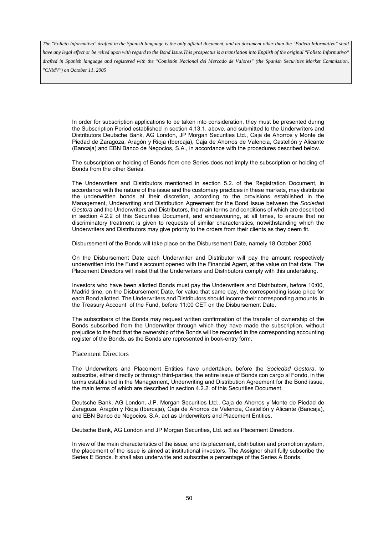*have any legal effect or be relied upon with regard to the Bond Issue.This prospectus is a translation into English of the original "Folleto Informativo" drafted in Spanish language and registered with the "Comisión Nacional del Mercado de Valores" (the Spanish Securities Market Commission, "CNMV") on October 11, 2005*

In order for subscription applications to be taken into consideration, they must be presented during the Subscription Period established in section 4.13.1. above, and submitted to the Underwriters and Distributors Deutsche Bank, AG London, JP Morgan Securities Ltd., Caja de Ahorros y Monte de Piedad de Zaragoza, Aragón y Rioja (Ibercaja), Caja de Ahorros de Valencia, Castellón y Alicante (Bancaja) and EBN Banco de Negocios, S.A., in accordance with the procedures described below.

The subscription or holding of Bonds from one Series does not imply the subscription or holding of Bonds from the other Series.

The Underwriters and Distributors mentioned in section 5.2. of the Registration Document, in accordance with the nature of the issue and the customary practices in these markets, may distribute the underwritten bonds at their discretion, according to the provisions established in the Management, Underwriting and Distribution Agreement for the Bond Issue between the *Sociedad Gestora* and the Underwriters and Distributors, the main terms and conditions of which are described in section 4.2.2 of this Securities Document, and endeavouring, at all times, to ensure that no discriminatory treatment is given to requests of similar characteristics, notwithstanding which the Underwriters and Distributors may give priority to the orders from their clients as they deem fit.

Disbursement of the Bonds will take place on the Disbursement Date, namely 18 October 2005.

On the Disbursement Date each Underwriter and Distributor will pay the amount respectively underwritten into the Fund's account opened with the Financial Agent, at the value on that date. The Placement Directors will insist that the Underwriters and Distributors comply with this undertaking.

Investors who have been allotted Bonds must pay the Underwriters and Distributors, before 10:00, Madrid time, on the Disbursement Date, for value that same day, the corresponding issue price for each Bond allotted. The Underwriters and Distributors should income their corresponding amounts in the Treasury Account of the Fund, before 11:00 CET on the Disbursement Date.

The subscribers of the Bonds may request written confirmation of the transfer of ownership of the Bonds subscribed from the Underwriter through which they have made the subscription, without prejudice to the fact that the ownership of the Bonds will be recorded in the corresponding accounting register of the Bonds, as the Bonds are represented in book-entry form.

#### Placement Directors

The Underwriters and Placement Entities have undertaken, before the *Sociedad Gestora*, to subscribe, either directly or through third-parties, the entire issue of Bonds con cargo al Fondo, in the terms established in the Management, Underwriting and Distribution Agreement for the Bond issue, the main terms of which are described in section 4.2.2. of this Securities Document.

Deutsche Bank, AG London, J.P. Morgan Securities Ltd., Caja de Ahorros y Monte de Piedad de Zaragoza, Aragón y Rioja (Ibercaja), Caja de Ahorros de Valencia, Castellón y Alicante (Bancaja), and EBN Banco de Negocios, S.A. act as Underwriters and Placement Entities.

Deutsche Bank, AG London and JP Morgan Securities, Ltd. act as Placement Directors.

In view of the main characteristics of the issue, and its placement, distribution and promotion system, the placement of the issue is aimed at institutional investors. The Assignor shall fully subscribe the Series E Bonds. It shall also underwrite and subscribe a percentage of the Series A Bonds.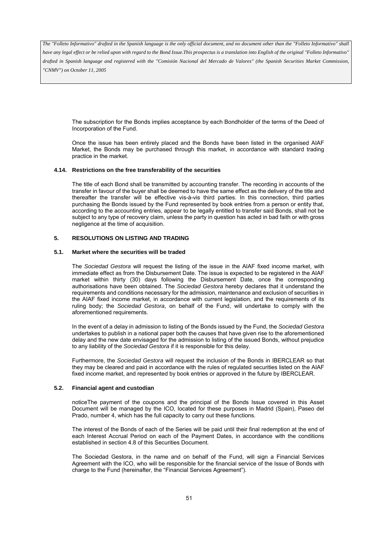*have any legal effect or be relied upon with regard to the Bond Issue.This prospectus is a translation into English of the original "Folleto Informativo" drafted in Spanish language and registered with the "Comisión Nacional del Mercado de Valores" (the Spanish Securities Market Commission, "CNMV") on October 11, 2005*

The subscription for the Bonds implies acceptance by each Bondholder of the terms of the Deed of Incorporation of the Fund.

Once the issue has been entirely placed and the Bonds have been listed in the organised AIAF Market, the Bonds may be purchased through this market, in accordance with standard trading practice in the market.

## **4.14. Restrictions on the free transferability of the securities**

The title of each Bond shall be transmitted by accounting transfer. The recording in accounts of the transfer in favour of the buyer shall be deemed to have the same effect as the delivery of the title and thereafter the transfer will be effective vis-à-vis third parties. In this connection, third parties purchasing the Bonds issued by the Fund represented by book entries from a person or entity that, according to the accounting entries, appear to be legally entitled to transfer said Bonds, shall not be subject to any type of recovery claim, unless the party in question has acted in bad faith or with gross negligence at the time of acquisition.

# **5. RESOLUTIONS ON LISTING AND TRADING**

#### **5.1. Market where the securities will be traded**

The *Sociedad Gestora* will request the listing of the issue in the AIAF fixed income market, with immediate effect as from the Disbursement Date. The issue is expected to be registered in the AIAF market within thirty (30) days following the Disbursement Date, once the corresponding authorisations have been obtained. The *Sociedad Gestora* hereby declares that it understand the requirements and conditions necessary for the admission, maintenance and exclusion of securities in the AIAF fixed income market, in accordance with current legislation, and the requirements of its ruling body; the *Sociedad Gestora*, on behalf of the Fund, will undertake to comply with the aforementioned requirements.

In the event of a delay in admission to listing of the Bonds issued by the Fund, the *Sociedad Gestora*  undertakes to publish in a national paper both the causes that have given rise to the aforementioned delay and the new date envisaged for the admission to listing of the issued Bonds, without prejudice to any liability of the *Sociedad Gestora* if it is responsible for this delay.

Furthermore, the *Sociedad Gestora* will request the inclusion of the Bonds in IBERCLEAR so that they may be cleared and paid in accordance with the rules of regulated securities listed on the AIAF fixed income market, and represented by book entries or approved in the future by IBERCLEAR.

### **5.2. Financial agent and custodian**

noticeThe payment of the coupons and the principal of the Bonds Issue covered in this Asset Document will be managed by the ICO, located for these purposes in Madrid (Spain), Paseo del Prado, number 4, which has the full capacity to carry out these functions.

The interest of the Bonds of each of the Series will be paid until their final redemption at the end of each Interest Accrual Period on each of the Payment Dates, in accordance with the conditions established in section 4.8 of this Securities Document.

The Sociedad Gestora, in the name and on behalf of the Fund, will sign a Financial Services Agreement with the ICO, who will be responsible for the financial service of the Issue of Bonds with charge to the Fund (hereinafter, the "Financial Services Agreement").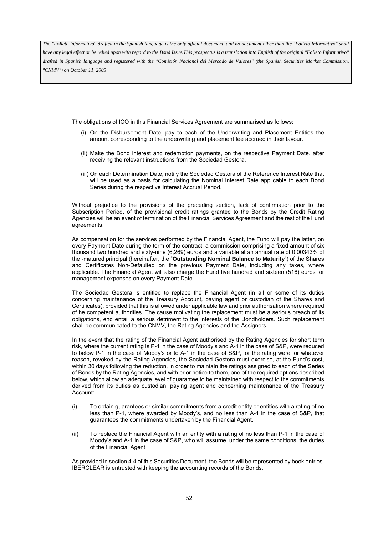*have any legal effect or be relied upon with regard to the Bond Issue.This prospectus is a translation into English of the original "Folleto Informativo" drafted in Spanish language and registered with the "Comisión Nacional del Mercado de Valores" (the Spanish Securities Market Commission, "CNMV") on October 11, 2005*

The obligations of ICO in this Financial Services Agreement are summarised as follows:

- (i) On the Disbursement Date, pay to each of the Underwriting and Placement Entities the amount corresponding to the underwriting and placement fee accrued in their favour.
- (ii) Make the Bond interest and redemption payments, on the respective Payment Date, after receiving the relevant instructions from the Sociedad Gestora.
- (iii) On each Determination Date, notify the Sociedad Gestora of the Reference Interest Rate that will be used as a basis for calculating the Nominal Interest Rate applicable to each Bond Series during the respective Interest Accrual Period.

Without prejudice to the provisions of the preceding section, lack of confirmation prior to the Subscription Period, of the provisional credit ratings granted to the Bonds by the Credit Rating Agencies will be an event of termination of the Financial Services Agreement and the rest of the Fund agreements.

As compensation for the services performed by the Financial Agent, the Fund will pay the latter, on every Payment Date during the term of the contract, a commission comprising a fixed amount of six thousand two hundred and sixty-nine (6,269) euros and a variable at an annual rate of 0.00343% of the -matured principal (hereinafter, the "**Outstanding Nominal Balance to Maturity**") of the Shares and Certificates Non-Defaulted on the previous Payment Date, including any taxes, where applicable. The Financial Agent will also charge the Fund five hundred and sixteen (516) euros for management expenses on every Payment Date.

The Sociedad Gestora is entitled to replace the Financial Agent (in all or some of its duties concerning maintenance of the Treasury Account, paying agent or custodian of the Shares and Certificates), provided that this is allowed under applicable law and prior authorisation where required of he competent authorities. The cause motivating the replacement must be a serious breach of its obligations, end entail a serious detriment to the interests of the Bondholders. Such replacement shall be communicated to the CNMV, the Rating Agencies and the Assignors.

In the event that the rating of the Financial Agent authorised by the Rating Agencies for short term risk, where the current rating is P-1 in the case of Moody's and A-1 in the case of S&P, were reduced to below P-1 in the case of Moody's or to A-1 in the case of S&P,, or the rating were for whatever reason, revoked by the Rating Agencies, the Sociedad Gestora must exercise, at the Fund's cost, within 30 days following the reduction, in order to maintain the ratings assigned to each of the Series of Bonds by the Rating Agencies, and with prior notice to them, one of the required options described below, which allow an adequate level of guarantee to be maintained with respect to the commitments derived from its duties as custodian, paying agent and concerning maintenance of the Treasury Account:

- (i) To obtain guarantees or similar commitments from a credit entity or entities with a rating of no less than P-1, where awarded by Moody's, and no less than A-1 in the case of S&P, that guarantees the commitments undertaken by the Financial Agent.
- (ii) To replace the Financial Agent with an entity with a rating of no less than P-1 in the case of Moody's and A-1 in the case of S&P, who will assume, under the same conditions, the duties of the Financial Agent

As provided in section 4.4 of this Securities Document, the Bonds will be represented by book entries. IBERCLEAR is entrusted with keeping the accounting records of the Bonds.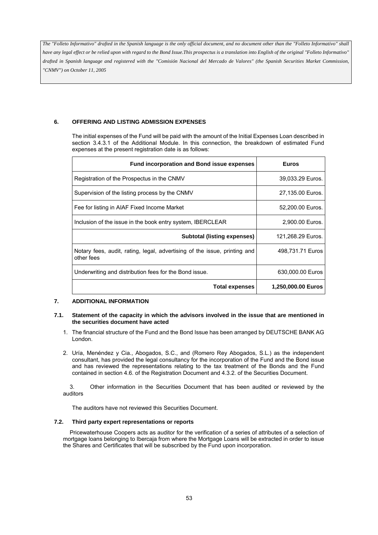# **6. OFFERING AND LISTING ADMISSION EXPENSES**

The initial expenses of the Fund will be paid with the amount of the Initial Expenses Loan described in section 3.4.3.1 of the Additional Module. In this connection, the breakdown of estimated Fund expenses at the present registration date is as follows:

| <b>Fund incorporation and Bond issue expenses</b>                                       | <b>Euros</b>       |
|-----------------------------------------------------------------------------------------|--------------------|
| Registration of the Prospectus in the CNMV                                              | 39,033.29 Euros.   |
| Supervision of the listing process by the CNMV                                          | 27,135.00 Euros.   |
| Fee for listing in AIAF Fixed Income Market                                             | 52,200.00 Euros.   |
| Inclusion of the issue in the book entry system, IBERCLEAR                              | 2,900.00 Euros.    |
| Subtotal (listing expenses)                                                             | 121,268.29 Euros.  |
| Notary fees, audit, rating, legal, advertising of the issue, printing and<br>other fees | 498,731.71 Euros   |
| Underwriting and distribution fees for the Bond issue.                                  | 630,000.00 Euros   |
| <b>Total expenses</b>                                                                   | 1,250,000.00 Euros |

# **7. ADDITIONAL INFORMATION**

# **7.1. Statement of the capacity in which the advisors involved in the issue that are mentioned in the securities document have acted**

- 1. The financial structure of the Fund and the Bond Issue has been arranged by DEUTSCHE BANK AG London.
- 2. Uría, Menéndez y Cia., Abogados, S.C., and (Romero Rey Abogados, S.L.) as the independent consultant, has provided the legal consultancy for the incorporation of the Fund and the Bond issue and has reviewed the representations relating to the tax treatment of the Bonds and the Fund contained in section 4.6. of the Registration Document and 4.3.2. of the Securities Document.

3. Other information in the Securities Document that has been audited or reviewed by the auditors

The auditors have not reviewed this Securities Document.

# **7.2. Third party expert representations or reports**

Pricewaterhouse Coopers acts as auditor for the verification of a series of attributes of a selection of mortgage loans belonging to Ibercaja from where the Mortgage Loans will be extracted in order to issue the Shares and Certificates that will be subscribed by the Fund upon incorporation.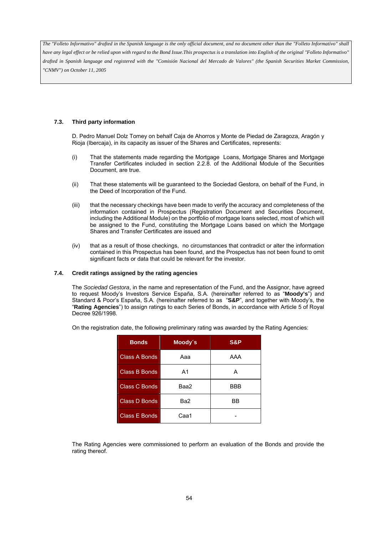# **7.3. Third party information**

D. Pedro Manuel Dolz Tomey on behalf Caja de Ahorros y Monte de Piedad de Zaragoza, Aragón y Rioja (Ibercaja), in its capacity as issuer of the Shares and Certificates, represents:

- (i) That the statements made regarding the Mortgage Loans, Mortgage Shares and Mortgage Transfer Certificates included in section 2.2.8. of the Additional Module of the Securities Document, are true.
- (ii) That these statements will be guaranteed to the Sociedad Gestora, on behalf of the Fund, in the Deed of Incorporation of the Fund.
- (iii) that the necessary checkings have been made to verify the accuracy and completeness of the information contained in Prospectus (Registration Document and Securities Document, including the Additional Module) on the portfolio of mortgage loans selected, most of which will be assigned to the Fund, constituting the Mortgage Loans based on which the Mortgage Shares and Transfer Certificates are issued and
- (iv) that as a result of those checkings, no circumstances that contradict or alter the information contained in this Prospectus has been found, and the Prospectus has not been found to omit significant facts or data that could be relevant for the investor.

#### **7.4. Credit ratings assigned by the rating agencies**

The *Sociedad Gestora*, in the name and representation of the Fund, and the Assignor, have agreed to request Moody's Investors Service España, S.A. (hereinafter referred to as "**Moody's**") and Standard & Poor's España, S.A. (hereinafter referred to as "**S&P**", and together with Moody's, the "**Rating Agencies**") to assign ratings to each Series of Bonds, in accordance with Article 5 of Royal Decree 926/1998.

| <b>Bonds</b>         | Moody's | S&P |  |  |
|----------------------|---------|-----|--|--|
| Class A Bonds        | Ааа     | AAA |  |  |
| Class B Bonds        | A1      | А   |  |  |
| <b>Class C Bonds</b> | Baa2    | BBB |  |  |
| Class D Bonds        | Ba2     | ΒB  |  |  |
| Class E Bonds        | Caa1    |     |  |  |

On the registration date, the following preliminary rating was awarded by the Rating Agencies:

The Rating Agencies were commissioned to perform an evaluation of the Bonds and provide the rating thereof.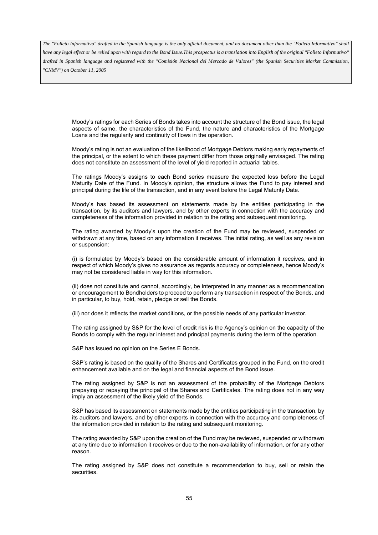*have any legal effect or be relied upon with regard to the Bond Issue.This prospectus is a translation into English of the original "Folleto Informativo" drafted in Spanish language and registered with the "Comisión Nacional del Mercado de Valores" (the Spanish Securities Market Commission, "CNMV") on October 11, 2005*

Moody's ratings for each Series of Bonds takes into account the structure of the Bond issue, the legal aspects of same, the characteristics of the Fund, the nature and characteristics of the Mortgage Loans and the regularity and continuity of flows in the operation.

Moody's rating is not an evaluation of the likelihood of Mortgage Debtors making early repayments of the principal, or the extent to which these payment differ from those originally envisaged. The rating does not constitute an assessment of the level of yield reported in actuarial tables.

The ratings Moody's assigns to each Bond series measure the expected loss before the Legal Maturity Date of the Fund. In Moody's opinion, the structure allows the Fund to pay interest and principal during the life of the transaction, and in any event before the Legal Maturity Date.

Moody's has based its assessment on statements made by the entities participating in the transaction, by its auditors and lawyers, and by other experts in connection with the accuracy and completeness of the information provided in relation to the rating and subsequent monitoring.

The rating awarded by Moody's upon the creation of the Fund may be reviewed, suspended or withdrawn at any time, based on any information it receives. The initial rating, as well as any revision or suspension:

(i) is formulated by Moody's based on the considerable amount of information it receives, and in respect of which Moody's gives no assurance as regards accuracy or completeness, hence Moody's may not be considered liable in way for this information.

(ii) does not constitute and cannot, accordingly, be interpreted in any manner as a recommendation or encouragement to Bondholders to proceed to perform any transaction in respect of the Bonds, and in particular, to buy, hold, retain, pledge or sell the Bonds.

(iii) nor does it reflects the market conditions, or the possible needs of any particular investor.

The rating assigned by S&P for the level of credit risk is the Agency's opinion on the capacity of the Bonds to comply with the regular interest and principal payments during the term of the operation.

S&P has issued no opinion on the Series E Bonds.

S&P's rating is based on the quality of the Shares and Certificates grouped in the Fund, on the credit enhancement available and on the legal and financial aspects of the Bond issue.

The rating assigned by S&P is not an assessment of the probability of the Mortgage Debtors prepaying or repaying the principal of the Shares and Certificates. The rating does not in any way imply an assessment of the likely yield of the Bonds.

S&P has based its assessment on statements made by the entities participating in the transaction, by its auditors and lawyers, and by other experts in connection with the accuracy and completeness of the information provided in relation to the rating and subsequent monitoring.

The rating awarded by S&P upon the creation of the Fund may be reviewed, suspended or withdrawn at any time due to information it receives or due to the non-availability of information, or for any other reason.

The rating assigned by S&P does not constitute a recommendation to buy, sell or retain the securities.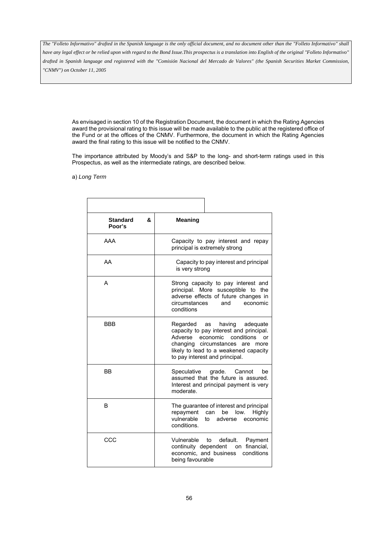*have any legal effect or be relied upon with regard to the Bond Issue.This prospectus is a translation into English of the original "Folleto Informativo" drafted in Spanish language and registered with the "Comisión Nacional del Mercado de Valores" (the Spanish Securities Market Commission, "CNMV") on October 11, 2005*

As envisaged in section 10 of the Registration Document, the document in which the Rating Agencies award the provisional rating to this issue will be made available to the public at the registered office of the Fund or at the offices of the CNMV. Furthermore, the document in which the Rating Agencies award the final rating to this issue will be notified to the CNMV.

The importance attributed by Moody's and S&P to the long- and short-term ratings used in this Prospectus, as well as the intermediate ratings, are described below.

a) *Long Term*

| ጼ<br><b>Standard</b><br>Poor's | <b>Meaning</b>                                                                                                                                                                                                                     |
|--------------------------------|------------------------------------------------------------------------------------------------------------------------------------------------------------------------------------------------------------------------------------|
| AAA                            | Capacity to pay interest and repay<br>principal is extremely strong                                                                                                                                                                |
| AA                             | Capacity to pay interest and principal<br>is very strong                                                                                                                                                                           |
| А                              | Strong capacity to pay interest and<br>principal. More susceptible to the<br>adverse effects of future changes in<br>circumstances<br>economic<br>and<br>conditions                                                                |
| BBB                            | having<br>Regarded as<br>adequate<br>capacity to pay interest and principal.<br>Adverse economic conditions<br>or<br>changing circumstances are<br>more<br>likely to lead to a weakened capacity<br>to pay interest and principal. |
| BB                             | Speculative<br>grade.<br>Cannot<br>be<br>assumed that the future is assured.<br>Interest and principal payment is very<br>moderate.                                                                                                |
| В                              | The guarantee of interest and principal<br>repayment<br>can<br>be low.<br>Highly<br>vulnerable<br>adverse<br>to<br>economic<br>conditions.                                                                                         |
| CCC                            | Vulnerable<br>default.<br>to<br>Payment<br>continuity dependent<br>financial.<br>on<br>economic, and business<br>conditions<br>being favourable                                                                                    |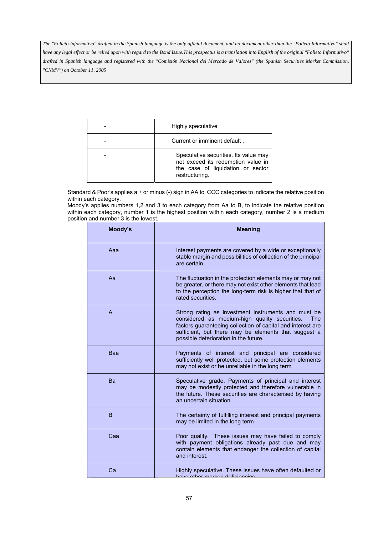| Highly speculative                                                                                                                 |
|------------------------------------------------------------------------------------------------------------------------------------|
| Current or imminent default.                                                                                                       |
| Speculative securities. Its value may<br>not exceed its redemption value in<br>the case of liquidation or sector<br>restructuring. |

Standard & Poor's applies a + or minus (-) sign in AA to CCC categories to indicate the relative position within each category.

Moody's applies numbers 1,2 and 3 to each category from Aa to B, to indicate the relative position within each category, number 1 is the highest position within each category, number 2 is a medium position and number 3 is the lowest.

| Moody's | <b>Meaning</b>                                                                                                                                                                                                                                                              |
|---------|-----------------------------------------------------------------------------------------------------------------------------------------------------------------------------------------------------------------------------------------------------------------------------|
| Aaa     | Interest payments are covered by a wide or exceptionally<br>stable margin and possibilities of collection of the principal<br>are certain                                                                                                                                   |
| Aa      | The fluctuation in the protection elements may or may not<br>be greater, or there may not exist other elements that lead<br>to the perception the long-term risk is higher that that of<br>rated securities.                                                                |
| A       | Strong rating as investment instruments and must be<br>considered as medium-high quality securities.<br>The<br>factors guaranteeing collection of capital and interest are<br>sufficient, but there may be elements that suggest a<br>possible deterioration in the future. |
| Baa     | Payments of interest and principal are considered<br>sufficiently well protected, but some protection elements<br>may not exist or be unreliable in the long term                                                                                                           |
| Ba      | Speculative grade. Payments of principal and interest<br>may be modestly protected and therefore vulnerable in<br>the future. These securities are characterised by having<br>an uncertain situation.                                                                       |
| B       | The certainty of fulfilling interest and principal payments<br>may be limited in the long term                                                                                                                                                                              |
| Caa     | Poor quality. These issues may have failed to comply<br>with payment obligations already past due and may<br>contain elements that endanger the collection of capital<br>and interest.                                                                                      |
| Ca      | Highly speculative. These issues have often defaulted or<br>have other marked deficiencies                                                                                                                                                                                  |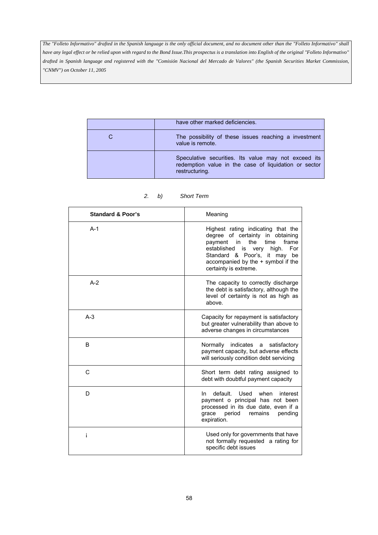| have other marked deficiencies.                                                                                                 |
|---------------------------------------------------------------------------------------------------------------------------------|
| The possibility of these issues reaching a investment<br>value is remote.                                                       |
| Speculative securities. Its value may not exceed its<br>redemption value in the case of liquidation or sector<br>restructuring. |

| <b>Standard &amp; Poor's</b> | Meaning                                                                                                                                                                                                                                                     |
|------------------------------|-------------------------------------------------------------------------------------------------------------------------------------------------------------------------------------------------------------------------------------------------------------|
| $A-1$                        | Highest rating indicating that the<br>degree of certainty in obtaining<br>the<br>time<br>frame<br>payment<br>in<br>established<br>For<br>is<br>high.<br>very<br>Standard & Poor's, it may be<br>accompanied by the + symbol if the<br>certainty is extreme. |
| $A-2$                        | The capacity to correctly discharge<br>the debt is satisfactory, although the<br>level of certainty is not as high as<br>above.                                                                                                                             |
| $A-3$                        | Capacity for repayment is satisfactory<br>but greater vulnerability than above to<br>adverse changes in circumstances                                                                                                                                       |
| B                            | Normally<br>indicates<br>satisfactory<br>a<br>payment capacity, but adverse effects<br>will seriously condition debt servicing                                                                                                                              |
| C                            | Short term debt rating assigned to<br>debt with doubtful payment capacity                                                                                                                                                                                   |
| D                            | default. Used<br>when<br>interest<br>In.<br>payment o principal has not been<br>processed in its due date, even if a<br>period<br>remains<br>grace<br>pending<br>expiration.                                                                                |
| i                            | Used only for governments that have<br>not formally requested a rating for<br>specific debt issues                                                                                                                                                          |

# *2. b) Short Term*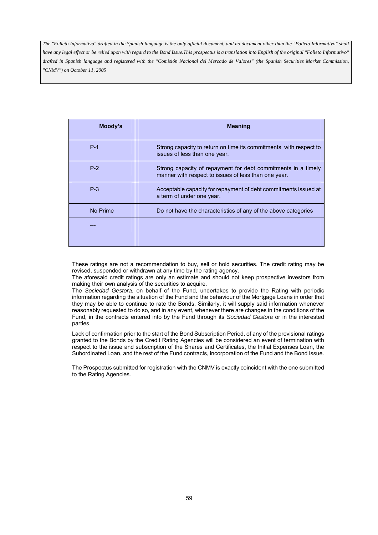| Moody's  | <b>Meaning</b>                                                                                                        |
|----------|-----------------------------------------------------------------------------------------------------------------------|
| $P-1$    | Strong capacity to return on time its commitments with respect to<br>issues of less than one year.                    |
| $P-2$    | Strong capacity of repayment for debt commitments in a timely<br>manner with respect to issues of less than one year. |
| $P-3$    | Acceptable capacity for repayment of debt commitments issued at<br>a term of under one year.                          |
| No Prime | Do not have the characteristics of any of the above categories                                                        |
|          |                                                                                                                       |

These ratings are not a recommendation to buy, sell or hold securities. The credit rating may be revised, suspended or withdrawn at any time by the rating agency.

The aforesaid credit ratings are only an estimate and should not keep prospective investors from making their own analysis of the securities to acquire.

The *Sociedad Gestora*, on behalf of the Fund, undertakes to provide the Rating with periodic information regarding the situation of the Fund and the behaviour of the Mortgage Loans in order that they may be able to continue to rate the Bonds. Similarly, it will supply said information whenever reasonably requested to do so, and in any event, whenever there are changes in the conditions of the Fund, in the contracts entered into by the Fund through its *Sociedad Gestora* or in the interested parties.

Lack of confirmation prior to the start of the Bond Subscription Period, of any of the provisional ratings granted to the Bonds by the Credit Rating Agencies will be considered an event of termination with respect to the issue and subscription of the Shares and Certificates, the Initial Expenses Loan, the Subordinated Loan, and the rest of the Fund contracts, incorporation of the Fund and the Bond Issue.

The Prospectus submitted for registration with the CNMV is exactly coincident with the one submitted to the Rating Agencies.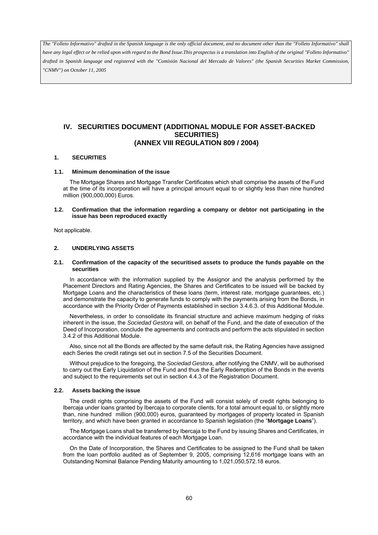*have any legal effect or be relied upon with regard to the Bond Issue.This prospectus is a translation into English of the original "Folleto Informativo" drafted in Spanish language and registered with the "Comisión Nacional del Mercado de Valores" (the Spanish Securities Market Commission, "CNMV") on October 11, 2005*

# **IV. SECURITIES DOCUMENT (ADDITIONAL MODULE FOR ASSET-BACKED SECURITIES) (ANNEX VIII REGULATION 809 / 2004)**

### **1. SECURITIES**

#### **1.1. Minimum denomination of the issue**

The Mortgage Shares and Mortgage Transfer Certificates which shall comprise the assets of the Fund at the time of its incorporation will have a principal amount equal to or slightly less than nine hundred million (900,000,000) Euros.

#### **1.2. Confirmation that the information regarding a company or debtor not participating in the issue has been reproduced exactly**

Not applicable.

# **2. UNDERLYING ASSETS**

#### **2.1. Confirmation of the capacity of the securitised assets to produce the funds payable on the securities**

In accordance with the information supplied by the Assignor and the analysis performed by the Placement Directors and Rating Agencies, the Shares and Certificates to be issued will be backed by Mortgage Loans and the characteristics of these loans (term, interest rate, mortgage guarantees, etc.) and demonstrate the capacity to generate funds to comply with the payments arising from the Bonds, in accordance with the Priority Order of Payments established in section 3.4.6.3. of this Additional Module.

Nevertheless, in order to consolidate its financial structure and achieve maximum hedging of risks inherent in the issue, the *Sociedad Gestora* will, on behalf of the Fund, and the date of execution of the Deed of Incorporation, conclude the agreements and contracts and perform the acts stipulated in section 3.4.2 of this Additional Module.

Also, since not all the Bonds are affected by the same default risk, the Rating Agencies have assigned each Series the credit ratings set out in section 7.5 of the Securities Document.

Without prejudice to the foregoing, the *Sociedad Gestora*, after notifying the CNMV, will be authorised to carry out the Early Liquidation of the Fund and thus the Early Redemption of the Bonds in the events and subject to the requirements set out in section 4.4.3 of the Registration Document.

#### **2.2. Assets backing the issue**

The credit rights comprising the assets of the Fund will consist solely of credit rights belonging to Ibercaja under loans granted by Ibercaja to corporate clients, for a total amount equal to, or slightly more than, nine hundred million (900,000) euros, guaranteed by mortgages of property located in Spanish territory, and which have been granted in accordance to Spanish legislation (the "**Mortgage Loans**").

The Mortgage Loans shall be transferred by Ibercaja to the Fund by issuing Shares and Certificates, in accordance with the individual features of each Mortgage Loan.

On the Date of Incorporation, the Shares and Certificates to be assigned to the Fund shall be taken from the loan portfolio audited as of September 9, 2005, comprising 12,616 mortgage loans with an Outstanding Nominal Balance Pending Maturity amounting to 1,021,050,572.18 euros.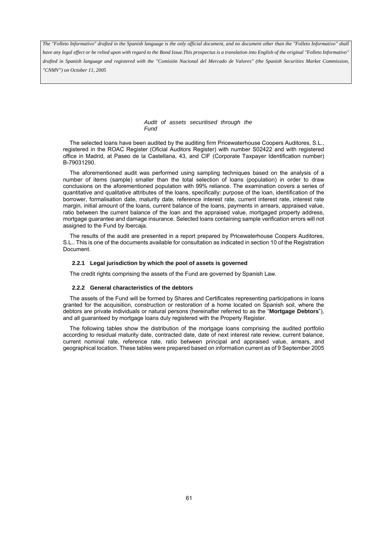*have any legal effect or be relied upon with regard to the Bond Issue.This prospectus is a translation into English of the original "Folleto Informativo" drafted in Spanish language and registered with the "Comisión Nacional del Mercado de Valores" (the Spanish Securities Market Commission, "CNMV") on October 11, 2005*

> *Audit of assets securitised through the Fund*

The selected loans have been audited by the auditing firm Pricewaterhouse Coopers Auditores, S.L., registered in the ROAC Register (Oficial Auditors Register) with number S02422 and with registered office in Madrid, at Paseo de la Castellana, 43, and CIF (Corporate Taxpayer Identification number) B-79031290.

The aforementioned audit was performed using sampling techniques based on the analysis of a number of items (sample) smaller than the total selection of loans (population) in order to draw conclusions on the aforementioned population with 99% reliance. The examination covers a series of quantitative and qualitative attributes of the loans, specifically: purpose of the loan, identification of the borrower, formalisation date, maturity date, reference interest rate, current interest rate, interest rate margin, initial amount of the loans, current balance of the loans, payments in arrears, appraised value, ratio between the current balance of the loan and the appraised value, mortgaged property address, mortgage guarantee and damage insurance. Selected loans containing sample verification errors will not assigned to the Fund by Ibercaja.

The results of the audit are presented in a report prepared by Pricewaterhouse Coopers Auditores, S.L.. This is one of the documents available for consultation as indicated in section 10 of the Registration Document.

#### **2.2.1 Legal jurisdiction by which the pool of assets is governed**

The credit rights comprising the assets of the Fund are governed by Spanish Law.

#### **2.2.2 General characteristics of the debtors**

The assets of the Fund will be formed by Shares and Certificates representing participations in loans granted for the acquisition, construction or restoration of a home located on Spanish soil, where the debtors are private individuals or natural persons (hereinafter referred to as the "**Mortgage Debtors**"), and all guaranteed by mortgage loans duly registered with the Property Register.

The following tables show the distribution of the mortgage loans comprising the audited portfolio according to residual maturity date, contracted date, date of next interest rate review, current balance, current nominal rate, reference rate, ratio between principal and appraised value, arrears, and geographical location. These tables were prepared based on information current as of 9 September 2005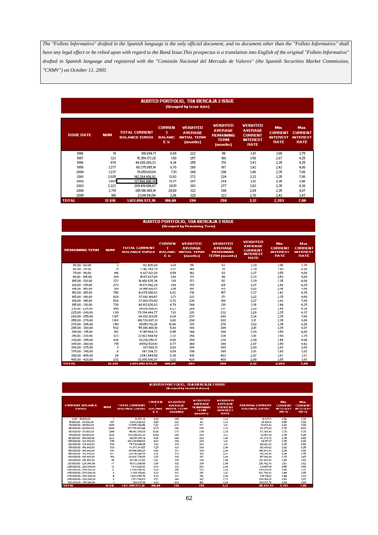# AUDITED PORTFOLIO, TDA IBERCAJA 2 ISSUE<br>(Grouped by issue date)

| <b>ISSUE DATE</b> | <b>NUM</b> | <b>TOTAL CURRENT</b><br><b>BALANCE EUROS</b> | <b>CURREN</b><br>т<br><b>BALANC</b><br>E % | <b>VEIGHTED</b><br><b>AVERAGE</b><br><b>INITIAL TERM</b><br>(months) | <b>VEIGHTED</b><br><b>AVERAGE</b><br><b>REMAINING</b><br><b>TERM</b><br>(months) | <b>VEIGHTED</b><br><b>AVERAGE</b><br><b>CURRENT</b><br><b>INTEREST</b><br><b>RATE</b> | Min.<br><b>CURRENT</b><br><b>INTEREST</b><br><b>RATE</b> | Max.<br><b>CURRENT</b><br><b>INTEREST</b><br><b>RATE</b> |
|-------------------|------------|----------------------------------------------|--------------------------------------------|----------------------------------------------------------------------|----------------------------------------------------------------------------------|---------------------------------------------------------------------------------------|----------------------------------------------------------|----------------------------------------------------------|
| 1996              | 19         | 910.694.71                                   | 0.09                                       | 222                                                                  | 116                                                                              | 3,41                                                                                  | 3.08                                                     | 3.75                                                     |
| 1997              | 323        | 15.354.173.28                                | 1,50                                       | 257                                                                  | 160                                                                              | 3,50                                                                                  | 2,67                                                     | 4.25                                                     |
| 1998              | 874        | 44.288.268.33                                | 4.34                                       | 255                                                                  | 170                                                                              | 3,43                                                                                  | 2,35                                                     | 4,25                                                     |
| 1999              | 1.277      | 68.375.885.14                                | 6,70                                       | 260                                                                  | 187                                                                              | 3,42                                                                                  | 2.42                                                     | 4.00                                                     |
| 2000              | 1.237      | 76.659.611.09                                | 7,51                                       | 268                                                                  | 206                                                                              | 3,46                                                                                  | 2,35                                                     | 7,00                                                     |
| 2001              | 2.025      | 142.264.406.82                               | 13,93                                      | 272                                                                  | 224                                                                              | 3,33                                                                                  | 2,35                                                     | 7,00                                                     |
| 2002              | 1.667      | 137.566.995,46                               | 13,47                                      | 287                                                                  | 249                                                                              | 3,12                                                                                  | 2,35                                                     | 3,96                                                     |
| 2003              | 2.223      | 209.419.006.67                               | 20,51                                      | 303                                                                  | 277                                                                              | 3.03                                                                                  | 2,35                                                     | 4,36                                                     |
| 2004              | 2.791      | 305.196.989.14                               | 29,89                                      | 322                                                                  | 308                                                                              | 2.89                                                                                  | 2,35                                                     | 4,87                                                     |
| 2005              | 180        | 21.014.541.54                                | 2,06                                       | 329                                                                  | 323                                                                              | 2,76                                                                                  | 2,42                                                     | 3,47                                                     |
| <b>TOTAL</b>      | 12.616     | 1.021.050.572.18                             | 100,00                                     | 294                                                                  | 258                                                                              | 3,12                                                                                  | 2,353                                                    | 7,00                                                     |

# AUDITED PORTFOLIO, TDA IBERCAJA 2 ISSUE<br>(Grouped by Remaining Term)

| <b>REMAINING TERM</b> | <b>NUM</b> | <b>TOTAL CURRENT</b><br><b>BALANCE EUROS</b> | <b>CURREN</b><br>т<br><b>BALANC</b><br>E % | <b>VEIGHTED</b><br><b>AVERAGE</b><br><b>INITIAL TERM</b><br>(months) | <b>VEIGHTED</b><br><b>AVERAGE</b><br><b>REMAINING</b><br><b>TERM</b> (months) | <b>VEIGHTED</b><br><b>AVERAGE</b><br><b>CURRENT</b><br><b>INTEREST</b><br><b>RATE</b> | Min.<br><b>CURRENT</b><br><b>INTEREST</b><br><b>RATE</b> | Max.<br><b>CURRENT</b><br><b>INTEREST</b><br><b>RATE</b> |
|-----------------------|------------|----------------------------------------------|--------------------------------------------|----------------------------------------------------------------------|-------------------------------------------------------------------------------|---------------------------------------------------------------------------------------|----------------------------------------------------------|----------------------------------------------------------|
| $45.00 - 60.00$       | з.         | 152.405.69                                   | 0,01                                       | 115                                                                  | 53                                                                            | 3,29                                                                                  | 2.95                                                     | 3,75                                                     |
| $60.00 - 75.00$       | 31         | 1246.749.29                                  | 0.12                                       | 144                                                                  | 70                                                                            | 3.39                                                                                  | 2.60                                                     | 6.00                                                     |
| 75,00 - 90,00         | 146        | 6.027.021,30                                 | 0.59                                       | 162                                                                  | 83                                                                            | 3,37                                                                                  | 2,55                                                     | 4.00                                                     |
| $90,00 - 105,00$      | 349        | 15.117.627,60                                | 1,48                                       | 171                                                                  | 98                                                                            | 3,33                                                                                  | 2,52                                                     | 4,00                                                     |
| 105,00 - 120,00       | 372        | 18.466.625.34                                | 1.81                                       | 173                                                                  | 112                                                                           | 3,29                                                                                  | 2,35                                                     | 4,00                                                     |
| 120.00 - 135.00       | 273        | 14.671.992.29                                | 1,44                                       | 178                                                                  | 128                                                                           | 3.27                                                                                  | 2,44                                                     | 6,25                                                     |
| 135,00 - 150,00       | 391        | 21.955.199,67                                | 2,15                                       | 196                                                                  | 142                                                                           | 3,22                                                                                  | 2,35                                                     | 4,00                                                     |
| 150,00 - 165,00       | 756        | 41.079.098,63                                | 4.02                                       | 218                                                                  | 157                                                                           | 3,27                                                                                  | 2.42                                                     | 4,25                                                     |
| 165.00 - 180.00       | 628        | 37.892.148.67                                | 3,71                                       | 221                                                                  | 171                                                                           | 3,22                                                                                  | 2,35                                                     | 4,00                                                     |
| 180.00 - 195.00       | 582        | 37.968.170,92                                | 3.72                                       | 236                                                                  | 188                                                                           | 3.27                                                                                  | 2,42                                                     | 7,00                                                     |
| 195,00 - 210,00       | 726        | 48.913.626.03                                | 4.79                                       | 244                                                                  | 201                                                                           | 3.19                                                                                  | 2.44                                                     | 4,25                                                     |
| 210,00 - 225,00       | 945        | 64.015.886,01                                | 6,27                                       | 264                                                                  | 217                                                                           | 3,20                                                                                  | 2,44                                                     | 4,36                                                     |
| 225.00 - 240.00       | 1.119      | 79.704.464.77                                | 7.81                                       | 281                                                                  | 232                                                                           | 3.28                                                                                  | 2,35                                                     | 4,37                                                     |
| 240,00 - 255,00       | 1.107      | 84.092.129,95                                | 8.24                                       | 297                                                                  | 248                                                                           | 3.34                                                                                  | 2.35                                                     | 7.00                                                     |
| 255.00 - 270.00       | 1.164      | 100.724.687.31                               | 9.86                                       | 299                                                                  | 262                                                                           | 3.11                                                                                  | 2,35                                                     | 4,00                                                     |
| 270.00 - 285.00       | 1.151      | 110.853.112.26                               | 10,86                                      | 301                                                                  | 276                                                                           | 3.02                                                                                  | 2.35                                                     | 4.25                                                     |
| 285,00 - 300,00       | 532        | 55.086.960,18                                | 5,40                                       | 304                                                                  | 289                                                                           | 2,91                                                                                  | 2,35                                                     | 4,87                                                     |
| 300,00 - 315,00       | 102        | 9.745.564,33                                 | 0,95                                       | 344                                                                  | 308                                                                           | 3,20                                                                                  | 2,50                                                     | 4,00                                                     |
| 315,00 - 330,00       | 323        | 33.863.584.58                                | 3.32                                       | 356                                                                  | 324                                                                           | 3,10                                                                                  | 2.50                                                     | 3.75                                                     |
| 330,00 - 345,00       | 936        | 112.292.051,17                               | 11.00                                      | 359                                                                  | 338                                                                           | 2.99                                                                                  | 2.44                                                     | 4.00                                                     |
| 345,00 - 360,00       | 715        | 89.512.539,61                                | 8,77                                       | 360                                                                  | 348                                                                           | 2,87                                                                                  | 2,50                                                     | 4.62                                                     |
| 360,00 - 375,00       | з          | 307.880,31                                   | 0,03                                       | 384                                                                  | 369                                                                           | 2,99                                                                                  | 2,83                                                     | 3,09                                                     |
| 375,00 - 390,00       | 6          | 947.204,72                                   | 0.09                                       | 398                                                                  | 380                                                                           | 2,81                                                                                  | 2,60                                                     | 3,02                                                     |
| 390.00 - 405.00       | 24         | 3.547.844.58                                 | 0.35                                       | 419                                                                  | 403                                                                           | 2.97                                                                                  | 2,67                                                     | 3,17                                                     |
| 405.00 - 420.00       | 232        | 32.865.996,97                                | 3,22                                       | 420                                                                  | 409                                                                           | 2,88                                                                                  | 2,55                                                     | 3,61                                                     |
| <b>TOTAL</b>          | 12.616     | 1.021.050.572.18                             | 100,00                                     | 294                                                                  | 258                                                                           | 3,12                                                                                  | 2,353                                                    | 7.00                                                     |

| <b>AUDITED PORTFOLIO, TDA IBERCAJA 2 ISSUE</b><br>(Grouped by current balance) |            |                                              |                                            |                                                                                    |                                                                                  |                                                                                       |                                                |                                                          |                                                          |  |
|--------------------------------------------------------------------------------|------------|----------------------------------------------|--------------------------------------------|------------------------------------------------------------------------------------|----------------------------------------------------------------------------------|---------------------------------------------------------------------------------------|------------------------------------------------|----------------------------------------------------------|----------------------------------------------------------|--|
| <b>CURRENT BALANCE</b><br><b>EUROS</b>                                         | <b>NUM</b> | <b>TOTAL CURRENT</b><br><b>BALANCE EUROS</b> | <b>CURREN</b><br>т<br><b>BALANC</b><br>E % | <b>VEIGHTED</b><br><b>AVERAGE</b><br><b>INITIAL TERM</b><br><i><b>fmonths)</b></i> | <b>VEIGHTED</b><br><b>AVERAGE</b><br><b>REMAINING</b><br><b>TERM</b><br>(months) | <b>VEIGHTED</b><br><b>AVERAGE</b><br><b>CURRENT</b><br><b>INTEREST</b><br><b>RATE</b> | <b>AVERAGE CURRENT</b><br><b>BALANCE EUROS</b> | Min.<br><b>CURRENT</b><br><b>INTEREST</b><br><b>RATE</b> | Max.<br><b>CURRENT</b><br><b>INTEREST</b><br><b>RATE</b> |  |
| $0.00 - 15.000.00$                                                             | 3          | 31,253.12                                    | 0.00                                       | 206                                                                                | 190                                                                              | 3.22                                                                                  | 10.417.71                                      | 2,92                                                     | 3.38                                                     |  |
| 15,000,00 - 30,000,00                                                          | 357        | 9.683.628.23                                 | 0.95                                       | 220                                                                                | 161                                                                              | 3.48                                                                                  | 27.125.01                                      | 2.55                                                     | 7.00                                                     |  |
| 30.000.00 - 45.000.00                                                          | 1925       | 73,505,392.66                                | 7,20                                       | 237                                                                                | 177                                                                              | 3,41                                                                                  | 38.184.62                                      | 2,42                                                     | 7,00                                                     |  |
| 45,000,00 - 60,000,00                                                          | 2468       | 129.756.803.44                               | 12.71                                      | 260                                                                                | 205                                                                              | 3.33                                                                                  | 52.575.69                                      | 2.35                                                     | 4.62                                                     |  |
| 60,000.00 - 75,000.00                                                          | 2100       | 141.140.768.09                               | 13.82                                      | 275                                                                                | 230                                                                              | 3.25                                                                                  | 67.209.89                                      | 2,35                                                     | 6.75                                                     |  |
| 75,000,00 - 90,000,00                                                          | 1620       | 133.090.062.21                               | 13,03                                      | 289                                                                                | 253                                                                              | 3,12                                                                                  | 82.154.36                                      | 2,35                                                     | 4,25                                                     |  |
| 90.000.00 - 105.000.00                                                         | 1223       | 118.971.359.18                               | 11.65                                      | 300                                                                                | 269                                                                              | 3.06                                                                                  | 97.278.30                                      | 2.35                                                     | 6.50                                                     |  |
| 105.000,00 - 120.000,00                                                        | 895        | 100.398.569,83                               | 9,83                                       | 308                                                                                | 280                                                                              | 3,01                                                                                  | 112.177.17                                     | 2,35                                                     | 4.00                                                     |  |
| 120.000.00 - 135.000.00                                                        | 598        | 75.719.846.08                                | 7,42                                       | 319                                                                                | 293                                                                              | 3,01                                                                                  | 126.621.82                                     | 2,35                                                     | 6,50                                                     |  |
| 135,000,00 - 150,000,00                                                        | 520        | 74.073.541.57                                | 7.25                                       | 324                                                                                | 300                                                                              | 2.96                                                                                  | 142.449.12                                     | 2.42                                                     | 4.25                                                     |  |
| 150.000.00 - 165.000.00                                                        | 293        | 45.966.964.27                                | 4,50                                       | 331                                                                                | 309                                                                              | 2,96                                                                                  | 156.883.84                                     | 2,35                                                     | 4,00                                                     |  |
| 165.000.00 - 180.000.00                                                        | 244        | 42.045.826.77                                | 4,12                                       | 339                                                                                | 319                                                                              | 2.94                                                                                  | 172.318.96                                     | 2,35                                                     | 3.75                                                     |  |
| 180.000,00 - 195.000,00                                                        | 154        | 28.826.774.05                                | 2,82                                       | 336                                                                                | 317                                                                              | 2,89                                                                                  | 187.186.84                                     | 2,35                                                     | 3,47                                                     |  |
| 195,000.00 - 210,000.00                                                        | 98         | 19.790.122.66                                | 1.94                                       | 345                                                                                | 326                                                                              | 2.88                                                                                  | 201.940.03                                     | 2.44                                                     | 3.42                                                     |  |
| 210.000.00 - 225.000.00                                                        | 47         | 10.173.265.60                                | 1,00                                       | 328                                                                                | 305                                                                              | 2,90                                                                                  | 216.452.46                                     | 2,51                                                     | 3,62                                                     |  |
| 225.000.00 - 240.000.00                                                        | 32         | 7.413.028.93                                 | 0.73                                       | 312                                                                                | 294                                                                              | 2.85                                                                                  | 231,657,15                                     | 2.55                                                     | 3.50                                                     |  |
| 240.000.00 - 255.000.00                                                        | 12         | 2.990.506.92                                 | 0,29                                       | 350                                                                                | 338                                                                              | 2,80                                                                                  | 249.208.91                                     | 2,44                                                     | 3,13                                                     |  |
| 255,000,00 - 270,000,00                                                        | 9          | 2.365.189.43                                 | 0.23                                       | 333                                                                                | 319                                                                              | 2.81                                                                                  | 262,798.83                                     | 2.44                                                     | 3.05                                                     |  |
| 270.000.00 - 285.000.00                                                        | 11         | 3.043.855.35                                 | 0,30                                       | 333                                                                                | 318                                                                              | 2,88                                                                                  | 276.714.12                                     | 2.44                                                     | 3,22                                                     |  |
| 285,000.00 - 300,000.00                                                        | 6          | 1,763,796.03                                 | 0,17                                       | 360                                                                                | 347                                                                              | 2,73                                                                                  | 293,966.01                                     | 2,60                                                     | 2,87                                                     |  |
| 300.000.00 - 315.000.00                                                        |            | 300.017.76                                   | 0.03                                       | 420                                                                                | 412                                                                              | 2.69                                                                                  | 300.017.76                                     | 2.69                                                     | 2.69                                                     |  |
| <b>TOTAL</b>                                                                   | 12.616     | 1.021.050.572.18                             | 100.00                                     | 294                                                                                | 258                                                                              | 3,12                                                                                  | 80.932.99                                      | 2.353                                                    | 7,00                                                     |  |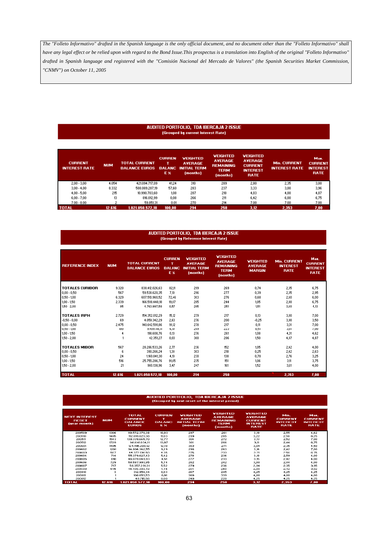# AUDITED PORTFOLIO, TDA IBERCAJA 2 ISSUE<br>(Grouped by current Interest Rate)

| <b>CURRENT</b><br><b>INTEREST RATE</b> | <b>NUM</b> | <b>TOTAL CURRENT</b><br><b>BALANCE EUROS</b> | <b>CURREN</b><br><b>BALANC</b><br>E % | <b>VEIGHTED</b><br><b>AVERAGE</b><br><b>INITIAL TERM</b><br>(months) | <b>VEIGHTED</b><br><b>AVERAGE</b><br><b>REMAINING</b><br><b>TERM</b><br>(months) | <b>VEIGHTED</b><br><b>AVERAGE</b><br><b>CURRENT</b><br><b>INTEREST</b><br><b>RATE</b> | <b>Min. CURRENT</b><br><b>INTEREST RATE</b> | Max.<br><b>CURRENT</b><br><b>INTEREST</b><br><b>RATE</b> |
|----------------------------------------|------------|----------------------------------------------|---------------------------------------|----------------------------------------------------------------------|----------------------------------------------------------------------------------|---------------------------------------------------------------------------------------|---------------------------------------------|----------------------------------------------------------|
| $2.00 - 3.00$                          | 4.054      | 421.094.717.09                               | 41,24                                 | 310                                                                  | 289                                                                              | 2,80                                                                                  | 2,35                                        | 3,00                                                     |
| $3.00 - 4.00$                          | 8.332      | 588.089.287,19                               | 57,60                                 | 283                                                                  | 237                                                                              | 3,33                                                                                  | 3,00                                        | 3,96                                                     |
| $4.00 - 5.00$                          | 215        | 10.990.703.60                                | 1.08                                  | 287                                                                  | 218                                                                              | 4.03                                                                                  | 4.00                                        | 4,87                                                     |
| $6.00 - 7.00$                          | 13         | 816.012.99                                   | 0,08                                  | 266                                                                  | 211                                                                              | 6,42                                                                                  | 6,00                                        | 6,75                                                     |
| $7.00 - 8.00$                          | 2          | 59.851.31                                    | 0.01                                  | 270                                                                  | 214                                                                              | 7.00                                                                                  | 7.00                                        | 7.00                                                     |
| <b>TOTAL</b>                           | 12.616     | 1.021.050.572.18                             | 100,00                                | 294                                                                  | 258                                                                              | 3,12                                                                                  | 2,353                                       | 7.00                                                     |

#### **AUDITED PORTFOLIO, TDA IBERCAJA 2 ISSUE** (Grouped by Reference Interest Rate)

| <b>REFERENCE INDEX</b> | <b>NUM</b> | <b>TOTAL CURRENT</b><br><b>BALANCE EUROS</b> | <b>CURREN</b><br>т<br><b>BALANC</b><br>E % | <b>VEIGHTED</b><br><b>AVERAGE</b><br><b>INITIAL TERM</b><br>(months) | <b>VEIGHTED</b><br><b>AVERAGE</b><br><b>REMAINING</b><br><b>TERM</b><br>(months) | <b>VEIGHTED</b><br><b>AVERAGE</b><br><b>MARGIN</b> | <b>Min. CURRENT</b><br><b>INTEREST</b><br><b>RATE</b> | Maz.<br><b>CURRENT</b><br><b>INTEREST</b><br><b>RATE</b> |
|------------------------|------------|----------------------------------------------|--------------------------------------------|----------------------------------------------------------------------|----------------------------------------------------------------------------------|----------------------------------------------------|-------------------------------------------------------|----------------------------------------------------------|
| <b>TOTALES EURIBOR</b> | 9.320      | 838.412.026,63                               | 82.11                                      | 299                                                                  | 269                                                                              | 0.74                                               | 2,35                                                  | 6,75                                                     |
| $0.00 - 0.50$          | 567        | 59.538.620.35                                | 7.10                                       | 296                                                                  | 277                                                                              | 0,39                                               | 2,35                                                  | 2,95                                                     |
| $0.50 - 1.00$          | 6.329      | 607.510.960.52                               | 72,46                                      | 303                                                                  | 276                                                                              | 0.68                                               | 2,60                                                  | 6,00                                                     |
| $1,00 - 1,50$          | 2.339      | 166.598.448.18                               | 19,87                                      | 285                                                                  | 244                                                                              | 1,05                                               | 2,80                                                  | 6,75                                                     |
| 1,50 - 2,00            | 85         | 4.763.997,58                                 | 0,57                                       | 285                                                                  | 251                                                                              | 1,51                                               | 3,60                                                  | 4,13                                                     |
| <b>TOTALES IRPH</b>    | 2.729      | 154.352.012,29                               | 15.12                                      | 279                                                                  | 217                                                                              | 0.13                                               | 3,00                                                  | 7,00                                                     |
| $-0.50 - 0.00$         | 69         | 4.059.342.29                                 | 2.63                                       | 276                                                                  | 200                                                                              | $-0,25$                                            | 3,00                                                  | 3,50                                                     |
| $0.00 - 0.50$          | 2.475      | 140.642.591.86                               | 91,12                                      | 278                                                                  | 217                                                                              | 0,11                                               | 3,31                                                  | 7,00                                                     |
| $0.50 - 1.00$          | 180        | 9.409.118,11                                 | 6,10                                       | 289                                                                  | 223                                                                              | 0,51                                               | 3,81                                                  | 7,00                                                     |
| $1,00 - 1,50$          | 4          | 198.608.76                                   | 0.13                                       | 276                                                                  | 261                                                                              | 1,08                                               | 4,31                                                  | 4,62                                                     |
| $1,50 - 2,00$          |            | 42.351.27                                    | 0.03                                       | 300                                                                  | 286                                                                              | 1.50                                               | 4,87                                                  | 4,87                                                     |
| <b>TOTALES MIBOR</b>   | 567        | 28.286.533,26                                | 2,77                                       | 236                                                                  | 152                                                                              | 1.05                                               | 2,42                                                  | 4,00                                                     |
| $0.00 - 0.50$          | 6          | 390.266.24                                   | 1,38                                       | 303                                                                  | 218                                                                              | 0,25                                               | 2,42                                                  | 2,63                                                     |
| $0.50 - 1.00$          | 24         | 1,160,841,30                                 | 4,10                                       | 230                                                                  | 138                                                                              | 0,78                                               | 2,76                                                  | 3,25                                                     |
| $1,00 - 1,50$          | 516        | 25.755.286,76                                | 91.05                                      | 235                                                                  | 151                                                                              | 1,06                                               | 3,11                                                  | 3,75                                                     |
| $1.50 - 2.00$          | 21         | 980.138,96                                   | 3.47                                       | 247                                                                  | 161                                                                              | 1.52                                               | 3.61                                                  | 4,00                                                     |
| <b>TOTAL</b>           | 12.616     | 1.021.050.572,18                             | 100,00                                     | 294                                                                  | 258                                                                              |                                                    | 2,353                                                 | 7,00                                                     |

#### **AUDITED PORTFOLIO, TDA IBERCAJA 2 ISSUE**  $T<sub>frac</sub>$ uT. žă.

| <b>NEXT INTEREST</b><br><b>RESET</b><br>(year-month) | <b>NUM</b> | <b>TOTAL</b><br><b>CURRENT</b><br><b>DALANCE</b><br><b>EUROS</b> | <b>CURREN</b><br><b>DALANC</b><br>E % | <b>VEIGHTED</b><br><b>AVERAGE</b><br><b>INITIAL TERM</b><br>(months) | <b>VEIGHTED</b><br><b>AVERAGE</b><br><b>REMAINING</b><br><b>TERM</b><br>(months) | <b>VEIGHTED</b><br><b>AVERAGE</b><br><b>CURRENT</b><br><b>INTEREST</b><br><b>RATE</b> | Min.<br><b>CURRENT</b><br><b>INTEREST</b><br><b>RATE</b> | Max.<br><b>CURRENT</b><br><b>INTEREST</b><br><b>RATE</b> |
|------------------------------------------------------|------------|------------------------------------------------------------------|---------------------------------------|----------------------------------------------------------------------|----------------------------------------------------------------------------------|---------------------------------------------------------------------------------------|----------------------------------------------------------|----------------------------------------------------------|
| 200509                                               | 1366       | 110.572.370,38                                                   | 10,83                                 | 297                                                                  | 261                                                                              | 3.19                                                                                  | 2.55                                                     | 4.62                                                     |
| 200510                                               | 1405       | 112.619.623.38                                                   | 11.03                                 | 299                                                                  | 265                                                                              | 3.22                                                                                  | 2,56                                                     | 6.25                                                     |
| 200511                                               | 1543       | 130.339.665.70                                                   | 12.77                                 | 304                                                                  | 272                                                                              | 3.13                                                                                  | 2,52                                                     | 7.00                                                     |
| 200512                                               | 1729       | 141.641.034.11                                                   | 13.87                                 | 301                                                                  | 266                                                                              | 3.11                                                                                  | 2,44                                                     | 6.75                                                     |
| 200601                                               | 1485       | 124.415.280.12                                                   | 12.19                                 | 303                                                                  | 271                                                                              | 3.04                                                                                  | 2.35                                                     | 4.50                                                     |
| 200602                                               | 1201       | 94.806.362.55                                                    | 9.29                                  | 298                                                                  | 263                                                                              | 3.16                                                                                  | 2,42                                                     | 7,00                                                     |
| 200603                                               | 567        | 44.372.136.50                                                    | 4.35                                  | 275                                                                  | 233                                                                              | 3.21                                                                                  | 2.56                                                     | 6.75                                                     |
| 200604                                               | 714        | 55.379.627.43                                                    | 5,42                                  | 278                                                                  | 236                                                                              | 3.18                                                                                  | 2,59                                                     | 4,00                                                     |
| 200605                                               | 610        | 46.079.649.93                                                    | 4.51                                  | 277                                                                  | 233                                                                              | 3.15                                                                                  | 2,42                                                     | 4,00                                                     |
| 200606                                               | 729        | 58.597.903.85                                                    | 5,74                                  | 282                                                                  | 242                                                                              | 3,00                                                                                  | 2,44                                                     | 4,00                                                     |
| 200607                                               | 717        | 56.357.291.31                                                    | 5,52                                  | 279                                                                  | 236                                                                              | 2,94                                                                                  | 2,35                                                     | 3,95                                                     |
| 200608                                               | 545        | 45.406.303.49                                                    | 4,45                                  | 284                                                                  | 250                                                                              | 2,98                                                                                  | 2, 42                                                    | 3,92                                                     |
| 200810                                               | з          | 312.954.34                                                       | 0.03                                  | 267                                                                  | 245                                                                              | 4.25                                                                                  | 4,25                                                     | 4,25                                                     |
| 200811                                               |            | 100.653.53                                                       | 0.01                                  | 360                                                                  | 339                                                                              | 4.00                                                                                  | 4,00                                                     | 4,00                                                     |
| 200812                                               |            | 49.715.56                                                        | 0.00                                  | 240                                                                  | 220                                                                              | 4.25                                                                                  | 4.25                                                     | 4.25                                                     |
| <b>TOTAL</b>                                         | 12.616     | 1.021.050.572.18                                                 | 100.00                                | 294                                                                  | 258                                                                              | 3.12                                                                                  | 2,353                                                    | 7.00                                                     |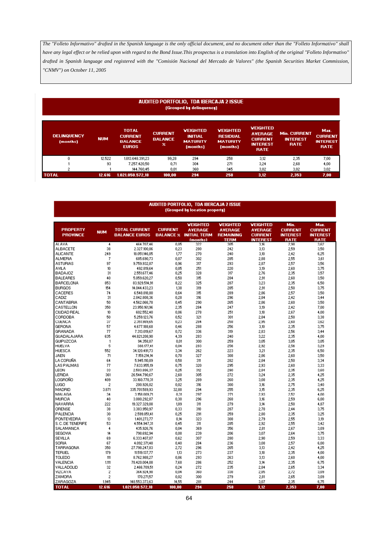### AUDITED PORTFOLIO, TDA IBERCAJA 2 ISSUE (Grouped by delinquency)

| <b>DELINQUENCY</b><br>(months) | <b>NUM</b> | <b>TOTAL</b><br><b>CURRENT</b><br><b>BALANCE</b><br><b>EUROS</b> | <b>CURRENT</b><br><b>BALANCE</b><br>× | <b>VEIGHTED</b><br><b>INITIAL</b><br><b>MATURITY</b><br>(months) | <b>VEIGHTED</b><br><b>RESIDUAL</b><br><b>MATURITY</b><br>(months) | <b>VEIGHTED</b><br><b>AVERAGE</b><br><b>CURRENT</b><br><b>INTEREST</b><br><b>RATE</b> | <b>Min. CURRENT</b><br><b>INTEREST</b><br><b>RATE</b> | Maz.<br><b>CURRENT</b><br><b>INTEREST</b><br><b>RATE</b> |
|--------------------------------|------------|------------------------------------------------------------------|---------------------------------------|------------------------------------------------------------------|-------------------------------------------------------------------|---------------------------------------------------------------------------------------|-------------------------------------------------------|----------------------------------------------------------|
| Û                              | 12.522     | 1.013.648.391,23                                                 | 99,28                                 | 294                                                              | 258                                                               | 3,12                                                                                  | 2,35                                                  | 7.00                                                     |
|                                | 93         | 7.257.420,50                                                     | 0,71                                  | 304                                                              | 271                                                               | 3,24                                                                                  | 2,68                                                  | 4,00                                                     |
| ۰                              |            | 144.760,45                                                       | 0,01                                  | 360                                                              | 345                                                               | 3,02                                                                                  | 3,02                                                  | 3,02                                                     |
| <b>TOTAL</b>                   | 12.616     | 1.021.050.572.18                                                 | 100.00                                | 294                                                              | 258                                                               | 3,12                                                                                  | 2.353                                                 | 7,00                                                     |

# AUDITED PORTFOLIO, TDA IBERCAJA 2 ISSUE<br>(Grouped by location property)

|                    |                |                      |                  | <b>VEIGHTED</b>     | <b>VEIGHTED</b>  | <b>VEIGHTED</b> | Min.            | Maz.            |
|--------------------|----------------|----------------------|------------------|---------------------|------------------|-----------------|-----------------|-----------------|
| <b>PROPERTY</b>    | <b>NUM</b>     | <b>TOTAL CURRENT</b> | <b>CURRENT</b>   | <b>AVERAGE</b>      | <b>AVERAGE</b>   | <b>AVERAGE</b>  | <b>CURRENT</b>  | <b>CURRENT</b>  |
| <b>PROVINCE</b>    |                | <b>BALANCE EUROS</b> | <b>BALANCE X</b> | <b>INITIAL TERM</b> | <b>REMAINING</b> | <b>CURRENT</b>  | <b>INTEREST</b> | <b>INTEREST</b> |
|                    |                |                      |                  | <b>Imonths)</b>     | <b>TERM</b>      | <b>INTEREST</b> | <b>RATE</b>     | RATE            |
| <b>LALAVA</b>      | 4              | 464.707,46           | 0.05             | 322                 | 305              | 3,16            | 2,98            | 3,62            |
| <b>ALBACETE</b>    | 38             | 2.327.100,86         | 0,23             | 280                 | 242              | 3,13            | 2,59            | 3,50            |
| <b>ALICANTE</b>    | 249            | 18.051.146.05        | 1.77             | 270                 | 240              | 3.10            | 2.42            | 6,25            |
| <b>ALMERIA</b>     | 7              | 685,690,73           | 0.07             | 302                 | 285              | 2,88            | 2,55            | 3,61            |
| <b>ASTURIAS</b>    | 97             | 9.759.932.87         | 0.96             | 317                 | 293              | 2.87            | 2.57            | 3,56            |
| <b>AVILA</b>       | 10             | 492.819,64           | 0.05             | 251                 | 220              | 3,19            | 2,60            | 3,75            |
| <b>BADAJOZ</b>     | 31             | 2.551.677,46         | 0,25             | 328                 | 317              | 2,76            | 2,35            | 3,57            |
| <b>BALEARES</b>    | 40             | 5.059.620.27         | 0.50             | 315                 | 284              | 2.91            | 2.60            | 3,50            |
| <b>BARCELONA</b>   | 853            | 83.929.514,91        | 8,22             | 325                 | 287              | 3,23            | 2,35            | 6,50            |
| <b>BURGOS</b>      | 154            | 14.044.433.23        | 1,38             | 319                 | 285              | 2,91            | 2,50            | 3,75            |
| CACERES            | 74             | 6.548.818,80         | 0,64             | 315                 | 289              | 2,86            | 2,57            | 3,50            |
| CADIZ              | 31             | 2.842.808,36         | 0.28             | 316                 | 296              | 2.84            | 2.42            | 3.44            |
| CANTABRIA          | 50             | 4.562.066.78         | 0,45             | 290                 | 265              | 2,86            | 2,60            | 3,50            |
| CASTELLON          | 350            | 23.950.161,96        | 2,35             | 284                 | 247              | 3,19            | 2,42            | 7,00            |
| <b>CIUDAD REAL</b> | 10             | 602.552,40           | 0.06             | 278                 | 251              | 3,18            | 2,67            | 4,00            |
| CORDOBA            | 50             | 5.259.123,76         | 0,52             | 321                 | 301              | 2,84            | 2,50            | 3,38            |
| <b>CUENCA</b>      | 37             | 2.351.989,65         | 0,23             | 284                 | 258              | 2,95            | 2,60            | 3,62            |
| <b>GERONA</b>      | 57             | 4.677.188.68         | 0.46             | 288                 | 256              | 3.10            | 2.35            | 3,75            |
| GRANADA            | 77             | 7.313.019,67         | 0,72             | 336                 | 319              | 2,83            | 2,56            | 3,44            |
| GUADALAJARA        | 635            | 44.821.208,90        | 4,39             | 283                 | 240              | 3,22            | 2,35            | 4,00            |
| <b>GUIPUZCOA</b>   | 1              | 94.358,87            | 0.01             | 300                 | 259              | 3,05            | 3,05            | 3,05            |
| HUELVA             | 5              | 388.177,41           | 0.04             | 283                 | 256              | 2,92            | 2,56            | 3,29            |
| <b>HUESCA</b>      | 552            | 34.120.491.73        | 3,34             | 262                 | 223              | 3,21            | 2,35            | 6,50            |
| JAEN               | 71             | 7.159.214,14         | 0.70             | 327                 | 308              | 2.86            | 2,60            | 3,50            |
| LA CORUÑA          | 64             | 5.945.110,89         | 0,58             | 311                 | 282              | 2,84            | 2,50            | 3,34            |
| <b>LAS PALMAS</b>  | 77             | 7.633.955.19         | 0.75             | 320                 | 295              | 2.93            | 2.60            | 3,33            |
| LEON               | 33             | 2.583.886,37         | 0,25             | 312                 | 290              | 2,84            | 2,35            | 3,60            |
| LERIDA             | 361            | 26.544.790,67        | 2,60             | 305                 | 272              | 3,24            | 2,35            | 4,25            |
| LOGROÑO            | 409            | 33.160.778,31        | 3,25             | 289                 | 260              | 3,08            | 2,35            | 4,25            |
| LUGO               | 2              | 200.926,02           | 0,02             | 316                 | 300              | 3,16            | 2,75            | 3,40            |
| MADRID             | 3.871          | 335.701.589,93       | 32.88            | 294                 | 255              | 3.15            | 2,35            | 6,25            |
| MALAGA             | 34             | 3.158.009,71         | 0,31             | 297                 | 271              | 2,93            | 2,52            | 4,00            |
| MURCIA             | 40             | 3.080.292,87         | 0.30             | 296                 | 268              | 3,16            | 2,59            | 6,00            |
| NAVABBA            | 222            | 19.327.329,08        | 1.89             | 311                 | 279              | 3,14            | 2,50            | 4,87            |
| ORENSE             | 38             | 3.383.950,97         | 0.33             | 310                 | 287              | 2,78            | 2.44            | 3,75            |
| PALENCIA           | 30             | 2.599.851,41         | 0,25             | 291                 | 259              | 2,80            | 2,35            | 3,25            |
| PONTEVEDRA         | 13             | 1,401.273,77         | 0,14             | 323                 | 308              | 2,79            | 2,55            | 3,19            |
| S.C. DE TENERIFE   | 53             | 4.554.947,31         | 0,45             | 311                 | 285              | 2,92            | 2,55            | 3,42            |
| SALAMANCA          | 4              | 435.926,76           | 0.04             | 369                 | 356              | 2,81            | 2,67            | 3,09            |
| <b>SEGOVIA</b>     | 14             | 798.692,94           | 0.08             | 239                 | 206              | 3,07            | 2.64            | 3,75            |
| <b>SEVILLA</b>     | 69             | 6.333.407,07         | 0.62             | 307                 | 280              | 2,90            | 2,59            | 3,33            |
| SORIA              | 67             | 4.092.371,48         | 0,40             | 284                 | 236              | 3,08            | 2,57            | 6,00            |
| TARRAGONA          | 350            | 27.798.247,03        | 2,72             | 296                 | 265              | 3,13            | 2,42            | 4,25            |
| <b>TERUEL</b>      | 179            | 11.519.137,77        | 1.13             | 273                 | 237              | 3,18            | 2,35            | 4,00            |
| TOLEDO             | 111            | 8.762.988,27         | 0.86             | 293                 | 263              | 3,13            | 2.60            | 4,00            |
| <b>VALENCIA</b>    | 1.111          | 78.420.004,08        | 7,68             | 286                 | 252              | 3,14            | 2,35            | 6,75            |
| VALLADOLID         | 32             | 2.466.709,51         | 0,24             | 272                 | 235              | 2,84            | 2,65            | 3,34            |
| <b>VIZCAYA</b>     | $\overline{c}$ | 364.924,98           | 0.04             | 360                 | 338              | 2,85            | 2,72            | 3,09            |
| ZAMORA             | $\overline{c}$ | 170.271,57           | 0.02             | 300                 | 279              | 2.81            | 2.65            | 3,09            |
| ZARAGOZA           | 1.945          | 148.553.373,63       | 14,55            | 281                 | 244              | 3,07            | 2,35            | 6,75            |
| <b>TOTAL</b>       | 12.616         | 1.021.050.572.18     | 100,00           | 294                 | 258              | 3,12            | 2,353           | 7,00            |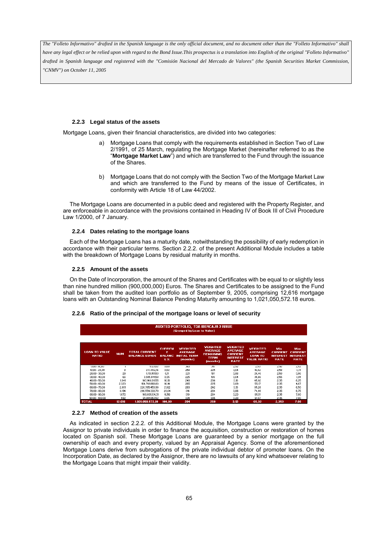*have any legal effect or be relied upon with regard to the Bond Issue.This prospectus is a translation into English of the original "Folleto Informativo" drafted in Spanish language and registered with the "Comisión Nacional del Mercado de Valores" (the Spanish Securities Market Commission, "CNMV") on October 11, 2005*

# **2.2.3 Legal status of the assets**

Mortgage Loans, given their financial characteristics, are divided into two categories:

- a) Mortgage Loans that comply with the requirements established in Section Two of Law 2/1991, of 25 March, regulating the Mortgage Market (hereinafter referred to as the "**Mortgage Market Law**") and which are transferred to the Fund through the issuance of the Shares.
- b) Mortgage Loans that do not comply with the Section Two of the Mortgage Market Law and which are transferred to the Fund by means of the issue of Certificates, in conformity with Article 18 of Law 44/2002.

The Mortgage Loans are documented in a public deed and registered with the Property Register, and are enforceable in accordance with the provisions contained in Heading IV of Book III of Civil Procedure Law 1/2000, of 7 January.

### **2.2.4 Dates relating to the mortgage loans**

Each of the Mortgage Loans has a maturity date, notwithstanding the possibility of early redemption in accordance with their particular terms. Section 2.2.2. of the present Additional Module includes a table with the breakdown of Mortgage Loans by residual maturity in months.

### **2.2.5 Amount of the assets**

On the Date of Incorporation, the amount of the Shares and Certificates with be equal to or slightly less than nine hundred million (900,000,000) Euros. The Shares and Certificates to be assigned to the Fund shall be taken from the audited loan portfolio as of September 9, 2005, comprising 12,616 mortgage loans with an Outstanding Nominal Balance Pending Maturity amounting to 1,021,050,572.18 euros.

### **2.2.6 Ratio of the principal of the mortgage loans or level of security**

| <b>VEIGHTED</b><br><b>VEIGHTED</b><br><b>CURREN</b><br><b>VEIGHTED</b><br><b>VEIGHTED</b><br>Min.<br><b>AVERAGE</b><br><b>AVERAGE</b><br><b>LOAN TO VALUE</b><br><b>TOTAL CURRENT</b><br><b>AVERAGE</b><br><b>AVERAGE</b><br><b>CURRENT</b><br><b>NUM</b><br><b>REMAINING</b><br><b>CURRENT</b><br><b>BATIO</b><br><b>BALANCE EUROS</b><br><b>INITIAL TERM</b><br><b>LOAN TO</b><br><b>BALANC</b><br><b>INTEREST</b><br><b>TERM</b><br><b>INTEREST</b><br><b>VALUE RATIO</b><br><b>RATE</b><br>E %<br><i><b>Imonths)</b></i><br><b>RATE</b><br>(months)<br>$0.00 - 10.00$<br>5.121.02<br>2.92<br>2.93<br>0.00<br>360<br>351<br>2.92<br>258<br>225<br>3.04<br>2,58<br>$10,00 - 20,00$<br>233.802,16<br>0,02<br>16,82<br>8<br>28<br>221<br>181<br>3,06<br>$20.00 - 30.00$<br>1.113.151.53<br>0.11<br>26,46<br>2,58<br>$30.00 - 40.00$<br>66<br>225<br>189<br>3.04<br>3,585,841,58<br>0.35<br>35,66<br>2,55<br>1.641<br>248<br>3,10<br>$40.00 - 50.00$<br>103.148.011.55<br>206<br>45,92<br>2,35<br>10,10<br>265<br>$50.00 - 60.00$<br>2.323<br>225<br>3,09<br>55,17<br>2,35<br>164.761.868.83<br>16.14<br>3.13<br>2.891<br>283<br>242<br>2,35<br>$60.00 - 70.00$<br>220.765.453.98<br>65.28<br>21.62<br>3,06<br>$70,00 - 80,00$<br>3.194<br>296.554.333,70<br>314<br>284<br>29,04<br>74,99<br>2,35<br>1.872<br>319<br>3,23<br>$80.00 - 90.00$<br>169.081.134.31<br>16.56<br>284<br>85,51<br>2,35<br>305 |                  |     |               |      | AUDITED PORTFOLIO, TDA IBERCAJA 2 ISSUE<br>(Grouped by Loan to Value) |      |       |      |                                                          |
|-------------------------------------------------------------------------------------------------------------------------------------------------------------------------------------------------------------------------------------------------------------------------------------------------------------------------------------------------------------------------------------------------------------------------------------------------------------------------------------------------------------------------------------------------------------------------------------------------------------------------------------------------------------------------------------------------------------------------------------------------------------------------------------------------------------------------------------------------------------------------------------------------------------------------------------------------------------------------------------------------------------------------------------------------------------------------------------------------------------------------------------------------------------------------------------------------------------------------------------------------------------------------------------------------------------------------------------------------------------------------------------------------------|------------------|-----|---------------|------|-----------------------------------------------------------------------|------|-------|------|----------------------------------------------------------|
|                                                                                                                                                                                                                                                                                                                                                                                                                                                                                                                                                                                                                                                                                                                                                                                                                                                                                                                                                                                                                                                                                                                                                                                                                                                                                                                                                                                                       |                  |     |               |      |                                                                       |      |       |      | Max.<br><b>CURRENT</b><br><b>INTEREST</b><br><b>RATE</b> |
|                                                                                                                                                                                                                                                                                                                                                                                                                                                                                                                                                                                                                                                                                                                                                                                                                                                                                                                                                                                                                                                                                                                                                                                                                                                                                                                                                                                                       |                  |     |               |      |                                                                       |      |       |      | 2.92                                                     |
|                                                                                                                                                                                                                                                                                                                                                                                                                                                                                                                                                                                                                                                                                                                                                                                                                                                                                                                                                                                                                                                                                                                                                                                                                                                                                                                                                                                                       |                  |     |               |      |                                                                       |      |       |      | 3,31                                                     |
|                                                                                                                                                                                                                                                                                                                                                                                                                                                                                                                                                                                                                                                                                                                                                                                                                                                                                                                                                                                                                                                                                                                                                                                                                                                                                                                                                                                                       |                  |     |               |      |                                                                       |      |       |      | 3,86                                                     |
|                                                                                                                                                                                                                                                                                                                                                                                                                                                                                                                                                                                                                                                                                                                                                                                                                                                                                                                                                                                                                                                                                                                                                                                                                                                                                                                                                                                                       |                  |     |               |      |                                                                       |      |       |      | 3,81                                                     |
|                                                                                                                                                                                                                                                                                                                                                                                                                                                                                                                                                                                                                                                                                                                                                                                                                                                                                                                                                                                                                                                                                                                                                                                                                                                                                                                                                                                                       |                  |     |               |      |                                                                       |      |       |      | 6,25                                                     |
|                                                                                                                                                                                                                                                                                                                                                                                                                                                                                                                                                                                                                                                                                                                                                                                                                                                                                                                                                                                                                                                                                                                                                                                                                                                                                                                                                                                                       |                  |     |               |      |                                                                       |      |       |      | 4,87                                                     |
|                                                                                                                                                                                                                                                                                                                                                                                                                                                                                                                                                                                                                                                                                                                                                                                                                                                                                                                                                                                                                                                                                                                                                                                                                                                                                                                                                                                                       |                  |     |               |      |                                                                       |      |       |      | 6,50                                                     |
|                                                                                                                                                                                                                                                                                                                                                                                                                                                                                                                                                                                                                                                                                                                                                                                                                                                                                                                                                                                                                                                                                                                                                                                                                                                                                                                                                                                                       |                  |     |               |      |                                                                       |      |       |      | 6,75                                                     |
|                                                                                                                                                                                                                                                                                                                                                                                                                                                                                                                                                                                                                                                                                                                                                                                                                                                                                                                                                                                                                                                                                                                                                                                                                                                                                                                                                                                                       |                  |     |               |      |                                                                       |      |       |      | 7,00                                                     |
|                                                                                                                                                                                                                                                                                                                                                                                                                                                                                                                                                                                                                                                                                                                                                                                                                                                                                                                                                                                                                                                                                                                                                                                                                                                                                                                                                                                                       | $90.00 - 100.00$ | 592 | 61,801,853,52 | 6.05 | 334                                                                   | 3.20 | 91.97 | 2.35 | 7.00                                                     |

# **2.2.7 Method of creation of the assets**

As indicated in section 2.2.2. of this Additional Module, the Mortgage Loans were granted by the Assignor to private individuals in order to finance the acquisition, construction or restoration of homes located on Spanish soil. These Mortgage Loans are guaranteed by a senior mortgage on the full ownership of each and every property, valued by an Appraisal Agency. Some of the aforementioned Mortgage Loans derive from subrogations of the private individual debtor of promoter loans. On the Incorporation Date, as declared by the Assignor, there are no lawsuits of any kind whatsoever relating to the Mortgage Loans that might impair their validity.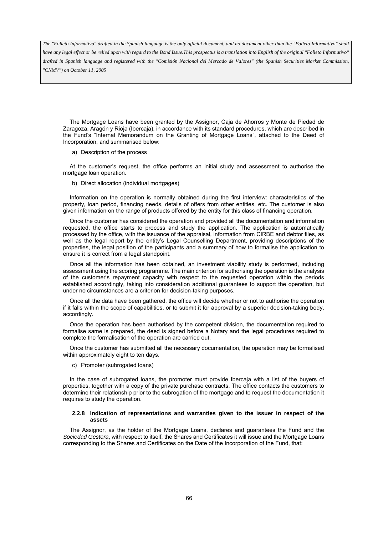*have any legal effect or be relied upon with regard to the Bond Issue.This prospectus is a translation into English of the original "Folleto Informativo" drafted in Spanish language and registered with the "Comisión Nacional del Mercado de Valores" (the Spanish Securities Market Commission, "CNMV") on October 11, 2005*

The Mortgage Loans have been granted by the Assignor, Caja de Ahorros y Monte de Piedad de Zaragoza, Aragón y Rioja (Ibercaja), in accordance with its standard procedures, which are described in the Fund's "Internal Memorandum on the Granting of Mortgage Loans", attached to the Deed of Incorporation, and summarised below:

a) Description of the process

At the customer's request, the office performs an initial study and assessment to authorise the mortgage loan operation.

b) Direct allocation (individual mortgages)

Information on the operation is normally obtained during the first interview: characteristics of the property, loan period, financing needs, details of offers from other entities, etc. The customer is also given information on the range of products offered by the entity for this class of financing operation.

Once the customer has considered the operation and provided all the documentation and information requested, the office starts to process and study the application. The application is automatically processed by the office, with the issuance of the appraisal, information from CIRBE and debtor files, as well as the legal report by the entity's Legal Counselling Department, providing descriptions of the properties, the legal position of the participants and a summary of how to formalise the application to ensure it is correct from a legal standpoint.

Once all the information has been obtained, an investment viability study is performed, including assessment using the scoring programme. The main criterion for authorising the operation is the analysis of the customer's repayment capacity with respect to the requested operation within the periods established accordingly, taking into consideration additional guarantees to support the operation, but under no circumstances are a criterion for decision-taking purposes.

Once all the data have been gathered, the office will decide whether or not to authorise the operation if it falls within the scope of capabilities, or to submit it for approval by a superior decision-taking body, accordingly.

Once the operation has been authorised by the competent division, the documentation required to formalise same is prepared, the deed is signed before a Notary and the legal procedures required to complete the formalisation of the operation are carried out.

Once the customer has submitted all the necessary documentation, the operation may be formalised within approximately eight to ten days.

c) Promoter (subrogated loans)

In the case of subrogated loans, the promoter must provide Ibercaja with a list of the buyers of properties, together with a copy of the private purchase contracts. The office contacts the customers to determine their relationship prior to the subrogation of the mortgage and to request the documentation it requires to study the operation.

### **2.2.8 Indication of representations and warranties given to the issuer in respect of the assets**

The Assignor, as the holder of the Mortgage Loans, declares and guarantees the Fund and the *Sociedad Gestora*, with respect to itself, the Shares and Certificates it will issue and the Mortgage Loans corresponding to the Shares and Certificates on the Date of the Incorporation of the Fund, that: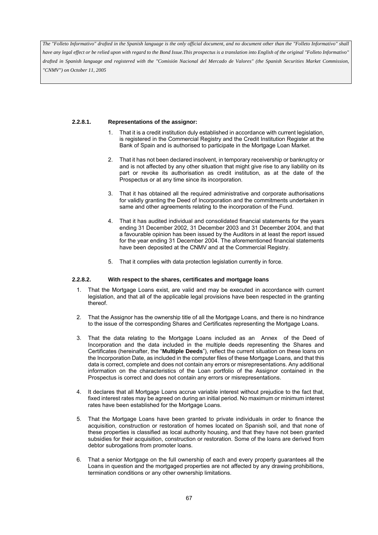*have any legal effect or be relied upon with regard to the Bond Issue.This prospectus is a translation into English of the original "Folleto Informativo" drafted in Spanish language and registered with the "Comisión Nacional del Mercado de Valores" (the Spanish Securities Market Commission, "CNMV") on October 11, 2005*

## **2.2.8.1. Representations of the assignor:**

- 1. That it is a credit institution duly established in accordance with current legislation, is registered in the Commercial Registry and the Credit Institution Register at the Bank of Spain and is authorised to participate in the Mortgage Loan Market.
- 2. That it has not been declared insolvent, in temporary receivership or bankruptcy or and is not affected by any other situation that might give rise to any liability on its part or revoke its authorisation as credit institution, as at the date of the Prospectus or at any time since its incorporation.
- 3. That it has obtained all the required administrative and corporate authorisations for validly granting the Deed of Incorporation and the commitments undertaken in same and other agreements relating to the incorporation of the Fund.
- 4. That it has audited individual and consolidated financial statements for the years ending 31 December 2002, 31 December 2003 and 31 December 2004, and that a favourable opinion has been issued by the Auditors in at least the report issued for the year ending 31 December 2004. The aforementioned financial statements have been deposited at the CNMV and at the Commercial Registry.
- 5. That it complies with data protection legislation currently in force.

### **2.2.8.2. With respect to the shares, certificates and mortgage loans**

- 1. That the Mortgage Loans exist, are valid and may be executed in accordance with current legislation, and that all of the applicable legal provisions have been respected in the granting thereof.
- 2. That the Assignor has the ownership title of all the Mortgage Loans, and there is no hindrance to the issue of the corresponding Shares and Certificates representing the Mortgage Loans.
- 3. That the data relating to the Mortgage Loans included as an Annex of the Deed of Incorporation and the data included in the multiple deeds representing the Shares and Certificates (hereinafter, the "**Multiple Deeds**"), reflect the current situation on these loans on the Incorporation Date, as included in the computer files of these Mortgage Loans, and that this data is correct, complete and does not contain any errors or misrepresentations. Any additional information on the characteristics of the Loan portfolio of the Assignor contained in the Prospectus is correct and does not contain any errors or misrepresentations.
- 4. It declares that all Mortgage Loans accrue variable interest without prejudice to the fact that, fixed interest rates may be agreed on during an initial period. No maximum or minimum interest rates have been established for the Mortgage Loans.
- 5. That the Mortgage Loans have been granted to private individuals in order to finance the acquisition, construction or restoration of homes located on Spanish soil, and that none of these properties is classified as local authority housing, and that they have not been granted subsidies for their acquisition, construction or restoration. Some of the loans are derived from debtor subrogations from promoter loans.
- 6. That a senior Mortgage on the full ownership of each and every property guarantees all the Loans in question and the mortgaged properties are not affected by any drawing prohibitions, termination conditions or any other ownership limitations.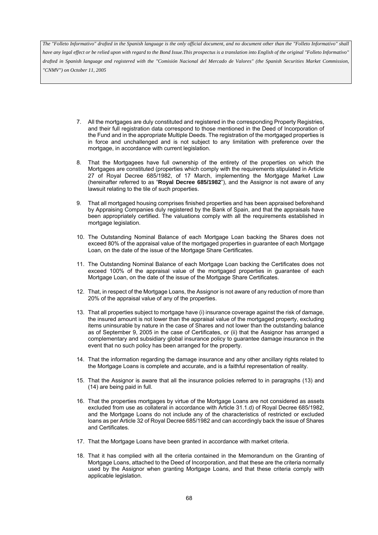*have any legal effect or be relied upon with regard to the Bond Issue.This prospectus is a translation into English of the original "Folleto Informativo" drafted in Spanish language and registered with the "Comisión Nacional del Mercado de Valores" (the Spanish Securities Market Commission, "CNMV") on October 11, 2005*

- 7. All the mortgages are duly constituted and registered in the corresponding Property Registries, and their full registration data correspond to those mentioned in the Deed of Incorporation of the Fund and in the appropriate Multiple Deeds. The registration of the mortgaged properties is in force and unchallenged and is not subject to any limitation with preference over the mortgage, in accordance with current legislation.
- 8. That the Mortgagees have full ownership of the entirety of the properties on which the Mortgages are constituted (properties which comply with the requirements stipulated in Article 27 of Royal Decree 685/1982, of 17 March, implementing the Mortgage Market Law (hereinafter referred to as "**Royal Decree 685/1982**"), and the Assignor is not aware of any lawsuit relating to the tile of such properties.
- 9. That all mortgaged housing comprises finished properties and has been appraised beforehand by Appraising Companies duly registered by the Bank of Spain, and that the appraisals have been appropriately certified. The valuations comply with all the requirements established in mortgage legislation.
- 10. The Outstanding Nominal Balance of each Mortgage Loan backing the Shares does not exceed 80% of the appraisal value of the mortgaged properties in guarantee of each Mortgage Loan, on the date of the issue of the Mortgage Share Certificates.
- 11. The Outstanding Nominal Balance of each Mortgage Loan backing the Certificates does not exceed 100% of the appraisal value of the mortgaged properties in guarantee of each Mortgage Loan, on the date of the issue of the Mortgage Share Certificates.
- 12. That, in respect of the Mortgage Loans, the Assignor is not aware of any reduction of more than 20% of the appraisal value of any of the properties.
- 13. That all properties subject to mortgage have (i) insurance coverage against the risk of damage, the insured amount is not lower than the appraisal value of the mortgaged property, excluding items uninsurable by nature in the case of Shares and not lower than the outstanding balance as of September 9, 2005 in the case of Certificates, or (ii) that the Assignor has arranged a complementary and subsidiary global insurance policy to guarantee damage insurance in the event that no such policy has been arranged for the property.
- 14. That the information regarding the damage insurance and any other ancillary rights related to the Mortgage Loans is complete and accurate, and is a faithful representation of reality.
- 15. That the Assignor is aware that all the insurance policies referred to in paragraphs (13) and (14) are being paid in full.
- 16. That the properties mortgages by virtue of the Mortgage Loans are not considered as assets excluded from use as collateral in accordance with Article 31.1.d) of Royal Decree 685/1982, and the Mortgage Loans do not include any of the characteristics of restricted or excluded loans as per Article 32 of Royal Decree 685/1982 and can accordingly back the issue of Shares and Certificates.
- 17. That the Mortgage Loans have been granted in accordance with market criteria.
- 18. That it has complied with all the criteria contained in the Memorandum on the Granting of Mortgage Loans, attached to the Deed of Incorporation, and that these are the criteria normally used by the Assignor when granting Mortgage Loans, and that these criteria comply with applicable legislation.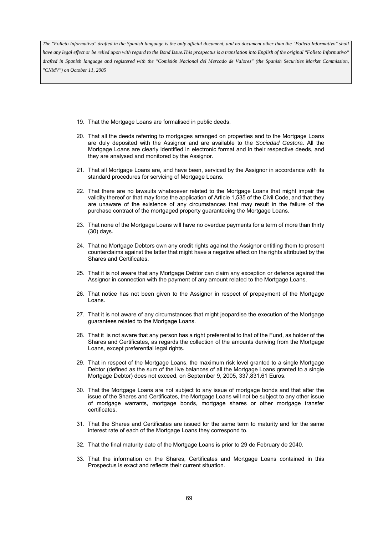*have any legal effect or be relied upon with regard to the Bond Issue.This prospectus is a translation into English of the original "Folleto Informativo" drafted in Spanish language and registered with the "Comisión Nacional del Mercado de Valores" (the Spanish Securities Market Commission, "CNMV") on October 11, 2005*

- 19. That the Mortgage Loans are formalised in public deeds.
- 20. That all the deeds referring to mortgages arranged on properties and to the Mortgage Loans are duly deposited with the Assignor and are available to the *Sociedad Gestora*. All the Mortgage Loans are clearly identified in electronic format and in their respective deeds, and they are analysed and monitored by the Assignor.
- 21. That all Mortgage Loans are, and have been, serviced by the Assignor in accordance with its standard procedures for servicing of Mortgage Loans.
- 22. That there are no lawsuits whatsoever related to the Mortgage Loans that might impair the validity thereof or that may force the application of Article 1,535 of the Civil Code, and that they are unaware of the existence of any circumstances that may result in the failure of the purchase contract of the mortgaged property guaranteeing the Mortgage Loans.
- 23. That none of the Mortgage Loans will have no overdue payments for a term of more than thirty (30) days.
- 24. That no Mortgage Debtors own any credit rights against the Assignor entitling them to present counterclaims against the latter that might have a negative effect on the rights attributed by the Shares and Certificates.
- 25. That it is not aware that any Mortgage Debtor can claim any exception or defence against the Assignor in connection with the payment of any amount related to the Mortgage Loans.
- 26. That notice has not been given to the Assignor in respect of prepayment of the Mortgage Loans.
- 27. That it is not aware of any circumstances that might jeopardise the execution of the Mortgage guarantees related to the Mortgage Loans.
- 28. That it is not aware that any person has a right preferential to that of the Fund, as holder of the Shares and Certificates, as regards the collection of the amounts deriving from the Mortgage Loans, except preferential legal rights.
- 29. That in respect of the Mortgage Loans, the maximum risk level granted to a single Mortgage Debtor (defined as the sum of the live balances of all the Mortgage Loans granted to a single Mortgage Debtor) does not exceed, on September 9, 2005, 337,831.61 Euros.
- 30. That the Mortgage Loans are not subject to any issue of mortgage bonds and that after the issue of the Shares and Certificates, the Mortgage Loans will not be subject to any other issue of mortgage warrants, mortgage bonds, mortgage shares or other mortgage transfer certificates.
- 31. That the Shares and Certificates are issued for the same term to maturity and for the same interest rate of each of the Mortgage Loans they correspond to.
- 32. That the final maturity date of the Mortgage Loans is prior to 29 de February de 2040.
- 33. That the information on the Shares, Certificates and Mortgage Loans contained in this Prospectus is exact and reflects their current situation.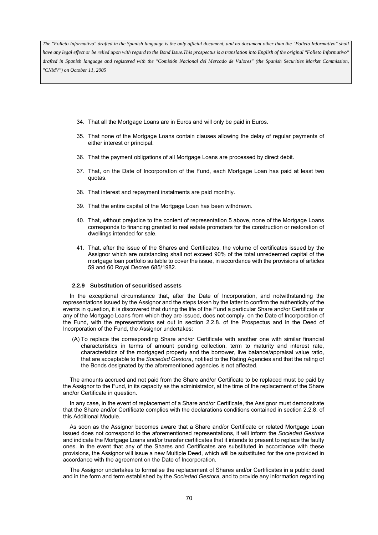*The "Folleto Informativo" drafted in the Spanish language is the only official document, and no document other than the "Folleto Informativo" shall have any legal effect or be relied upon with regard to the Bond Issue.This prospectus is a translation into English of the original "Folleto Informativo" drafted in Spanish language and registered with the "Comisión Nacional del Mercado de Valores" (the Spanish Securities Market Commission, "CNMV") on October 11, 2005*

- 34. That all the Mortgage Loans are in Euros and will only be paid in Euros.
- 35. That none of the Mortgage Loans contain clauses allowing the delay of regular payments of either interest or principal.
- 36. That the payment obligations of all Mortgage Loans are processed by direct debit.
- 37. That, on the Date of Incorporation of the Fund, each Mortgage Loan has paid at least two quotas.
- 38. That interest and repayment instalments are paid monthly.
- 39. That the entire capital of the Mortgage Loan has been withdrawn.
- 40. That, without prejudice to the content of representation 5 above, none of the Mortgage Loans corresponds to financing granted to real estate promoters for the construction or restoration of dwellings intended for sale.
- 41. That, after the issue of the Shares and Certificates, the volume of certificates issued by the Assignor which are outstanding shall not exceed 90% of the total unredeemed capital of the mortgage loan portfolio suitable to cover the issue, in accordance with the provisions of articles 59 and 60 Royal Decree 685/1982.

#### **2.2.9 Substitution of securitised assets**

In the exceptional circumstance that, after the Date of Incorporation, and notwithstanding the representations issued by the Assignor and the steps taken by the latter to confirm the authenticity of the events in question, it is discovered that during the life of the Fund a particular Share and/or Certificate or any of the Mortgage Loans from which they are issued, does not comply, on the Date of Incorporation of the Fund, with the representations set out in section 2.2.8. of the Prospectus and in the Deed of Incorporation of the Fund, the Assignor undertakes:

(A) To replace the corresponding Share and/or Certificate with another one with similar financial characteristics in terms of amount pending collection, term to maturity and interest rate, characteristics of the mortgaged property and the borrower, live balance/appraisal value ratio, that are acceptable to the *Sociedad Gestora*, notified to the Rating Agencies and that the rating of the Bonds designated by the aforementioned agencies is not affected.

The amounts accrued and not paid from the Share and/or Certificate to be replaced must be paid by the Assignor to the Fund, in its capacity as the administrator, at the time of the replacement of the Share and/or Certificate in question.

In any case, in the event of replacement of a Share and/or Certificate, the Assignor must demonstrate that the Share and/or Certificate complies with the declarations conditions contained in section 2.2.8. of this Additional Module.

As soon as the Assignor becomes aware that a Share and/or Certificate or related Mortgage Loan issued does not correspond to the aforementioned representations, it will inform the *Sociedad Gestora* and indicate the Mortgage Loans and/or transfer certificates that it intends to present to replace the faulty ones. In the event that any of the Shares and Certificates are substituted in accordance with these provisions, the Assignor will issue a new Multiple Deed, which will be substituted for the one provided in accordance with the agreement on the Date of Incorporation.

The Assignor undertakes to formalise the replacement of Shares and/or Certificates in a public deed and in the form and term established by the *Sociedad Gestora*, and to provide any information regarding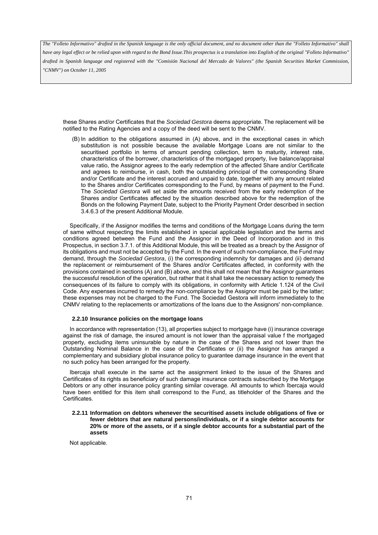*have any legal effect or be relied upon with regard to the Bond Issue.This prospectus is a translation into English of the original "Folleto Informativo" drafted in Spanish language and registered with the "Comisión Nacional del Mercado de Valores" (the Spanish Securities Market Commission, "CNMV") on October 11, 2005*

these Shares and/or Certificates that the *Sociedad Gestora* deems appropriate. The replacement will be notified to the Rating Agencies and a copy of the deed will be sent to the CNMV.

(B) In addition to the obligations assumed in (A) above, and in the exceptional cases in which substitution is not possible because the available Mortgage Loans are not similar to the securitised portfolio in terms of amount pending collection, term to maturity, interest rate, characteristics of the borrower, characteristics of the mortgaged property, live balance/appraisal value ratio, the Assignor agrees to the early redemption of the affected Share and/or Certificate and agrees to reimburse, in cash, both the outstanding principal of the corresponding Share and/or Certificate and the interest accrued and unpaid to date, together with any amount related to the Shares and/or Certificates corresponding to the Fund, by means of payment to the Fund. The *Sociedad Gestora* will set aside the amounts received from the early redemption of the Shares and/or Certificates affected by the situation described above for the redemption of the Bonds on the following Payment Date, subject to the Priority Payment Order described in section 3.4.6.3 of the present Additional Module.

Specifically, if the Assignor modifies the terms and conditions of the Mortgage Loans during the term of same without respecting the limits established in special applicable legislation and the terms and conditions agreed between the Fund and the Assignor in the Deed of Incorporation and in this Prospectus, in section 3.7.1. of this Additional Module, this will be treated as a breach by the Assignor of its obligations and must not be accepted by the Fund. In the event of such non-compliance, the Fund may demand, through the *Sociedad Gestora*, (i) the corresponding indemnity for damages and (ii) demand the replacement or reimbursement of the Shares and/or Certificates affected, in conformity with the provisions contained in sections (A) and (B) above, and this shall not mean that the Assignor guarantees the successful resolution of the operation, but rather that it shall take the necessary action to remedy the consequences of its failure to comply with its obligations, in conformity with Article 1.124 of the Civil Code. Any expenses incurred to remedy the non-compliance by the Assignor must be paid by the latter; these expenses may not be charged to the Fund. The Sociedad Gestora will inform immediately to the CNMV relating to the replacements or amortizations of the loans due to the Assignors' non-compliance.

#### **2.2.10 Insurance policies on the mortgage loans**

In accordance with representation (13), all properties subject to mortgage have (i) insurance coverage against the risk of damage, the insured amount is not lower than the appraisal value f the mortgaged property, excluding items uninsurable by nature in the case of the Shares and not lower than the Outstanding Nominal Balance in the case of the Certificates or (ii) the Assignor has arranged a complementary and subsidiary global insurance policy to guarantee damage insurance in the event that no such policy has been arranged for the property.

Ibercaja shall execute in the same act the assignment linked to the issue of the Shares and Certificates of its rights as beneficiary of such damage insurance contracts subscribed by the Mortgage Debtors or any other insurance policy granting similar coverage. All amounts to which Ibercaja would have been entitled for this item shall correspond to the Fund, as titleholder of the Shares and the Certificates.

**2.2.11 Information on debtors whenever the securitised assets include obligations of five or fewer debtors that are natural persons/individuals, or if a single debtor accounts for 20% or more of the assets, or if a single debtor accounts for a substantial part of the assets** 

Not applicable.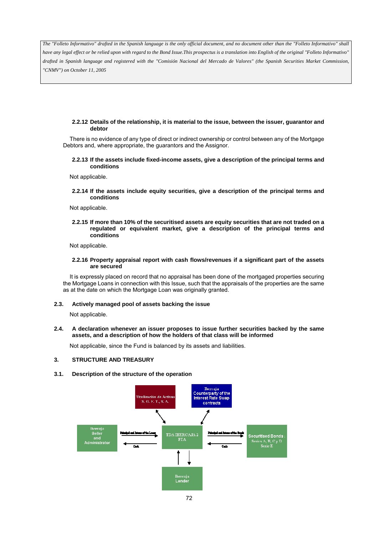*The "Folleto Informativo" drafted in the Spanish language is the only official document, and no document other than the "Folleto Informativo" shall have any legal effect or be relied upon with regard to the Bond Issue.This prospectus is a translation into English of the original "Folleto Informativo" drafted in Spanish language and registered with the "Comisión Nacional del Mercado de Valores" (the Spanish Securities Market Commission, "CNMV") on October 11, 2005*

## **2.2.12 Details of the relationship, it is material to the issue, between the issuer, guarantor and debtor**

There is no evidence of any type of direct or indirect ownership or control between any of the Mortgage Debtors and, where appropriate, the guarantors and the Assignor.

### **2.2.13 If the assets include fixed-income assets, give a description of the principal terms and conditions**

Not applicable.

**2.2.14 If the assets include equity securities, give a description of the principal terms and conditions** 

Not applicable.

**2.2.15 If more than 10% of the securitised assets are equity securities that are not traded on a regulated or equivalent market, give a description of the principal terms and conditions** 

Not applicable.

### **2.2.16 Property appraisal report with cash flows/revenues if a significant part of the assets are secured**

It is expressly placed on record that no appraisal has been done of the mortgaged properties securing the Mortgage Loans in connection with this Issue, such that the appraisals of the properties are the same as at the date on which the Mortgage Loan was originally granted.

### **2.3. Actively managed pool of assets backing the issue**

Not applicable.

### **2.4. A declaration whenever an issuer proposes to issue further securities backed by the same assets, and a description of how the holders of that class will be informed**

Not applicable, since the Fund is balanced by its assets and liabilities.

# **3. STRUCTURE AND TREASURY**

### **3.1. Description of the structure of the operation**

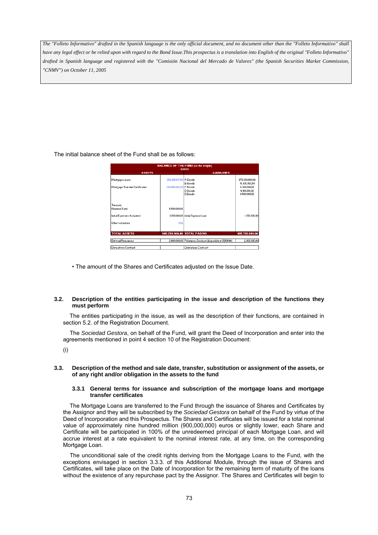*The "Folleto Informativo" drafted in the Spanish language is the only official document, and no document other than the "Folleto Informativo" shall have any legal effect or be relied upon with regard to the Bond Issue.This prospectus is a translation into English of the original "Folleto Informativo" drafted in Spanish language and registered with the "Comisión Nacional del Mercado de Valores" (the Spanish Securities Market Commission, "CNMV") on October 11, 2005*

The initial balance sheet of the Fund shall be as follows:

| <b>BALANCE OF THE FUND (at its origin)</b><br><b>EURO</b>                 |                        |                                                        |                                              |  |  |  |  |  |  |  |
|---------------------------------------------------------------------------|------------------------|--------------------------------------------------------|----------------------------------------------|--|--|--|--|--|--|--|
| <b>ASSETS</b>                                                             |                        | <b>LIABILITIES</b>                                     |                                              |  |  |  |  |  |  |  |
| Mortgage Loans                                                            | 696.991.937.00 A Bonds | <b>B</b> Bonds                                         | 870.300.000.00<br>19.300.000.00              |  |  |  |  |  |  |  |
| Mortgage Transfer Certificates                                            | 203,008,062,08 C Bonds | D Bonds<br><b>F</b> Bonds                              | 6.300.000.00<br>4.100.000.00<br>4.500.000,00 |  |  |  |  |  |  |  |
| Treasury<br>Reserve Fund<br>Initial Expenses Activated<br>Other resources | 4.500.000,00<br>0.92   | 1.250.000,00 Initial Expense Loan                      | 1,250,000,00                                 |  |  |  |  |  |  |  |
| <b>TOTAL ASSETS</b>                                                       |                        | 905.750.000.00 TOTAL PASIVO                            | 905.750.000.00                               |  |  |  |  |  |  |  |
| Deferral Resources                                                        |                        | 2.000.000,00 Préstamo Desfase (disponible el 25/01/06) | 2.000.000,00                                 |  |  |  |  |  |  |  |
| Derivatives Contract                                                      |                        | Derivatives Contract                                   |                                              |  |  |  |  |  |  |  |

• The amount of the Shares and Certificates adjusted on the Issue Date.

# **3.2. Description of the entities participating in the issue and description of the functions they must perform**

The entities participating in the issue, as well as the description of their functions, are contained in section 5.2. of the Registration Document.

The *Sociedad Gestora*, on behalf of the Fund, will grant the Deed of Incorporation and enter into the agreements mentioned in point 4 section 10 of the Registration Document:

(i)

### **3.3. Description of the method and sale date, transfer, substitution or assignment of the assets, or of any right and/or obligation in the assets to the fund**

### **3.3.1 General terms for issuance and subscription of the mortgage loans and mortgage transfer certificates**

The Mortgage Loans are transferred to the Fund through the issuance of Shares and Certificates by the Assignor and they will be subscribed by the *Sociedad Gestora* on behalf of the Fund by virtue of the Deed of Incorporation and this Prospectus. The Shares and Certificates will be issued for a total nominal value of approximately nine hundred million (900,000,000) euros or slightly lower, each Share and Certificate will be participated in 100% of the unredeemed principal of each Mortgage Loan, and will accrue interest at a rate equivalent to the nominal interest rate, at any time, on the corresponding Mortgage Loan.

The unconditional sale of the credit rights deriving from the Mortgage Loans to the Fund, with the exceptions envisaged in section 3.3.3. of this Additional Module, through the issue of Shares and Certificates, will take place on the Date of Incorporation for the remaining term of maturity of the loans without the existence of any repurchase pact by the Assignor. The Shares and Certificates will begin to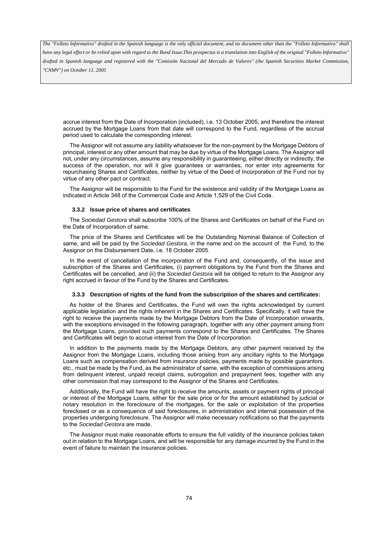*have any legal effect or be relied upon with regard to the Bond Issue.This prospectus is a translation into English of the original "Folleto Informativo" drafted in Spanish language and registered with the "Comisión Nacional del Mercado de Valores" (the Spanish Securities Market Commission, "CNMV") on October 11, 2005*

accrue interest from the Date of Incorporation (included), i.e. 13 October 2005, and therefore the interest accrued by the Mortgage Loans from that date will correspond to the Fund, regardless of the accrual period used to calculate the corresponding interest.

The Assignor will not assume any liability whatsoever for the non-payment by the Mortgage Debtors of principal, interest or any other amount that may be due by virtue of the Mortgage Loans. The Assignor will not, under any circumstances, assume any responsibility in guaranteeing, either directly or indirectly, the success of the operation, nor will it give guarantees or warranties, nor enter into agreements for repurchasing Shares and Certificates, neither by virtue of the Deed of Incorporation of the Fund nor by virtue of any other pact or contract.

The Assignor will be responsible to the Fund for the existence and validity of the Mortgage Loans as indicated in Article 348 of the Commercial Code and Article 1,529 of the Civil Code.

### **3.3.2 Issue price of shares and certificates**

The *Sociedad Gestora* shall subscribe 100% of the Shares and Certificates on behalf of the Fund on the Date of Incorporation of same.

The price of the Shares and Certificates will be the Outstanding Nominal Balance of Collection of same, and will be paid by the *Sociedad Gestora*, in the name and on the account of the Fund, to the Assignor on the Disbursement Date, i.e. 18 October 2005.

In the event of cancellation of the incorporation of the Fund and, consequently, of the issue and subscription of the Shares and Certificates, (i) payment obligations by the Fund from the Shares and Certificates will be cancelled, and (ii) the *Sociedad Gestora* will be obliged to return to the Assignor any right accrued in favour of the Fund by the Shares and Certificates.

#### **3.3.3 Description of rights of the fund from the subscription of the shares and certificates:**

As holder of the Shares and Certificates, the Fund will own the rights acknowledged by current applicable legislation and the rights inherent in the Shares and Certificates. Specifically, it will have the right to receive the payments made by the Mortgage Debtors from the Date of Incorporation onwards, with the exceptions envisaged in the following paragraph, together with any other payment arising from the Mortgage Loans, provided such payments correspond to the Shares and Certificates. The Shares and Certificates will begin to accrue interest from the Date of Incorporation.

In addition to the payments made by the Mortgage Debtors, any other payment received by the Assignor from the Mortgage Loans, including those arising from any ancillary rights to the Mortgage Loans such as compensation derived from insurance policies, payments made by possible guarantors, etc., must be made by the Fund, as the administrator of same, with the exception of commissions arising from delinquent interest, unpaid receipt claims, subrogation and prepayment fees, together with any other commission that may correspond to the Assignor of the Shares and Certificates.

Additionally, the Fund will have the right to receive the amounts, assets or payment rights of principal or interest of the Mortgage Loans, either for the sale price or for the amount established by judicial or notary resolution in the foreclosure of the mortgages, for the sale or exploitation of the properties foreclosed or as a consequence of said foreclosures, in administration and internal possession of the properties undergoing foreclosure. The Assignor will make necessary notifications so that the payments to the *Sociedad Gestora* are made.

The Assignor must make reasonable efforts to ensure the full validity of the insurance policies taken out in relation to the Mortgage Loans, and will be responsible for any damage incurred by the Fund in the event of failure to maintain the insurance policies.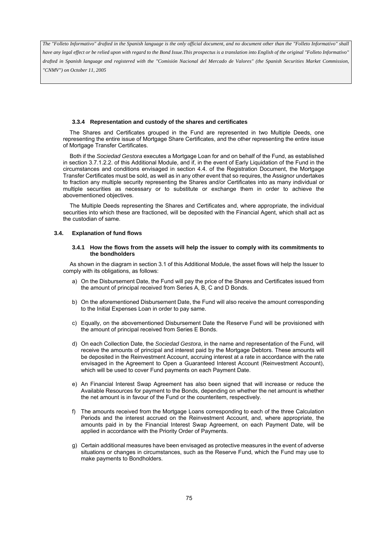*have any legal effect or be relied upon with regard to the Bond Issue.This prospectus is a translation into English of the original "Folleto Informativo" drafted in Spanish language and registered with the "Comisión Nacional del Mercado de Valores" (the Spanish Securities Market Commission, "CNMV") on October 11, 2005*

### **3.3.4 Representation and custody of the shares and certificates**

The Shares and Certificates grouped in the Fund are represented in two Multiple Deeds, one representing the entire issue of Mortgage Share Certificates, and the other representing the entire issue of Mortgage Transfer Certificates.

Both if the *Sociedad Gestora* executes a Mortgage Loan for and on behalf of the Fund, as established in section 3.7.1.2.2. of this Additional Module, and if, in the event of Early Liquidation of the Fund in the circumstances and conditions envisaged in section 4.4. of the Registration Document, the Mortgage Transfer Certificates must be sold, as well as in any other event that so requires, the Assignor undertakes to fraction any multiple security representing the Shares and/or Certificates into as many individual or multiple securities as necessary or to substitute or exchange them in order to achieve the abovementioned objectives.

The Multiple Deeds representing the Shares and Certificates and, where appropriate, the individual securities into which these are fractioned, will be deposited with the Financial Agent, which shall act as the custodian of same.

### **3.4. Explanation of fund flows**

#### **3.4.1 How the flows from the assets will help the issuer to comply with its commitments to the bondholders**

As shown in the diagram in section 3.1 of this Additional Module, the asset flows will help the Issuer to comply with its obligations, as follows:

- a) On the Disbursement Date, the Fund will pay the price of the Shares and Certificates issued from the amount of principal received from Series A, B, C and D Bonds.
- b) On the aforementioned Disbursement Date, the Fund will also receive the amount corresponding to the Initial Expenses Loan in order to pay same.
- c) Equally, on the abovementioned Disbursement Date the Reserve Fund will be provisioned with the amount of principal received from Series E Bonds.
- d) On each Collection Date, the *Sociedad Gestora*, in the name and representation of the Fund, will receive the amounts of principal and interest paid by the Mortgage Debtors. These amounts will be deposited in the Reinvestment Account, accruing interest at a rate in accordance with the rate envisaged in the Agreement to Open a Guaranteed Interest Account (Reinvestment Account), which will be used to cover Fund payments on each Payment Date.
- e) An Financial Interest Swap Agreement has also been signed that will increase or reduce the Available Resources for payment to the Bonds, depending on whether the net amount is whether the net amount is in favour of the Fund or the counteritem, respectively.
- f) The amounts received from the Mortgage Loans corresponding to each of the three Calculation Periods and the interest accrued on the Reinvestment Account, and, where appropriate, the amounts paid in by the Financial Interest Swap Agreement, on each Payment Date, will be applied in accordance with the Priority Order of Payments.
- g) Certain additional measures have been envisaged as protective measures in the event of adverse situations or changes in circumstances, such as the Reserve Fund, which the Fund may use to make payments to Bondholders.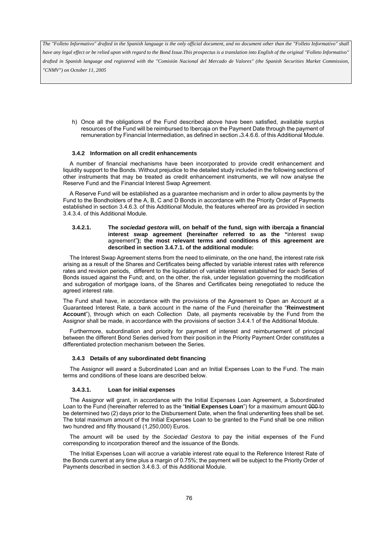*have any legal effect or be relied upon with regard to the Bond Issue.This prospectus is a translation into English of the original "Folleto Informativo" drafted in Spanish language and registered with the "Comisión Nacional del Mercado de Valores" (the Spanish Securities Market Commission, "CNMV") on October 11, 2005*

h) Once all the obligations of the Fund described above have been satisfied, available surplus resources of the Fund will be reimbursed to Ibercaja on the Payment Date through the payment of remuneration by Financial Intermediation, as defined in section .3.4.6.6. of this Additional Module.

### **3.4.2 Information on all credit enhancements**

A number of financial mechanisms have been incorporated to provide credit enhancement and liquidity support to the Bonds. Without prejudice to the detailed study included in the following sections of other instruments that may be treated as credit enhancement instruments, we will now analyse the Reserve Fund and the Financial Interest Swap Agreement.

A Reserve Fund will be established as a guarantee mechanism and in order to allow payments by the Fund to the Bondholders of the A, B, C and D Bonds in accordance with the Priority Order of Payments established in section 3.4.6.3. of this Additional Module, the features whereof are as provided in section 3.4.3.4. of this Additional Module.

### **3.4.2.1. The** *sociedad gestora* **will, on behalf of the fund, sign with ibercaja a financial interest swap agreement (hereinafter referred to as the "**interest swap agreement"**); the most relevant terms and conditions of this agreement are described in section 3.4.7.1. of the additional module:**

The Interest Swap Agreement stems from the need to eliminate, on the one hand, the interest rate risk arising as a result of the Shares and Certificates being affected by variable interest rates with reference rates and revision periods, different to the liquidation of variable interest established for each Series of Bonds issued against the Fund; and, on the other, the risk, under legislation governing the modification and subrogation of mortgage loans, of the Shares and Certificates being renegotiated to reduce the agreed interest rate.

The Fund shall have, in accordance with the provisions of the Agreement to Open an Account at a Guaranteed Interest Rate, a bank account in the name of the Fund (hereinafter the "**Reinvestment Account**"), through which on each Collection Date, all payments receivable by the Fund from the Assignor shall be made, in accordance with the provisions of section 3.4.4.1 of the Additional Module.

Furthermore, subordination and priority for payment of interest and reimbursement of principal between the different Bond Series derived from their position in the Priority Payment Order constitutes a differentiated protection mechanism between the Series.

### **3.4.3 Details of any subordinated debt financing**

The Assignor will award a Subordinated Loan and an Initial Expenses Loan to the Fund. The main terms and conditions of these loans are described below.

# **3.4.3.1. Loan for initial expenses**

The Assignor will grant, in accordance with the Initial Expenses Loan Agreement, a Subordinated Loan to the Fund (hereinafter referred to as the "**Initial Expenses Loan**") for a maximum amount 000 to be determined two (2) days prior to the Disbursement Date, when the final underwriting fees shall be set. The total maximum amount of the Initial Expenses Loan to be granted to the Fund shall be one million two hundred and fifty thousand (1,250,000) Euros.

The amount will be used by the *Sociedad Gestora* to pay the initial expenses of the Fund corresponding to incorporation thereof and the issuance of the Bonds.

The Initial Expenses Loan will accrue a variable interest rate equal to the Reference Interest Rate of the Bonds current at any time plus a margin of 0.75%; the payment will be subject to the Priority Order of Payments described in section 3.4.6.3. of this Additional Module.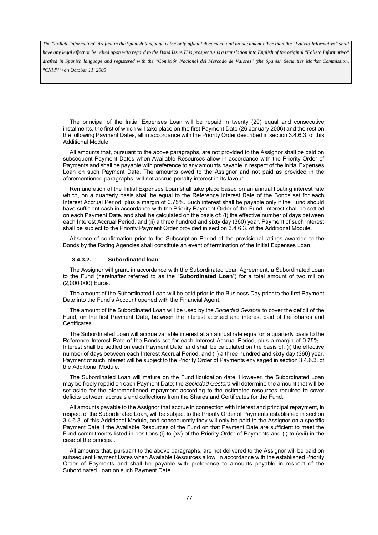*have any legal effect or be relied upon with regard to the Bond Issue.This prospectus is a translation into English of the original "Folleto Informativo" drafted in Spanish language and registered with the "Comisión Nacional del Mercado de Valores" (the Spanish Securities Market Commission, "CNMV") on October 11, 2005*

The principal of the Initial Expenses Loan will be repaid in twenty (20) equal and consecutive instalments, the first of which will take place on the first Payment Date (26 January 2006) and the rest on the following Payment Dates, all in accordance with the Priority Order described in section 3.4.6.3. of this Additional Module.

All amounts that, pursuant to the above paragraphs, are not provided to the Assignor shall be paid on subsequent Payment Dates when Available Resources allow in accordance with the Priority Order of Payments and shall be payable with preference to any amounts payable in respect of the Initial Expenses Loan on such Payment Date. The amounts owed to the Assignor and not paid as provided in the aforementioned paragraphs, will not accrue penalty interest in its favour.

Remuneration of the Initial Expenses Loan shall take place based on an annual floating interest rate which, on a quarterly basis shall be equal to the Reference Interest Rate of the Bonds set for each Interest Accrual Period, plus a margin of 0.75%. Such interest shall be payable only if the Fund should have sufficient cash in accordance with the Priority Payment Order of the Fund. Interest shall be settled on each Payment Date, and shall be calculated on the basis of: (i) the effective number of days between each Interest Accrual Period, and (ii) a three hundred and sixty day (360) year. Payment of such interest shall be subject to the Priority Payment Order provided in section 3.4.6.3. of the Additional Module.

Absence of confirmation prior to the Subscription Period of the provisional ratings awarded to the Bonds by the Rating Agencies shall constitute an event of termination of the Initial Expenses Loan.

#### **3.4.3.2. Subordinated loan**

The Assignor will grant, in accordance with the Subordinated Loan Agreement, a Subordinated Loan to the Fund (hereinafter referred to as the "**Subordinated Loan**") for a total amount of two million (2,000,000) Euros.

The amount of the Subordinated Loan will be paid prior to the Business Day prior to the first Payment Date into the Fund's Account opened with the Financial Agent.

The amount of the Subordinated Loan will be used by the *Sociedad Gestora* to cover the deficit of the Fund, on the first Payment Date, between the interest accrued and interest paid of the Shares and Certificates.

The Subordinated Loan will accrue variable interest at an annual rate equal on a quarterly basis to the Reference Interest Rate of the Bonds set for each Interest Accrual Period, plus a margin of 0.75%. . Interest shall be settled on each Payment Date, and shall be calculated on the basis of: (i) the effective number of days between each Interest Accrual Period, and (ii) a three hundred and sixty day (360) year. Payment of such interest will be subject to the Priority Order of Payments envisaged in section 3.4.6.3. of the Additional Module.

The Subordinated Loan will mature on the Fund liquidation date. However, the Subordinated Loan may be freely repaid on each Payment Date; the *Sociedad Gestora* will determine the amount that will be set aside for the aforementioned repayment according to the estimated resources required to cover deficits between accruals and collections from the Shares and Certificates for the Fund.

All amounts payable to the Assignor that accrue in connection with interest and principal repayment, in respect of the Subordinated Loan, will be subject to the Priority Order of Payments established in section 3.4.6.3. of this Additional Module, and consequently they will only be paid to the Assignor on a specific Payment Date if the Available Resources of the Fund on that Payment Date are sufficient to meet the Fund commitments listed in positions (i) to (xv) of the Priority Order of Payments and (i) to (xvii) in the case of the principal.

All amounts that, pursuant to the above paragraphs, are not delivered to the Assignor will be paid on subsequent Payment Dates when Available Resources allow, in accordance with the established Priority Order of Payments and shall be payable with preference to amounts payable in respect of the Subordinated Loan on such Payment Date.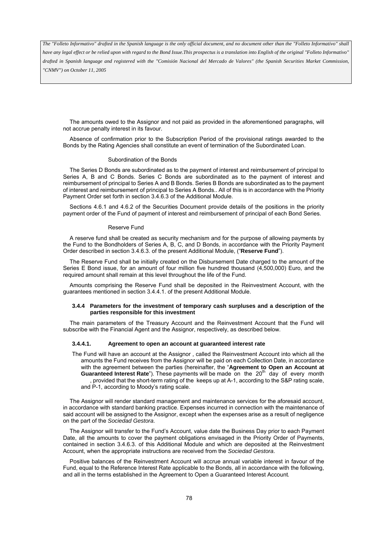*have any legal effect or be relied upon with regard to the Bond Issue.This prospectus is a translation into English of the original "Folleto Informativo" drafted in Spanish language and registered with the "Comisión Nacional del Mercado de Valores" (the Spanish Securities Market Commission, "CNMV") on October 11, 2005*

The amounts owed to the Assignor and not paid as provided in the aforementioned paragraphs, will not accrue penalty interest in its favour.

Absence of confirmation prior to the Subscription Period of the provisional ratings awarded to the Bonds by the Rating Agencies shall constitute an event of termination of the Subordinated Loan.

#### Subordination of the Bonds

The Series D Bonds are subordinated as to the payment of interest and reimbursement of principal to Series A, B and C Bonds. Series C Bonds are subordinated as to the payment of interest and reimbursement of principal to Series A and B Bonds. Series B Bonds are subordinated as to the payment of interest and reimbursement of principal to Series A Bonds.. All of this is in accordance with the Priority Payment Order set forth in section 3.4.6.3 of the Additional Module.

Sections 4.6.1 and 4.6.2 of the Securities Document provide details of the positions in the priority payment order of the Fund of payment of interest and reimbursement of principal of each Bond Series.

#### Reserve Fund

A reserve fund shall be created as security mechanism and for the purpose of allowing payments by the Fund to the Bondholders of Series A, B, C, and D Bonds, in accordance with the Priority Payment Order described in section 3.4.6.3. of the present Additional Module, ("**Reserve Fund**").

The Reserve Fund shall be initially created on the Disbursement Date charged to the amount of the Series E Bond issue, for an amount of four million five hundred thousand (4,500,000) Euro, and the required amount shall remain at this level throughout the life of the Fund.

Amounts comprising the Reserve Fund shall be deposited in the Reinvestment Account, with the guarantees mentioned in section 3.4.4.1. of the present Additional Module.

#### **3.4.4 Parameters for the investment of temporary cash surpluses and a description of the parties responsible for this investment**

The main parameters of the Treasury Account and the Reinvestment Account that the Fund will subscribe with the Financial Agent and the Assignor, respectively, as described below.

#### **3.4.4.1. Agreement to open an account at guaranteed interest rate**

The Fund will have an account at the Assignor , called the Reinvestment Account into which all the amounts the Fund receives from the Assignor will be paid on each Collection Date, in accordance with the agreement between the parties (hereinafter, the "**Agreement to Open an Account at Guaranteed Interest Rate**"). These payments will be made on the 20<sup>th</sup> day of every month , provided that the short-term rating of the keeps up at A-1, according to the S&P rating scale, and P-1, according to Moody's rating scale.

The Assignor will render standard management and maintenance services for the aforesaid account, in accordance with standard banking practice. Expenses incurred in connection with the maintenance of said account will be assigned to the Assignor, except when the expenses arise as a result of negligence on the part of the *Sociedad Gestora*.

The Assignor will transfer to the Fund's Account, value date the Business Day prior to each Payment Date, all the amounts to cover the payment obligations envisaged in the Priority Order of Payments, contained in section 3.4.6.3. of this Additional Module and which are deposited at the Reinvestment Account, when the appropriate instructions are received from the *Sociedad Gestora*.

Positive balances of the Reinvestment Account will accrue annual variable interest in favour of the Fund, equal to the Reference Interest Rate applicable to the Bonds, all in accordance with the following, and all in the terms established in the Agreement to Open a Guaranteed Interest Account*.*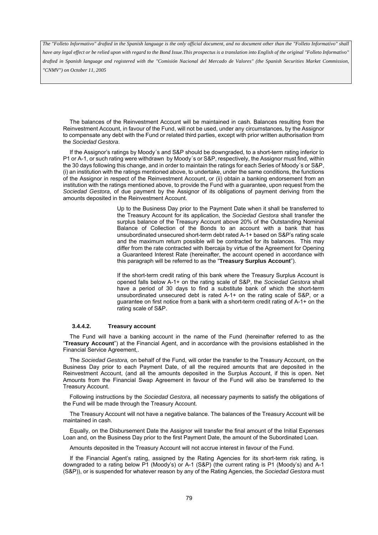*have any legal effect or be relied upon with regard to the Bond Issue.This prospectus is a translation into English of the original "Folleto Informativo" drafted in Spanish language and registered with the "Comisión Nacional del Mercado de Valores" (the Spanish Securities Market Commission, "CNMV") on October 11, 2005*

The balances of the Reinvestment Account will be maintained in cash. Balances resulting from the Reinvestment Account, in favour of the Fund, will not be used, under any circumstances, by the Assignor to compensate any debt with the Fund or related third parties, except with prior written authorisation from the *Sociedad Gestora*.

If the Assignor's ratings by Moody´s and S&P should be downgraded, to a short-term rating inferior to P1 or A-1, or such rating were withdrawn by Moody´s or S&P, respectively, the Assignor must find, within the 30 days following this change, and in order to maintain the ratings for each Series of Moody´s or S&P, (i) an institution with the ratings mentioned above, to undertake, under the same conditions, the functions of the Assignor in respect of the Reinvestment Account, or (ii) obtain a banking endorsement from an institution with the ratings mentioned above, to provide the Fund with a guarantee, upon request from the *Sociedad Gestora*, of due payment by the Assignor of its obligations of payment deriving from the amounts deposited in the Reinvestment Account.

> Up to the Business Day prior to the Payment Date when it shall be transferred to the Treasury Account for its application, the *Sociedad Gestora* shall transfer the surplus balance of the Treasury Account above 20% of the Outstanding Nominal Balance of Collection of the Bonds to an account with a bank that has unsubordinated unsecured short-term debt rated A-1+ based on S&P's rating scale and the maximum return possible will be contracted for its balances. This may differ from the rate contracted with Ibercaja by virtue of the Agreement for Opening a Guaranteed Interest Rate (hereinafter, the account opened in accordance with this paragraph will be referred to as the "**Treasury Surplus Account**").

> If the short-term credit rating of this bank where the Treasury Surplus Account is opened falls below A-1+ on the rating scale of S&P, the *Sociedad Gestora* shall have a period of 30 days to find a substitute bank of which the short-term unsubordinated unsecured debt is rated A-1+ on the rating scale of S&P, or a guarantee on first notice from a bank with a short-term credit rating of A-1+ on the rating scale of S&P.

#### **3.4.4.2. Treasury account**

The Fund will have a banking account in the name of the Fund (hereinafter referred to as the "**Treasury Account**") at the Financial Agent, and in accordance with the provisions established in the Financial Service Agreement,.

The *Sociedad Gestora,* on behalf of the Fund, will order the transfer to the Treasury Account, on the Business Day prior to each Payment Date, of all the required amounts that are deposited in the Reinvestment Account, (and all the amounts deposited in the Surplus Account, if this is open. Net Amounts from the Financial Swap Agreement in favour of the Fund will also be transferred to the Treasury Account.

Following instructions by the *Sociedad Gestora*, all necessary payments to satisfy the obligations of the Fund will be made through the Treasury Account.

The Treasury Account will not have a negative balance. The balances of the Treasury Account will be maintained in cash.

Equally, on the Disbursement Date the Assignor will transfer the final amount of the Initial Expenses Loan and, on the Business Day prior to the first Payment Date, the amount of the Subordinated Loan.

Amounts deposited in the Treasury Account will not accrue interest in favour of the Fund.

If the Financial Agent's rating, assigned by the Rating Agencies for its short-term risk rating, is downgraded to a rating below P1 (Moody's) or A-1 (S&P) (the current rating is P1 (Moody's) and A-1 (S&P)), or is suspended for whatever reason by any of the Rating Agencies, the *Sociedad Gestora* must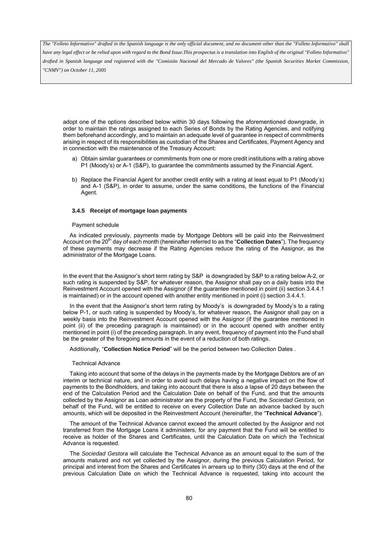*have any legal effect or be relied upon with regard to the Bond Issue.This prospectus is a translation into English of the original "Folleto Informativo" drafted in Spanish language and registered with the "Comisión Nacional del Mercado de Valores" (the Spanish Securities Market Commission, "CNMV") on October 11, 2005*

adopt one of the options described below within 30 days following the aforementioned downgrade, in order to maintain the ratings assigned to each Series of Bonds by the Rating Agencies, and notifying them beforehand accordingly, and to maintain an adequate level of guarantee in respect of commitments arising in respect of its responsibilities as custodian of the Shares and Certificates, Payment Agency and in connection with the maintenance of the Treasury Account:

- a) Obtain similar guarantees or commitments from one or more credit institutions with a rating above P1 (Moody's) or A-1 (S&P), to guarantee the commitments assumed by the Financial Agent.
- b) Replace the Financial Agent for another credit entity with a rating at least equal to P1 (Moody's) and A-1 (S&P), in order to assume, under the same conditions, the functions of the Financial Agent.

#### **3.4.5 Receipt of mortgage loan payments**

### Payment schedule

As indicated previously, payments made by Mortgage Debtors will be paid into the Reinvestment Account on the 20<sup>th</sup> day of each month (hereinafter referred to as the "**Collection Dates**"). The frequency of these payments may decrease if the Rating Agencies reduce the rating of the Assignor, as the administrator of the Mortgage Loans.

In the event that the Assignor's short term rating by S&P is downgraded by S&P to a rating below A-2, or such rating is suspended by S&P, for whatever reason, the Assignor shall pay on a daily basis into the Reinvestment Account opened with the Assignor (if the guarantee mentioned in point (ii) section 3.4.4.1 is maintained) or in the account opened with another entity mentioned in point (i) section 3.4.4.1.

In the event that the Assignor's short term rating by Moody's is downgraded by Moody's to a rating below P-1, or such rating is suspended by Moody's, for whatever reason, the Assignor shall pay on a weekly basis into the Reinvestment Account opened with the Assignor (if the guarantee mentioned in point (ii) of the preceding paragraph is maintained) or in the account opened with another entity mentioned in point (i) of the preceding paragraph. In any event, frequency of payment into the Fund shall be the greater of the foregoing amounts in the event of a reduction of both ratings.

Additionally, "**Collection Notice Period**" will be the period between two Collection Dates .

#### Technical Advance

Taking into account that some of the delays in the payments made by the Mortgage Debtors are of an interim or technical nature, and in order to avoid such delays having a negative impact on the flow of payments to the Bondholders, and taking into account that there is also a lapse of 20 days between the end of the Calculation Period and the Calculation Date on behalf of the Fund, and that the amounts collected by the Assignor as Loan administrator are the property of the Fund, the *Sociedad Gestora*, on behalf of the Fund, will be entitled to receive on every Collection Date an advance backed by such amounts, which will be deposited in the Reinvestment Account (hereinafter, the "**Technical Advance**").

The amount of the Technical Advance cannot exceed the amount collected by the Assignor and not transferred from the Mortgage Loans it administers, for any payment that the Fund will be entitled to receive as holder of the Shares and Certificates, until the Calculation Date on which the Technical Advance is requested.

The *Sociedad Gestora* will calculate the Technical Advance as an amount equal to the sum of the amounts matured and not yet collected by the Assignor, during the previous Calculation Period, for principal and interest from the Shares and Certificates in arrears up to thirty (30) days at the end of the previous Calculation Date on which the Technical Advance is requested, taking into account the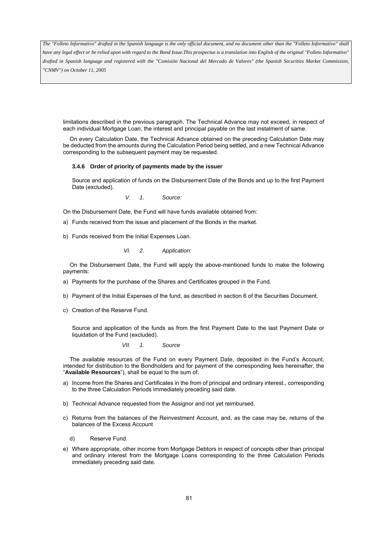*have any legal effect or be relied upon with regard to the Bond Issue.This prospectus is a translation into English of the original "Folleto Informativo" drafted in Spanish language and registered with the "Comisión Nacional del Mercado de Valores" (the Spanish Securities Market Commission, "CNMV") on October 11, 2005*

limitations described in the previous paragraph. The Technical Advance may not exceed, in respect of each individual Mortgage Loan, the interest and principal payable on the last instalment of same.

On every Calculation Date, the Technical Advance obtained on the preceding Calculation Date may be deducted from the amounts during the Calculation Period being settled, and a new Technical Advance corresponding to the subsequent payment may be requested.

### **3.4.6 Order of priority of payments made by the issuer**

Source and application of funds on the Disbursement Date of the Bonds and up to the first Payment Date (excluded).

*V. 1. Source:* 

On the Disbursement Date, the Fund will have funds available obtained from:

- a) Funds received from the issue and placement of the Bonds in the market.
- b) Funds received from the Initial Expenses Loan.

*VI. 2. Application:* 

On the Disbursement Date, the Fund will apply the above-mentioned funds to make the following payments:

- a) Payments for the purchase of the Shares and Certificates grouped in the Fund.
- b) Payment of the Initial Expenses of the fund, as described in section 6 of the Securities Document.
- c) Creation of the Reserve Fund.

Source and application of the funds as from the first Payment Date to the last Payment Date or liquidation of the Fund (excluded).

*VII. 1. Source* 

The available resources of the Fund on every Payment Date, deposited in the Fund's Account, intended for distribution to the Bondholders and for payment of the corresponding fees hereinafter, the "**Available Resources**"), shall be equal to the sum of:

- a) Income from the Shares and Certificates in the from of principal and ordinary interest., corresponding to the three Calculation Periods immediately preceding said date.
- b) Technical Advance requested from the Assignor and not yet reimbursed.
- c) Returns from the balances of the Reinvestment Account, and, as the case may be, returns of the balances of the Excess Account
	- d) Reserve Fund.
- e) Where appropriate, other income from Mortgage Debtors in respect of concepts other than principal and ordinary interest from the Mortgage Loans corresponding to the three Calculation Periods immediately preceding said date.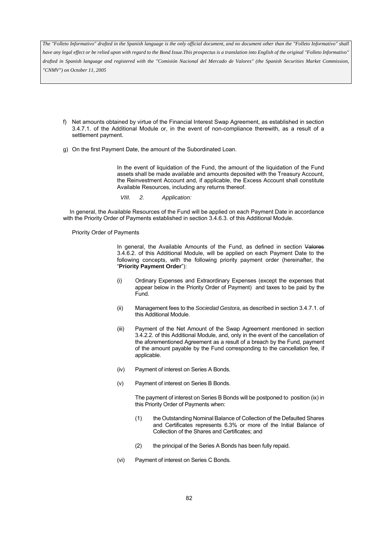*have any legal effect or be relied upon with regard to the Bond Issue.This prospectus is a translation into English of the original "Folleto Informativo" drafted in Spanish language and registered with the "Comisión Nacional del Mercado de Valores" (the Spanish Securities Market Commission, "CNMV") on October 11, 2005*

- f) Net amounts obtained by virtue of the Financial Interest Swap Agreement, as established in section 3.4.7.1. of the Additional Module or, in the event of non-compliance therewith, as a result of a settlement payment.
- g) On the first Payment Date, the amount of the Subordinated Loan.

In the event of liquidation of the Fund, the amount of the liquidation of the Fund assets shall be made available and amounts deposited with the Treasury Account, the Reinvestment Account and, if applicable, the Excess Account shall constitute Available Resources, including any returns thereof.

*VIII. 2. Application:* 

In general, the Available Resources of the Fund will be applied on each Payment Date in accordance with the Priority Order of Payments established in section 3.4.6.3. of this Additional Module.

Priority Order of Payments

In general, the Available Amounts of the Fund, as defined in section Valores 3.4.6.2. of this Additional Module, will be applied on each Payment Date to the following concepts, with the following priority payment order (hereinafter, the "**Priority Payment Order**"):

- (i) Ordinary Expenses and Extraordinary Expenses (except the expenses that appear below in the Priority Order of Payment) and taxes to be paid by the Fund.
- (ii) Management fees to the *Sociedad Gestora*, as described in section 3.4.7.1. of this Additional Module.
- (iii) Payment of the Net Amount of the Swap Agreement mentioned in section 3.4.2.2. of this Additional Module, and, only in the event of the cancellation of the aforementioned Agreement as a result of a breach by the Fund, payment of the amount payable by the Fund corresponding to the cancellation fee, if applicable.
- (iv) Payment of interest on Series A Bonds.
- (v) Payment of interest on Series B Bonds.

The payment of interest on Series B Bonds will be postponed to position (ix) in this Priority Order of Payments when:

- (1) the Outstanding Nominal Balance of Collection of the Defaulted Shares and Certificates represents 6.3% or more of the Initial Balance of Collection of the Shares and Certificates; and
- (2) the principal of the Series A Bonds has been fully repaid.
- (vi) Payment of interest on Series C Bonds.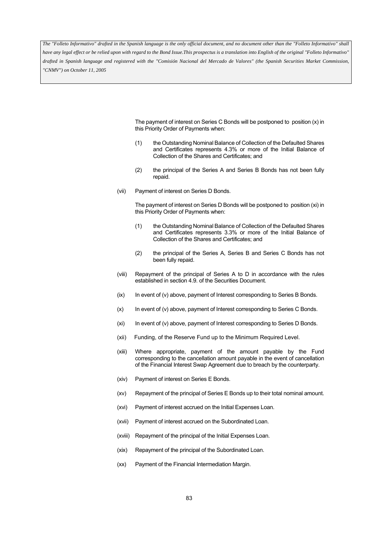*have any legal effect or be relied upon with regard to the Bond Issue.This prospectus is a translation into English of the original "Folleto Informativo" drafted in Spanish language and registered with the "Comisión Nacional del Mercado de Valores" (the Spanish Securities Market Commission, "CNMV") on October 11, 2005*

> The payment of interest on Series C Bonds will be postponed to position (x) in this Priority Order of Payments when:

- (1) the Outstanding Nominal Balance of Collection of the Defaulted Shares and Certificates represents 4.3% or more of the Initial Balance of Collection of the Shares and Certificates; and
- (2) the principal of the Series A and Series B Bonds has not been fully repaid.
- (vii) Payment of interest on Series D Bonds.

The payment of interest on Series D Bonds will be postponed to position (xi) in this Priority Order of Payments when:

- (1) the Outstanding Nominal Balance of Collection of the Defaulted Shares and Certificates represents 3.3% or more of the Initial Balance of Collection of the Shares and Certificates; and
- (2) the principal of the Series A, Series B and Series C Bonds has not been fully repaid.
- (viii) Repayment of the principal of Series A to D in accordance with the rules established in section 4.9. of the Securities Document.
- (ix) In event of (v) above, payment of Interest corresponding to Series B Bonds.
- (x) In event of (v) above, payment of Interest corresponding to Series C Bonds.
- (xi) In event of (v) above, payment of Interest corresponding to Series D Bonds.
- (xii) Funding, of the Reserve Fund up to the Minimum Required Level.
- (xiii) Where appropriate, payment of the amount payable by the Fund corresponding to the cancellation amount payable in the event of cancellation of the Financial Interest Swap Agreement due to breach by the counterparty.
- (xiv) Payment of interest on Series E Bonds.
- (xv) Repayment of the principal of Series E Bonds up to their total nominal amount.
- (xvi) Payment of interest accrued on the Initial Expenses Loan.
- (xvii) Payment of interest accrued on the Subordinated Loan.
- (xviii) Repayment of the principal of the Initial Expenses Loan.
- (xix) Repayment of the principal of the Subordinated Loan.
- (xx) Payment of the Financial Intermediation Margin.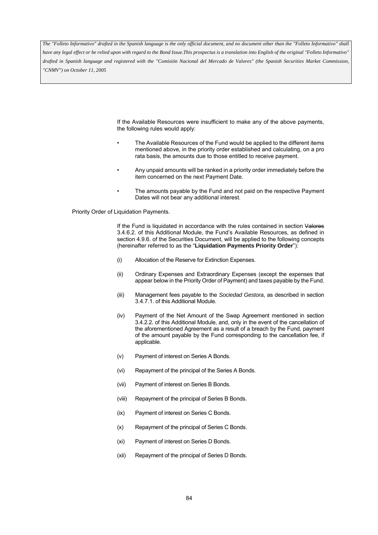*have any legal effect or be relied upon with regard to the Bond Issue.This prospectus is a translation into English of the original "Folleto Informativo" drafted in Spanish language and registered with the "Comisión Nacional del Mercado de Valores" (the Spanish Securities Market Commission, "CNMV") on October 11, 2005*

> If the Available Resources were insufficient to make any of the above payments, the following rules would apply:

- The Available Resources of the Fund would be applied to the different items mentioned above, in the priority order established and calculating, on a pro rata basis, the amounts due to those entitled to receive payment.
- Any unpaid amounts will be ranked in a priority order immediately before the item concerned on the next Payment Date.
- The amounts payable by the Fund and not paid on the respective Payment Dates will not bear any additional interest.

Priority Order of Liquidation Payments.

If the Fund is liquidated in accordance with the rules contained in section Valores 3.4.6.2. of this Additional Module, the Fund's Available Resources, as defined in section 4.9.6. of the Securities Document, will be applied to the following concepts (hereinafter referred to as the "**Liquidation Payments Priority Order**"):

- (i) Allocation of the Reserve for Extinction Expenses.
- (ii) Ordinary Expenses and Extraordinary Expenses (except the expenses that appear below in the Priority Order of Payment) and taxes payable by the Fund.
- (iii) Management fees payable to the *Sociedad Gestora*, as described in section 3.4.7.1. of this Additional Module.
- (iv) Payment of the Net Amount of the Swap Agreement mentioned in section 3.4.2.2. of this Additional Module, and, only in the event of the cancellation of the aforementioned Agreement as a result of a breach by the Fund, payment of the amount payable by the Fund corresponding to the cancellation fee, if applicable.
- (v) Payment of interest on Series A Bonds.
- (vi) Repayment of the principal of the Series A Bonds.
- (vii) Payment of interest on Series B Bonds.
- (viii) Repayment of the principal of Series B Bonds.
- (ix) Payment of interest on Series C Bonds.
- (x) Repayment of the principal of Series C Bonds.
- (xi) Payment of interest on Series D Bonds.
- (xii) Repayment of the principal of Series D Bonds.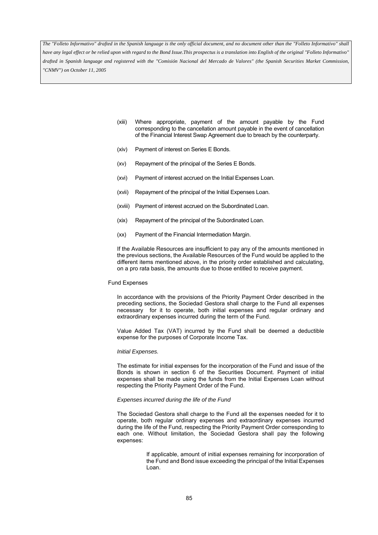*have any legal effect or be relied upon with regard to the Bond Issue.This prospectus is a translation into English of the original "Folleto Informativo" drafted in Spanish language and registered with the "Comisión Nacional del Mercado de Valores" (the Spanish Securities Market Commission, "CNMV") on October 11, 2005*

- (xiii) Where appropriate, payment of the amount payable by the Fund corresponding to the cancellation amount payable in the event of cancellation of the Financial Interest Swap Agreement due to breach by the counterparty.
- (xiv) Payment of interest on Series E Bonds.
- (xv) Repayment of the principal of the Series E Bonds.
- (xvi) Payment of interest accrued on the Initial Expenses Loan.
- (xvii) Repayment of the principal of the Initial Expenses Loan.
- (xviii) Payment of interest accrued on the Subordinated Loan.
- (xix) Repayment of the principal of the Subordinated Loan.
- (xx) Payment of the Financial Intermediation Margin.

If the Available Resources are insufficient to pay any of the amounts mentioned in the previous sections, the Available Resources of the Fund would be applied to the different items mentioned above, in the priority order established and calculating, on a pro rata basis, the amounts due to those entitled to receive payment.

### Fund Expenses

In accordance with the provisions of the Priority Payment Order described in the preceding sections, the Sociedad Gestora shall charge to the Fund all expenses necessary for it to operate, both initial expenses and regular ordinary and extraordinary expenses incurred during the term of the Fund.

Value Added Tax (VAT) incurred by the Fund shall be deemed a deductible expense for the purposes of Corporate Income Tax.

#### *Initial Expenses.*

The estimate for initial expenses for the incorporation of the Fund and issue of the Bonds is shown in section 6 of the Securities Document. Payment of initial expenses shall be made using the funds from the Initial Expenses Loan without respecting the Priority Payment Order of the Fund.

### *Expenses incurred during the life of the Fund*

The Sociedad Gestora shall charge to the Fund all the expenses needed for it to operate, both regular ordinary expenses and extraordinary expenses incurred during the life of the Fund, respecting the Priority Payment Order corresponding to each one. Without limitation, the Sociedad Gestora shall pay the following expenses:

> If applicable, amount of initial expenses remaining for incorporation of the Fund and Bond issue exceeding the principal of the Initial Expenses Loan.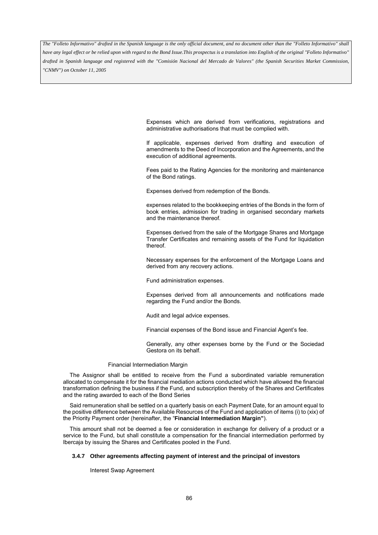*have any legal effect or be relied upon with regard to the Bond Issue.This prospectus is a translation into English of the original "Folleto Informativo" drafted in Spanish language and registered with the "Comisión Nacional del Mercado de Valores" (the Spanish Securities Market Commission, "CNMV") on October 11, 2005*

> Expenses which are derived from verifications, registrations and administrative authorisations that must be complied with.

> If applicable, expenses derived from drafting and execution of amendments to the Deed of Incorporation and the Agreements, and the execution of additional agreements.

> Fees paid to the Rating Agencies for the monitoring and maintenance of the Bond ratings.

Expenses derived from redemption of the Bonds.

 expenses related to the bookkeeping entries of the Bonds in the form of book entries, admission for trading in organised secondary markets and the maintenance thereof.

 Expenses derived from the sale of the Mortgage Shares and Mortgage Transfer Certificates and remaining assets of the Fund for liquidation thereof.

 Necessary expenses for the enforcement of the Mortgage Loans and derived from any recovery actions.

Fund administration expenses.

 Expenses derived from all announcements and notifications made regarding the Fund and/or the Bonds.

Audit and legal advice expenses.

Financial expenses of the Bond issue and Financial Agent's fee.

 Generally, any other expenses borne by the Fund or the Sociedad Gestora on its behalf.

#### Financial Intermediation Margin

The Assignor shall be entitled to receive from the Fund a subordinated variable remuneration allocated to compensate it for the financial mediation actions conducted which have allowed the financial transformation defining the business if the Fund, and subscription thereby of the Shares and Certificates and the rating awarded to each of the Bond Series

Said remuneration shall be settled on a quarterly basis on each Payment Date, for an amount equal to the positive difference between the Available Resources of the Fund and application of items (i) to (xix) of the Priority Payment order (hereinafter, the "**Financial Intermediation Margin"**).

This amount shall not be deemed a fee or consideration in exchange for delivery of a product or a service to the Fund, but shall constitute a compensation for the financial intermediation performed by Ibercaja by issuing the Shares and Certificates pooled in the Fund.

#### **3.4.7 Other agreements affecting payment of interest and the principal of investors**

Interest Swap Agreement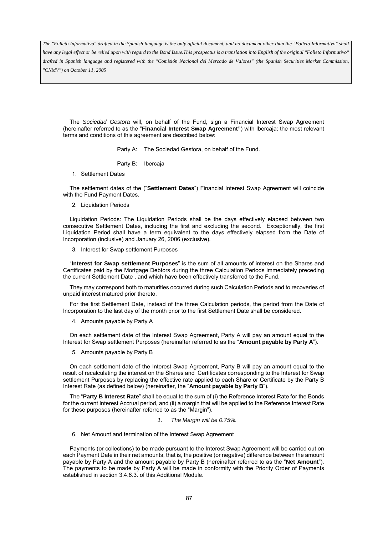*have any legal effect or be relied upon with regard to the Bond Issue.This prospectus is a translation into English of the original "Folleto Informativo" drafted in Spanish language and registered with the "Comisión Nacional del Mercado de Valores" (the Spanish Securities Market Commission, "CNMV") on October 11, 2005*

The *Sociedad Gestora* will, on behalf of the Fund, sign a Financial Interest Swap Agreement (hereinafter referred to as the "**Financial Interest Swap Agreement"**) with Ibercaja; the most relevant terms and conditions of this agreement are described below:

Party A: The Sociedad Gestora, on behalf of the Fund.

- Party B: Ibercaja
- 1. Settlement Dates

The settlement dates of the ("**Settlement Dates**") Financial Interest Swap Agreement will coincide with the Fund Payment Dates.

2. Liquidation Periods

Liquidation Periods: The Liquidation Periods shall be the days effectively elapsed between two consecutive Settlement Dates, including the first and excluding the second. Exceptionally, the first Liquidation Period shall have a term equivalent to the days effectively elapsed from the Date of Incorporation (inclusive) and January 26, 2006 (exclusive).

3. Interest for Swap settlement Purposes

"**Interest for Swap settlement Purposes**" is the sum of all amounts of interest on the Shares and Certificates paid by the Mortgage Debtors during the three Calculation Periods immediately preceding the current Settlement Date , and which have been effectively transferred to the Fund.

They may correspond both to maturities occurred during such Calculation Periods and to recoveries of unpaid interest matured prior thereto.

For the first Settlement Date, instead of the three Calculation periods, the period from the Date of Incorporation to the last day of the month prior to the first Settlement Date shall be considered.

4. Amounts payable by Party A

On each settlement date of the Interest Swap Agreement, Party A will pay an amount equal to the Interest for Swap settlement Purposes (hereinafter referred to as the "**Amount payable by Party A**").

5. Amounts payable by Party B

On each settlement date of the Interest Swap Agreement, Party B will pay an amount equal to the result of recalculating the interest on the Shares and Certificates corresponding to the Interest for Swap settlement Purposes by replacing the effective rate applied to each Share or Certificate by the Party B Interest Rate (as defined below) (hereinafter, the "**Amount payable by Party B**").

The "**Party B Interest Rate**" shall be equal to the sum of (i) the Reference Interest Rate for the Bonds for the current Interest Accrual period, and (ii) a margin that will be applied to the Reference Interest Rate for these purposes (hereinafter referred to as the "Margin").

- *1. The Margin will be 0.75%.*
- 6. Net Amount and termination of the Interest Swap Agreement

Payments (or collections) to be made pursuant to the Interest Swap Agreement will be carried out on each Payment Date in their net amounts, that is, the positive (or negative) difference between the amount payable by Party A and the amount payable by Party B (hereinafter referred to as the "**Net Amount**"). The payments to be made by Party A will be made in conformity with the Priority Order of Payments established in section 3.4.6.3. of this Additional Module.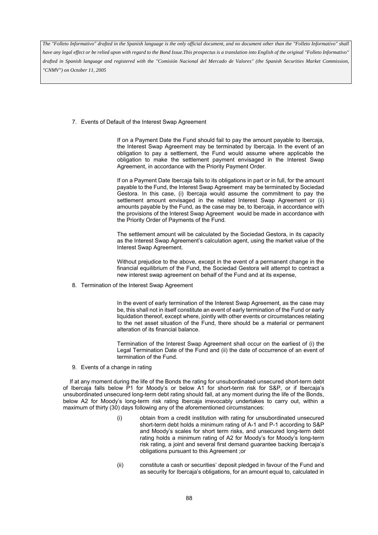*have any legal effect or be relied upon with regard to the Bond Issue.This prospectus is a translation into English of the original "Folleto Informativo" drafted in Spanish language and registered with the "Comisión Nacional del Mercado de Valores" (the Spanish Securities Market Commission, "CNMV") on October 11, 2005*

7. Events of Default of the Interest Swap Agreement

If on a Payment Date the Fund should fail to pay the amount payable to Ibercaja, the Interest Swap Agreement may be terminated by Ibercaja. In the event of an obligation to pay a settlement, the Fund would assume where applicable the obligation to make the settlement payment envisaged in the Interest Swap Agreement, in accordance with the Priority Payment Order.

If on a Payment Date Ibercaja fails to its obligations in part or in full, for the amount payable to the Fund, the Interest Swap Agreement may be terminated by Sociedad Gestora. In this case, (i) Ibercaja would assume the commitment to pay the settlement amount envisaged in the related Interest Swap Agreement or (ii) amounts payable by the Fund, as the case may be, to Ibercaja, in accordance with the provisions of the Interest Swap Agreement would be made in accordance with the Priority Order of Payments of the Fund.

The settlement amount will be calculated by the Sociedad Gestora, in its capacity as the Interest Swap Agreement's calculation agent, using the market value of the Interest Swap Agreement.

Without prejudice to the above, except in the event of a permanent change in the financial equilibrium of the Fund, the Sociedad Gestora will attempt to contract a new interest swap agreement on behalf of the Fund and at its expense,

8. Termination of the Interest Swap Agreement

In the event of early termination of the Interest Swap Agreement, as the case may be, this shall not in itself constitute an event of early termination of the Fund or early liquidation thereof, except where, jointly with other events or circumstances relating to the net asset situation of the Fund, there should be a material or permanent alteration of its financial balance.

Termination of the Interest Swap Agreement shall occur on the earliest of (i) the Legal Termination Date of the Fund and (ii) the date of occurrence of an event of termination of the Fund.

9. Events of a change in rating

If at any moment during the life of the Bonds the rating for unsubordinated unsecured short-term debt of Ibercaja falls below P1 for Moody's or below A1 for short-term risk for S&P, or if Ibercaja's unsubordinated unsecured long-term debt rating should fall, at any moment during the life of the Bonds, below A2 for Moody's long-term risk rating Ibercaja irrevocably undertakes to carry out, within a maximum of thirty (30) days following any of the aforementioned circumstances:

- (i) obtain from a credit institution with rating for unsubordinated unsecured short-term debt holds a minimum rating of A-1 and P-1 according to S&P and Moody's scales for short term risks, and unsecured long-term debt rating holds a minimum rating of A2 for Moody's for Moody's long-term risk rating, a joint and several first demand guarantee backing Ibercaja's obligations pursuant to this Agreement ;or
- (ii) constitute a cash or securities' deposit pledged in favour of the Fund and as security for Ibercaja's obligations, for an amount equal to, calculated in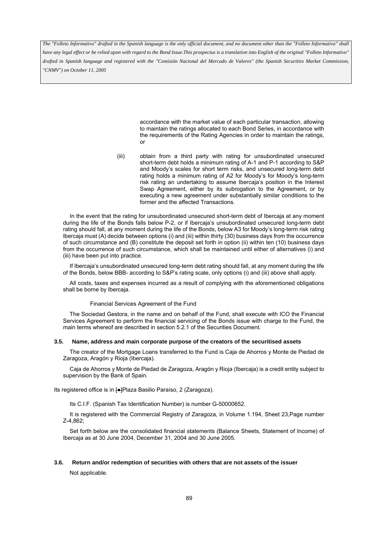*have any legal effect or be relied upon with regard to the Bond Issue.This prospectus is a translation into English of the original "Folleto Informativo" drafted in Spanish language and registered with the "Comisión Nacional del Mercado de Valores" (the Spanish Securities Market Commission, "CNMV") on October 11, 2005*

> accordance with the market value of each particular transaction, allowing to maintain the ratings allocated to each Bond Series, in accordance with the requirements of the Rating Agencies in order to maintain the ratings, or

(iii) obtain from a third party with rating for unsubordinated unsecured short-term debt holds a minimum rating of A-1 and P-1 according to S&P and Moody's scales for short term risks, and unsecured long-term debt rating holds a minimum rating of A2 for Moody's for Moody's long-term risk rating an undertaking to assume Ibercaja's position in the Interest Swap Agreement, either by its subrogation to the Agreement, or by executing a new agreement under substantially similar conditions to the former and the affected Transactions.

In the event that the rating for unsubordinated unsecured short-term debt of Ibercaja at any moment during the life of the Bonds falls below P-2, or if Ibercaja's unsubordinated unsecured long-term debt rating should fall, at any moment during the life of the Bonds, below A3 for Moody's long-term risk rating Ibercaja must (A) decide between options (i) and (iii) within thirty (30) business days from the occurrence of such circumstance and (B) constitute the deposit set forth in option (ii) within ten (10) business days from the occurrence of such circumstance, which shall be maintained until either of alternatives (i) and (iii) have been put into practice.

If Ibercaja's unsubordinated unsecured long-term debt rating should fall, at any moment during the life of the Bonds, below BBB- according to S&P's rating scale, only options (i) and (iii) above shall apply.

All costs, taxes and expenses incurred as a result of complying with the aforementioned obligations shall be borne by Ibercaja.

#### Financial Services Agreement of the Fund

The Sociedad Gestora, in the name and on behalf of the Fund, shall execute with ICO the Financial Services Agreement to perform the financial servicing of the Bonds issue with charge to the Fund, the main terms whereof are described in section 5.2.1 of the Securities Document.

### **3.5. Name, address and main corporate purpose of the creators of the securitised assets**

The creator of the Mortgage Loans transferred to the Fund is Caja de Ahorros y Monte de Piedad de Zaragoza, Aragón y Rioja (Ibercaja).

Caja de Ahorros y Monte de Piedad de Zaragoza, Aragón y Rioja (Ibercaja) is a credit entity subject to supervision by the Bank of Spain.

Its registered office is in [●]Plaza Basilio Paraíso, 2 (Zaragoza).

Its C.I.F. (Spanish Tax Identification Number) is number G-50000652.

It is registered with the Commercial Registry of Zaragoza, in Volume 1.194, Sheet 23,Page number Z-4,862;

Set forth below are the consolidated financial statements (Balance Sheets, Statement of Income) of Ibercaja as at 30 June 2004, December 31, 2004 and 30 June 2005.

#### **3.6. Return and/or redemption of securities with others that are not assets of the issuer**

Not applicable.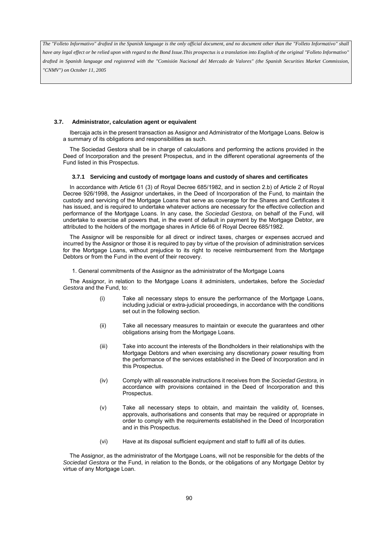*have any legal effect or be relied upon with regard to the Bond Issue.This prospectus is a translation into English of the original "Folleto Informativo" drafted in Spanish language and registered with the "Comisión Nacional del Mercado de Valores" (the Spanish Securities Market Commission, "CNMV") on October 11, 2005*

### **3.7. Administrator, calculation agent or equivalent**

Ibercaja acts in the present transaction as Assignor and Administrator of the Mortgage Loans. Below is a summary of its obligations and responsibilities as such.

The Sociedad Gestora shall be in charge of calculations and performing the actions provided in the Deed of Incorporation and the present Prospectus, and in the different operational agreements of the Fund listed in this Prospectus.

## **3.7.1 Servicing and custody of mortgage loans and custody of shares and certificates**

In accordance with Article 61 (3) of Royal Decree 685/1982, and in section 2.b) of Article 2 of Royal Decree 926/1998, the Assignor undertakes, in the Deed of Incorporation of the Fund, to maintain the custody and servicing of the Mortgage Loans that serve as coverage for the Shares and Certificates it has issued, and is required to undertake whatever actions are necessary for the effective collection and performance of the Mortgage Loans. In any case, the *Sociedad Gestora*, on behalf of the Fund, will undertake to exercise all powers that, in the event of default in payment by the Mortgage Debtor, are attributed to the holders of the mortgage shares in Article 66 of Royal Decree 685/1982.

The Assignor will be responsible for all direct or indirect taxes, charges or expenses accrued and incurred by the Assignor or those it is required to pay by virtue of the provision of administration services for the Mortgage Loans, without prejudice to its right to receive reimbursement from the Mortgage Debtors or from the Fund in the event of their recovery.

1. General commitments of the Assignor as the administrator of the Mortgage Loans

The Assignor, in relation to the Mortgage Loans it administers, undertakes, before the *Sociedad Gestora* and the Fund, to:

- (i) Take all necessary steps to ensure the performance of the Mortgage Loans, including judicial or extra-judicial proceedings, in accordance with the conditions set out in the following section.
- (ii) Take all necessary measures to maintain or execute the guarantees and other obligations arising from the Mortgage Loans.
- (iii) Take into account the interests of the Bondholders in their relationships with the Mortgage Debtors and when exercising any discretionary power resulting from the performance of the services established in the Deed of Incorporation and in this Prospectus.
- (iv) Comply with all reasonable instructions it receives from the *Sociedad Gestora*, in accordance with provisions contained in the Deed of Incorporation and this Prospectus.
- (v) Take all necessary steps to obtain, and maintain the validity of, licenses, approvals, authorisations and consents that may be required or appropriate in order to comply with the requirements established in the Deed of Incorporation and in this Prospectus.
- (vi) Have at its disposal sufficient equipment and staff to fulfil all of its duties.

The Assignor, as the administrator of the Mortgage Loans, will not be responsible for the debts of the *Sociedad Gestora* or the Fund, in relation to the Bonds, or the obligations of any Mortgage Debtor by virtue of any Mortgage Loan.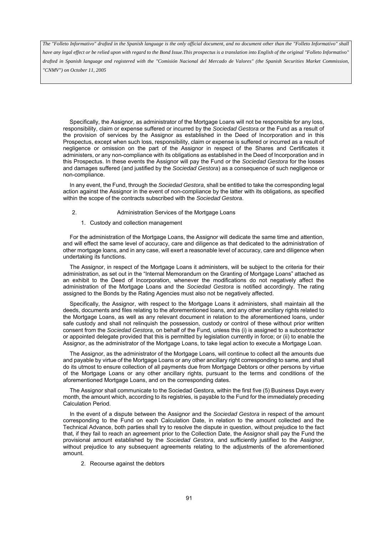*have any legal effect or be relied upon with regard to the Bond Issue.This prospectus is a translation into English of the original "Folleto Informativo" drafted in Spanish language and registered with the "Comisión Nacional del Mercado de Valores" (the Spanish Securities Market Commission, "CNMV") on October 11, 2005*

Specifically, the Assignor, as administrator of the Mortgage Loans will not be responsible for any loss, responsibility, claim or expense suffered or incurred by the *Sociedad Gestora* or the Fund as a result of the provision of services by the Assignor as established in the Deed of Incorporation and in this Prospectus, except when such loss, responsibility, claim or expense is suffered or incurred as a result of negligence or omission on the part of the Assignor in respect of the Shares and Certificates it administers, or any non-compliance with its obligations as established in the Deed of Incorporation and in this Prospectus. In these events the Assignor will pay the Fund or the *Sociedad Gestora* for the losses and damages suffered (and justified by the *Sociedad Gestora*) as a consequence of such negligence or non-compliance.

In any event, the Fund, through the *Sociedad Gestora*, shall be entitled to take the corresponding legal action against the Assignor in the event of non-compliance by the latter with its obligations, as specified within the scope of the contracts subscribed with the *Sociedad Gestora*.

- 2. Administration Services of the Mortgage Loans
	- 1. Custody and collection management

For the administration of the Mortgage Loans, the Assignor will dedicate the same time and attention, and will effect the same level of accuracy, care and diligence as that dedicated to the administration of other mortgage loans, and in any case, will exert a reasonable level of accuracy, care and diligence when undertaking its functions.

The Assignor, in respect of the Mortgage Loans it administers, will be subject to the criteria for their administration, as set out in the "Internal Memorandum on the Granting of Mortgage Loans" attached as an exhibit to the Deed of Incorporation, whenever the modifications do not negatively affect the administration of the Mortgage Loans and the *Sociedad Gestora* is notified accordingly. The rating assigned to the Bonds by the Rating Agencies must also not be negatively affected.

Specifically, the Assignor, with respect to the Mortgage Loans it administers, shall maintain all the deeds, documents and files relating to the aforementioned loans, and any other ancillary rights related to the Mortgage Loans, as well as any relevant document in relation to the aforementioned loans, under safe custody and shall not relinquish the possession, custody or control of these without prior written consent from the *Sociedad Gestora*, on behalf of the Fund, unless this (i) is assigned to a subcontractor or appointed delegate provided that this is permitted by legislation currently in force; or (ii) to enable the Assignor, as the administrator of the Mortgage Loans, to take legal action to execute a Mortgage Loan.

The Assignor, as the administrator of the Mortgage Loans, will continue to collect all the amounts due and payable by virtue of the Mortgage Loans or any other ancillary right corresponding to same, and shall do its utmost to ensure collection of all payments due from Mortgage Debtors or other persons by virtue of the Mortgage Loans or any other ancillary rights, pursuant to the terms and conditions of the aforementioned Mortgage Loans, and on the corresponding dates.

The Assignor shall communicate to the Sociedad Gestora, within the first five (5) Business Days every month, the amount which, according to its registries, is payable to the Fund for the immediately preceding Calculation Period.

In the event of a dispute between the Assignor and the *Sociedad Gestora* in respect of the amount corresponding to the Fund on each Calculation Date, in relation to the amount collected and the Technical Advance, both parties shall try to resolve the dispute in question, without prejudice to the fact that, if they fail to reach an agreement prior to the Collection Date, the Assignor shall pay the Fund the provisional amount established by the *Sociedad Gestora*, and sufficiently justified to the Assignor, without prejudice to any subsequent agreements relating to the adjustments of the aforementioned amount.

2. Recourse against the debtors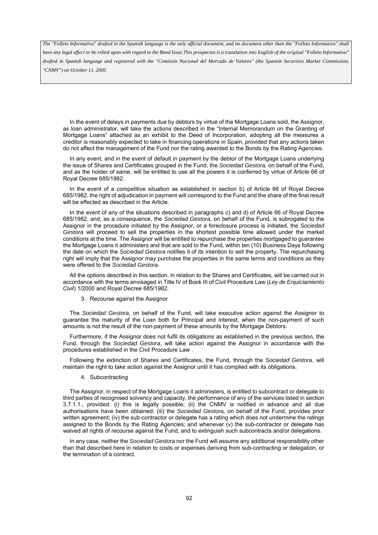*have any legal effect or be relied upon with regard to the Bond Issue.This prospectus is a translation into English of the original "Folleto Informativo" drafted in Spanish language and registered with the "Comisión Nacional del Mercado de Valores" (the Spanish Securities Market Commission, "CNMV") on October 11, 2005*

In the event of delays in payments due by debtors by virtue of the Mortgage Loans sold, the Assignor, as loan administrator, will take the actions described in the "Internal Memorandum on the Granting of Mortgage Loans" attached as an exhibit to the Deed of Incorporation, adopting all the measures a creditor is reasonably expected to take in financing operations in Spain, provided that any actions taken do not affect the management of the Fund nor the rating awarded to the Bonds by the Rating Agencies.

In any event, and in the event of default in payment by the debtor of the Mortgage Loans underlying the issue of Shares and Certificates grouped in the Fund, the *Sociedad Gestora,* on behalf of the Fund, and as the holder of same, will be entitled to use all the powers it is conferred by virtue of Article 66 of Royal Decree 685/1982.

In the event of a competitive situation as established in section b) of Article 66 of Royal Decree 685/1982, the right of adjudication in payment will correspond to the Fund and the share of the final result will be effected as described in the Article.

In the event of any of the situations described in paragraphs c) and d) of Article 66 of Royal Decree 685/1982, and, as a consequence, the *Sociedad Gestora*, on behalf of the Fund, is subrogated to the Assignor in the procedure initiated by the Assignor, or a foreclosure process is initiated, the *Sociedad Gestora* will proceed to sell the properties in the shortest possible time allowed under the market conditions at the time. The Assignor will be entitled to repurchase the properties mortgaged to guarantee the Mortgage Loans it administers and that are sold to the Fund, within ten (10) Business Days following the date on which the *Sociedad Gestora* notifies it of its intention to sell the property. The repurchasing right will imply that the Assignor may purchase the properties in the same terms and conditions as they were offered to the *Sociedad Gestora*.

All the options described in this section, in relation to the Shares and Certificates, will be carried out in accordance with the terms envisaged in Title IV of Book III of Civil Procedure Law (*Ley de Enjuiciamiento Civil*) 1/2000 and Royal Decree 685/1982.

3. Recourse against the Assignor

The *Sociedad Gestora*, on behalf of the Fund, will take executive action against the Assignor to guarantee the maturity of the Loan both for Principal and Interest, when the non-payment of such amounts is not the result of the non-payment of these amounts by the Mortgage Debtors.

Furthermore, if the Assignor does not fulfil its obligations as established in the previous section, the Fund, through the *Sociedad Gestora*, will take action against the Assignor in accordance with the procedures established in the Civil Procedure Law .

Following the extinction of Shares and Certificates, the Fund, through the *Sociedad Gestora*, will maintain the right to take action against the Assignor until it has complied with its obligations.

4. Subcontracting

The Assignor, in respect of the Mortgage Loans it administers, is entitled to subcontract or delegate to third parties of recognised solvency and capacity, the performance of any of the services listed in section 3.7.1.1., provided: (i) this is legally possible; (ii) the CNMV is notified in advance and all due authorisations have been obtained; (iii) the *Sociedad Gestora,* on behalf of the Fund, provides prior written agreement; (iv) the sub-contractor or delegate has a rating which does not undermine the ratings assigned to the Bonds by the Rating Agencies; and whenever (v) the sub-contractor or delegate has waived all rights of recourse against the Fund, and to extinguish such subcontracts and/or delegations.

In any case, neither the *Sociedad Gestora* nor the Fund will assume any additional responsibility other than that described here in relation to costs or expenses deriving from sub-contracting or delegation, or the termination of a contract*.*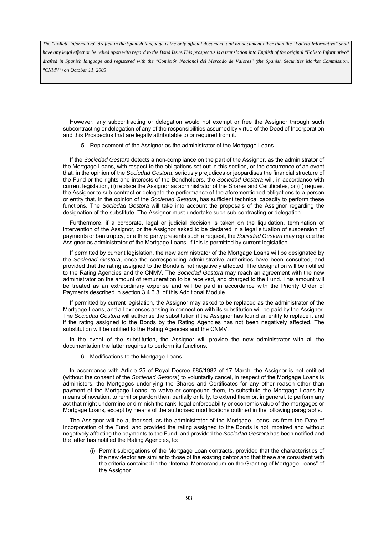*have any legal effect or be relied upon with regard to the Bond Issue.This prospectus is a translation into English of the original "Folleto Informativo" drafted in Spanish language and registered with the "Comisión Nacional del Mercado de Valores" (the Spanish Securities Market Commission, "CNMV") on October 11, 2005*

However, any subcontracting or delegation would not exempt or free the Assignor through such subcontracting or delegation of any of the responsibilities assumed by virtue of the Deed of Incorporation and this Prospectus that are legally attributable to or required from it.

5. Replacement of the Assignor as the administrator of the Mortgage Loans

If the *Sociedad Gestora* detects a non-compliance on the part of the Assignor, as the administrator of the Mortgage Loans, with respect to the obligations set out in this section, or the occurrence of an event that, in the opinion of the *Sociedad Gestora*, seriously prejudices or jeopardises the financial structure of the Fund or the rights and interests of the Bondholders, the *Sociedad Gestora* will, in accordance with current legislation, (i) replace the Assignor as administrator of the Shares and Certificates, or (ii) request the Assignor to sub-contract or delegate the performance of the aforementioned obligations to a person or entity that, in the opinion of the *Sociedad Gestora*, has sufficient technical capacity to perform these functions. The *Sociedad Gestora* will take into account the proposals of the Assignor regarding the designation of the substitute. The Assignor must undertake such sub-contracting or delegation.

Furthermore, if a corporate, legal or judicial decision is taken on the liquidation, termination or intervention of the Assignor, or the Assignor asked to be declared in a legal situation of suspension of payments or bankruptcy, or a third party presents such a request, the *Sociedad Gestora* may replace the Assignor as administrator of the Mortgage Loans, if this is permitted by current legislation.

If permitted by current legislation, the new administrator of the Mortgage Loans will be designated by the *Sociedad Gestora*, once the corresponding administrative authorities have been consulted, and provided that the rating assigned to the Bonds is not negatively affected. The designation will be notified to the Rating Agencies and the CNMV. The *Sociedad Gestora* may reach an agreement with the new administrator on the amount of remuneration to be received, and charged to the Fund. This amount will be treated as an extraordinary expense and will be paid in accordance with the Priority Order of Payments described in section 3.4.6.3. of this Additional Module.

If permitted by current legislation, the Assignor may asked to be replaced as the administrator of the Mortgage Loans, and all expenses arising in connection with its substitution will be paid by the Assignor. The *Sociedad Gestora* will authorise the substitution if the Assignor has found an entity to replace it and if the rating assigned to the Bonds by the Rating Agencies has not been negatively affected. The substitution will be notified to the Rating Agencies and the CNMV.

In the event of the substitution, the Assignor will provide the new administrator with all the documentation the latter requires to perform its functions.

6. Modifications to the Mortgage Loans

In accordance with Article 25 of Royal Decree 685/1982 of 17 March, the Assignor is not entitled (without the consent of the *Sociedad Gestora*) to voluntarily cancel, in respect of the Mortgage Loans is administers, the Mortgages underlying the Shares and Certificates for any other reason other than payment of the Mortgage Loans, to waive or compound them, to substitute the Mortgage Loans by means of novation, to remit or pardon them partially or fully, to extend them or, in general, to perform any act that might undermine or diminish the rank, legal enforceability or economic value of the mortgages or Mortgage Loans, except by means of the authorised modifications outlined in the following paragraphs.

The Assignor will be authorised, as the administrator of the Mortgage Loans, as from the Date of Incorporation of the Fund, and provided the rating assigned to the Bonds is not impaired and without negatively affecting the payments to the Fund, and provided the *Sociedad Gestora* has been notified and the latter has notified the Rating Agencies, to:

> (i) Permit subrogations of the Mortgage Loan contracts, provided that the characteristics of the new debtor are similar to those of the existing debtor and that these are consistent with the criteria contained in the "Internal Memorandum on the Granting of Mortgage Loans" of the Assignor.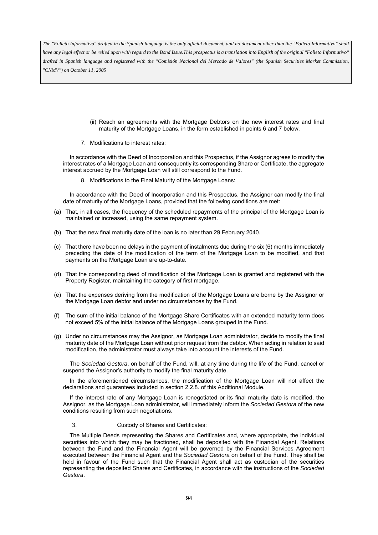*have any legal effect or be relied upon with regard to the Bond Issue.This prospectus is a translation into English of the original "Folleto Informativo" drafted in Spanish language and registered with the "Comisión Nacional del Mercado de Valores" (the Spanish Securities Market Commission, "CNMV") on October 11, 2005*

- (ii) Reach an agreements with the Mortgage Debtors on the new interest rates and final maturity of the Mortgage Loans, in the form established in points 6 and 7 below.
- 7. Modifications to interest rates:

In accordance with the Deed of Incorporation and this Prospectus, if the Assignor agrees to modify the interest rates of a Mortgage Loan and consequently its corresponding Share or Certificate, the aggregate interest accrued by the Mortgage Loan will still correspond to the Fund.

8. Modifications to the Final Maturity of the Mortgage Loans:

In accordance with the Deed of Incorporation and this Prospectus, the Assignor can modify the final date of maturity of the Mortgage Loans, provided that the following conditions are met:

- (a) That, in all cases, the frequency of the scheduled repayments of the principal of the Mortgage Loan is maintained or increased, using the same repayment system.
- (b) That the new final maturity date of the loan is no later than 29 February 2040.
- (c) That there have been no delays in the payment of instalments due during the six (6) months immediately preceding the date of the modification of the term of the Mortgage Loan to be modified, and that payments on the Mortgage Loan are up-to-date.
- (d) That the corresponding deed of modification of the Mortgage Loan is granted and registered with the Property Register, maintaining the category of first mortgage.
- (e) That the expenses deriving from the modification of the Mortgage Loans are borne by the Assignor or the Mortgage Loan debtor and under no circumstances by the Fund.
- (f) The sum of the initial balance of the Mortgage Share Certificates with an extended maturity term does not exceed 5% of the initial balance of the Mortgage Loans grouped in the Fund.
- (g) Under no circumstances may the Assignor, as Mortgage Loan administrator, decide to modify the final maturity date of the Mortgage Loan without prior request from the debtor. When acting in relation to said modification, the administrator must always take into account the interests of the Fund.

The *Sociedad Gestora*, on behalf of the Fund, will, at any time during the life of the Fund, cancel or suspend the Assignor's authority to modify the final maturity date.

In the aforementioned circumstances, the modification of the Mortgage Loan will not affect the declarations and guarantees included in section 2.2.8. of this Additional Module.

If the interest rate of any Mortgage Loan is renegotiated or its final maturity date is modified, the Assignor, as the Mortgage Loan administrator, will immediately inform the *Sociedad Gestora* of the new conditions resulting from such negotiations.

# 3. Custody of Shares and Certificates:

The Multiple Deeds representing the Shares and Certificates and, where appropriate, the individual securities into which they may be fractioned, shall be deposited with the Financial Agent. Relations between the Fund and the Financial Agent will be governed by the Financial Services Agreement executed between the Financial Agent and the *Sociedad Gestora* on behalf of the Fund. They shall be held in favour of the Fund such that the Financial Agent shall act as custodian of the securities representing the deposited Shares and Certificates, in accordance with the instructions of the *Sociedad Gestora*.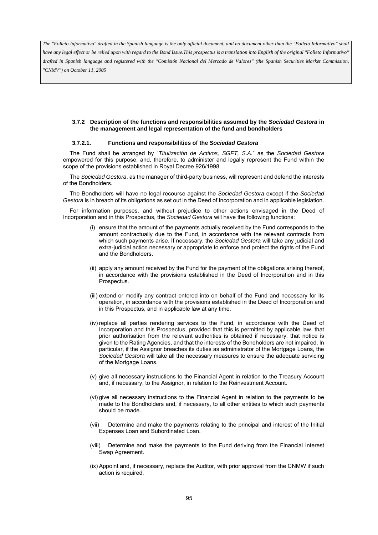*have any legal effect or be relied upon with regard to the Bond Issue.This prospectus is a translation into English of the original "Folleto Informativo" drafted in Spanish language and registered with the "Comisión Nacional del Mercado de Valores" (the Spanish Securities Market Commission, "CNMV") on October 11, 2005*

# **3.7.2 Description of the functions and responsibilities assumed by the** *Sociedad Gestora* **in the management and legal representation of the fund and bondholders**

## **3.7.2.1. Functions and responsibilities of the** *Sociedad Gestora*

The Fund shall be arranged by "*Titulización de Activos, SGFT, S.A.*" as the *Sociedad Gestora* empowered for this purpose, and, therefore, to administer and legally represent the Fund within the scope of the provisions established in Royal Decree 926/1998.

The *Sociedad Gestora*, as the manager of third-party business, will represent and defend the interests of the Bondholders.

The Bondholders will have no legal recourse against the *Sociedad Gestora* except if the *Sociedad Gestora* is in breach of its obligations as set out in the Deed of Incorporation and in applicable legislation.

For information purposes, and without prejudice to other actions envisaged in the Deed of Incorporation and in this Prospectus, the *Sociedad Gestora* will have the following functions:

- (i) ensure that the amount of the payments actually received by the Fund corresponds to the amount contractually due to the Fund, in accordance with the relevant contracts from which such payments arise. If necessary, the *Sociedad Gestora* will take any judicial and extra-judicial action necessary or appropriate to enforce and protect the rights of the Fund and the Bondholders.
- (ii) apply any amount received by the Fund for the payment of the obligations arising thereof, in accordance with the provisions established in the Deed of Incorporation and in this Prospectus.
- (iii) extend or modify any contract entered into on behalf of the Fund and necessary for its operation, in accordance with the provisions established in the Deed of Incorporation and in this Prospectus, and in applicable law at any time.
- (iv) replace all parties rendering services to the Fund, in accordance with the Deed of Incorporation and this Prospectus, provided that this is permitted by applicable law, that prior authorisation from the relevant authorities is obtained if necessary, that notice is given to the Rating Agencies, and that the interests of the Bondholders are not impaired. In particular, if the Assignor breaches its duties as administrator of the Mortgage Loans, the *Sociedad Gestora* will take all the necessary measures to ensure the adequate servicing of the Mortgage Loans.
- (v) give all necessary instructions to the Financial Agent in relation to the Treasury Account and, if necessary, to the Assignor, in relation to the Reinvestment Account.
- (vi) give all necessary instructions to the Financial Agent in relation to the payments to be made to the Bondholders and, if necessary, to all other entities to which such payments should be made.
- (vii) Determine and make the payments relating to the principal and interest of the Initial Expenses Loan and Subordinated Loan.
- (viii) Determine and make the payments to the Fund deriving from the Financial Interest Swap Agreement.
- (ix) Appoint and, if necessary, replace the Auditor, with prior approval from the CNMW if such action is required.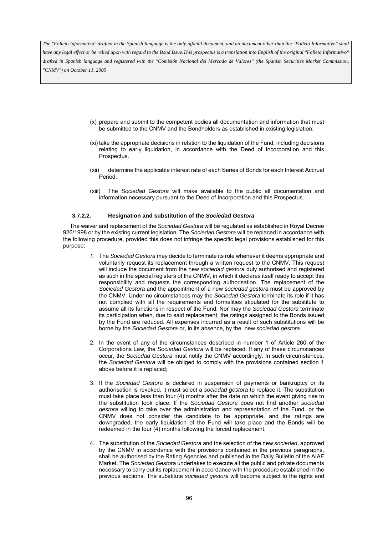*have any legal effect or be relied upon with regard to the Bond Issue.This prospectus is a translation into English of the original "Folleto Informativo" drafted in Spanish language and registered with the "Comisión Nacional del Mercado de Valores" (the Spanish Securities Market Commission, "CNMV") on October 11, 2005*

- (x) prepare and submit to the competent bodies all documentation and information that must be submitted to the CNMV and the Bondholders as established in existing legislation.
- (xi) take the appropriate decisions in relation to the liquidation of the Fund, including decisions relating to early liquidation, in accordance with the Deed of Incorporation and this Prospectus.
- (xii) determine the applicable interest rate of each Series of Bonds for each Interest Accrual Period.
- (xiii) The *Sociedad Gestora* will make available to the public all documentation and information necessary pursuant to the Deed of Incorporation and this Prospectus.

### **3.7.2.2. Resignation and substitution of the** *Sociedad Gestora*

The waiver and replacement of the *Sociedad Gestora* will be regulated as established in Royal Decree 926/1998 or by the existing current legislation. The *Sociedad Gestora* will be replaced in accordance with the following procedure, provided this does not infringe the specific legal provisions established for this purpose:

- 1. The *Sociedad Gestora* may decide to terminate its role whenever it deems appropriate and voluntarily request its replacement through a written request to the CNMV. This request will include the document from the new *sociedad gestora* duly authorised and registered as such in the special registers of the CNMV, in which it declares itself ready to accept this responsibility and requests the corresponding authorisation. The replacement of the *Sociedad Gestora* and the appointment of a new *sociedad gestora* must be approved by the CNMV. Under no circumstances may the *Sociedad Gestora* terminate its role if it has not complied with all the requirements and formalities stipulated for the substitute to assume all its functions in respect of the Fund. Nor may the *Sociedad Gestora* terminate its participation when, due to said replacement, the ratings assigned to the Bonds issued by the Fund are reduced. All expenses incurred as a result of such substitutions will be borne by the *Sociedad Gestora* or, in its absence, by the new *sociedad gestora.*
- 2. In the event of any of the circumstances described in number 1 of Article 260 of the Corporations Law, the *Sociedad Gestora* will be replaced. If any of these circumstances occur, the *Sociedad Gestora* must notify the CNMV accordingly. In such circumstances, the *Sociedad Gestora* will be obliged to comply with the provisions contained section 1 above before it is replaced;
- 3. If the *Sociedad Gestora* is declared in suspension of payments or bankruptcy or its authorisation is revoked, it must select a *sociedad gestora* to replace it. The substitution must take place less than four (4) months after the date on which the event giving rise to the substitution took place. If the *Sociedad Gestora* does not find another *sociedad gestora* willing to take over the administration and representation of the Fund, or the CNMV does not consider the candidate to be appropriate, and the ratings are downgraded, the early liquidation of the Fund will take place and the Bonds will be redeemed in the four (4) months following the forced replacement.
- 4. The substitution of the *Sociedad Gestora* and the selection of the new *sociedad*, approved by the CNMV in accordance with the provisions contained in the previous paragraphs, shall be authorised by the Rating Agencies and published in the Daily Bulletin of the AIAF Market. The *Sociedad Gesto*ra undertakes to execute all the public and private documents necessary to carry out its replacement in accordance with the procedure established in the previous sections. The substitute *sociedad gestora* will become subject to the rights and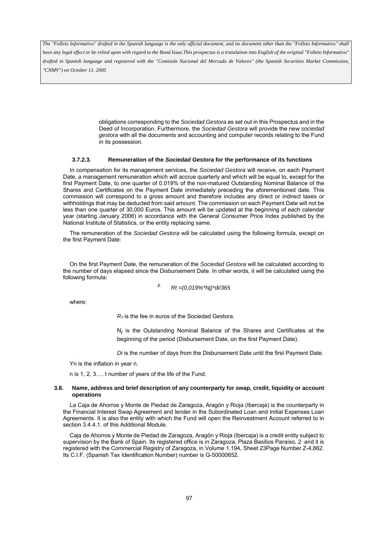*have any legal effect or be relied upon with regard to the Bond Issue.This prospectus is a translation into English of the original "Folleto Informativo" drafted in Spanish language and registered with the "Comisión Nacional del Mercado de Valores" (the Spanish Securities Market Commission, "CNMV") on October 11, 2005*

> obligations corresponding to the *Sociedad Gestora* as set out in this Prospectus and in the Deed of Incorporation. Furthermore, the *Sociedad Gestora* will provide the new *sociedad gestora* with all the documents and accounting and computer records relating to the Fund in its possession.

#### **3.7.2.3. Remuneration of the** *Sociedad Gestora* **for the performance of its functions**

In compensation for its management services, the *Sociedad Gestora* will receive, on each Payment Date, a management remuneration which will accrue quarterly and which will be equal to, except for the first Payment Date, to one quarter of 0.019% of the non-matured Outstanding Nominal Balance of the Shares and Certificates on the Payment Date immediately preceding the aforementioned date. This commission will correspond to a gross amount and therefore includes any direct or indirect taxes or withholdings that may be deducted from said amount. The commission on each Payment Date will not be less than one quarter of 30,000 Euros. This amount will be updated at the beginning of each calendar year (starting January 2006) in accordance with the General Consumer Price Index published by the National Institute of Statistics, or the entity replacing same.

The remuneration of the *Sociedad Gestora* will be calculated using the following formula, except on the first Payment Date:

On the first Payment Date, the remuneration of the *Sociedad Gestora* will be calculated according to the number of days elapsed since the Disbursement Date. In other words, it will be calculated using the following formula:

*2. Rt =(0,019%\*Nj)\*di/365*

where:

 $R<sub>T</sub>$  is the fee in euros of the Sociedad Gestora.

N*i* is the Outstanding Nominal Balance of the Shares and Certificates at the beginning of the period (Disbursement Date, on the first Payment Date).

*Di* is the number of days from the Disbursement Date until the first Payment Date.

Yn is the inflation in year n.

n is 1, 2, 3…. t number of years of the life of the Fund.

### **3.8. Name, address and brief description of any counterparty for swap, credit, liquidity or account operations**

La Caja de Ahorros y Monte de Piedad de Zaragoza, Aragón y Rioja (Ibercaja) is the counterparty in the Financial Interest Swap Agreement and lender in the Subordinated Loan and Initial Expenses Loan Agreements. It is also the entity with which the Fund will open the Reinvestment Account referred to in section 3.4.4.1. of this Additional Module.

Caja de Ahorros y Monte de Piedad de Zaragoza, Aragón y Rioja (Ibercaja) is a credit entity subject to supervision by the Bank of Spain. Its registered office is in Zaragoza, Plaza Basilios Paraíso, 2 and it is registered with the Commercial Registry of Zaragoza, in Volume 1.194, Sheet 23Page Number Z-4,862. Its C.I.F. (Spanish Tax Identification Number) number is G-50000652.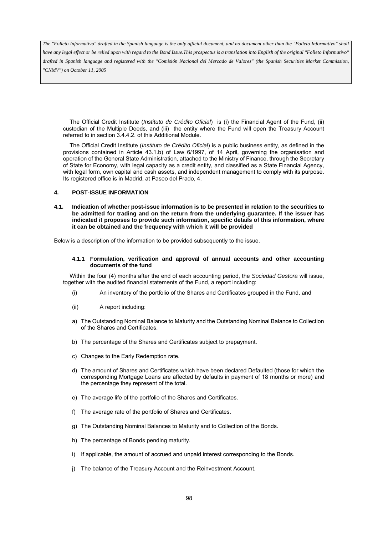*have any legal effect or be relied upon with regard to the Bond Issue.This prospectus is a translation into English of the original "Folleto Informativo" drafted in Spanish language and registered with the "Comisión Nacional del Mercado de Valores" (the Spanish Securities Market Commission, "CNMV") on October 11, 2005*

The Official Credit Institute (*Instituto de Crédito Oficial*) is (i) the Financial Agent of the Fund, (ii) custodian of the Multiple Deeds, and (iii) the entity where the Fund will open the Treasury Account referred to in section 3.4.4.2. of this Additional Module.

The Official Credit Institute (*Instituto de Crédito Oficial*) is a public business entity, as defined in the provisions contained in Article 43.1.b) of Law 6/1997, of 14 April, governing the organisation and operation of the General State Administration, attached to the Ministry of Finance, through the Secretary of State for Economy, with legal capacity as a credit entity, and classified as a State Financial Agency, with legal form, own capital and cash assets, and independent management to comply with its purpose. Its registered office is in Madrid, at Paseo del Prado, 4.

# **4. POST-ISSUE INFORMATION**

**4.1. Indication of whether post-issue information is to be presented in relation to the securities to be admitted for trading and on the return from the underlying guarantee. If the issuer has indicated it proposes to provide such information, specific details of this information, where it can be obtained and the frequency with which it will be provided** 

Below is a description of the information to be provided subsequently to the issue.

#### **4.1.1 Formulation, verification and approval of annual accounts and other accounting documents of the fund**

Within the four (4) months after the end of each accounting period, the *Sociedad Gestora* will issue, together with the audited financial statements of the Fund, a report including:

- (i) An inventory of the portfolio of the Shares and Certificates grouped in the Fund, and
- (ii) A report including:
- a) The Outstanding Nominal Balance to Maturity and the Outstanding Nominal Balance to Collection of the Shares and Certificates.
- b) The percentage of the Shares and Certificates subject to prepayment.
- c) Changes to the Early Redemption rate.
- d) The amount of Shares and Certificates which have been declared Defaulted (those for which the corresponding Mortgage Loans are affected by defaults in payment of 18 months or more) and the percentage they represent of the total.
- e) The average life of the portfolio of the Shares and Certificates.
- f) The average rate of the portfolio of Shares and Certificates.
- g) The Outstanding Nominal Balances to Maturity and to Collection of the Bonds.
- h) The percentage of Bonds pending maturity.
- i) If applicable, the amount of accrued and unpaid interest corresponding to the Bonds.
- j) The balance of the Treasury Account and the Reinvestment Account.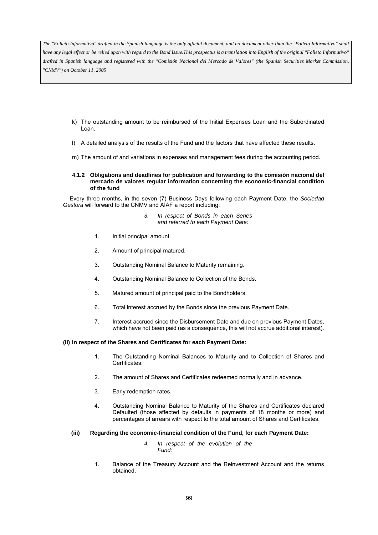*The "Folleto Informativo" drafted in the Spanish language is the only official document, and no document other than the "Folleto Informativo" shall have any legal effect or be relied upon with regard to the Bond Issue.This prospectus is a translation into English of the original "Folleto Informativo" drafted in Spanish language and registered with the "Comisión Nacional del Mercado de Valores" (the Spanish Securities Market Commission, "CNMV") on October 11, 2005*

- k) The outstanding amount to be reimbursed of the Initial Expenses Loan and the Subordinated Loan.
- l) A detailed analysis of the results of the Fund and the factors that have affected these results.
- m) The amount of and variations in expenses and management fees during the accounting period.

#### **4.1.2 Obligations and deadlines for publication and forwarding to the comisión nacional del mercado de valores regular information concerning the economic-financial condition of the fund**

Every three months, in the seven (7) Business Days following each Payment Date, the *Sociedad Gestora* will forward to the CNMV and AIAF a report including:

> *3. In respect of Bonds in each Series and referred to each Payment Date:*

- 1. Initial principal amount.
- 2. Amount of principal matured.
- 3. Outstanding Nominal Balance to Maturity remaining.
- 4. Outstanding Nominal Balance to Collection of the Bonds.
- 5. Matured amount of principal paid to the Bondholders.
- 6. Total interest accrued by the Bonds since the previous Payment Date.
- 7. Interest accrued since the Disbursement Date and due on previous Payment Dates, which have not been paid (as a consequence, this will not accrue additional interest).

### **(ii) In respect of the Shares and Certificates for each Payment Date:**

- 1. The Outstanding Nominal Balances to Maturity and to Collection of Shares and Certificates.
- 2. The amount of Shares and Certificates redeemed normally and in advance.
- 3. Early redemption rates.
- 4. Outstanding Nominal Balance to Maturity of the Shares and Certificates declared Defaulted (those affected by defaults in payments of 18 months or more) and percentages of arrears with respect to the total amount of Shares and Certificates.

### **(iii) Regarding the economic-financial condition of the Fund, for each Payment Date:**

- *4. In respect of the evolution of the Fund:*
- 1. Balance of the Treasury Account and the Reinvestment Account and the returns obtained.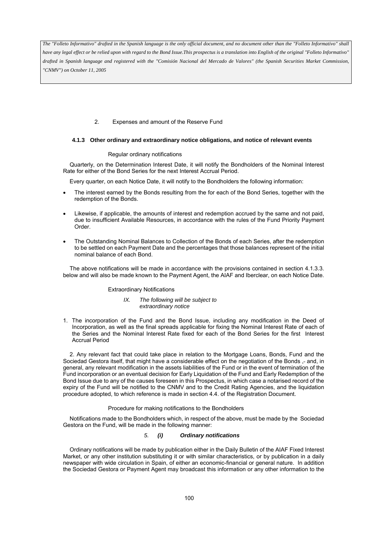*The "Folleto Informativo" drafted in the Spanish language is the only official document, and no document other than the "Folleto Informativo" shall have any legal effect or be relied upon with regard to the Bond Issue.This prospectus is a translation into English of the original "Folleto Informativo" drafted in Spanish language and registered with the "Comisión Nacional del Mercado de Valores" (the Spanish Securities Market Commission, "CNMV") on October 11, 2005*

# 2. Expenses and amount of the Reserve Fund

### **4.1.3 Other ordinary and extraordinary notice obligations, and notice of relevant events**

### Regular ordinary notifications

Quarterly, on the Determination Interest Date, it will notify the Bondholders of the Nominal Interest Rate for either of the Bond Series for the next Interest Accrual Period.

Every quarter, on each Notice Date, it will notify to the Bondholders the following information:

- The interest earned by the Bonds resulting from the for each of the Bond Series, together with the redemption of the Bonds.
- Likewise, if applicable, the amounts of interest and redemption accrued by the same and not paid, due to insufficient Available Resources, in accordance with the rules of the Fund Priority Payment Order.
- The Outstanding Nominal Balances to Collection of the Bonds of each Series, after the redemption to be settled on each Payment Date and the percentages that those balances represent of the initial nominal balance of each Bond.

The above notifications will be made in accordance with the provisions contained in section 4.1.3.3. below and will also be made known to the Payment Agent, the AIAF and Iberclear, on each Notice Date.

### Extraordinary Notifications

- *IX. The following will be subject to extraordinary notice*
- 1. The incorporation of the Fund and the Bond Issue, including any modification in the Deed of Incorporation, as well as the final spreads applicable for fixing the Nominal Interest Rate of each of the Series and the Nominal Interest Rate fixed for each of the Bond Series for the first Interest Accrual Period

2. Any relevant fact that could take place in relation to the Mortgage Loans, Bonds, Fund and the Sociedad Gestora itself, that might have a considerable effect on the negotiation of the Bonds - and, in general, any relevant modification in the assets liabilities of the Fund or in the event of termination of the Fund incorporation or an eventual decision for Early Liquidation of the Fund and Early Redemption of the Bond Issue due to any of the causes foreseen in this Prospectus, in which case a notarised record of the expiry of the Fund will be notified to the CNMV and to the Credit Rating Agencies, and the liquidation procedure adopted, to which reference is made in section 4.4. of the Registration Document.

### Procedure for making notifications to the Bondholders

Notifications made to the Bondholders which, in respect of the above, must be made by the Sociedad Gestora on the Fund, will be made in the following manner:

# *5. (i) Ordinary notifications*

Ordinary notifications will be made by publication either in the Daily Bulletin of the AIAF Fixed Interest Market, or any other institution substituting it or with similar characteristics, or by publication in a daily newspaper with wide circulation in Spain, of either an economic-financial or general nature. In addition the Sociedad Gestora or Payment Agent may broadcast this information or any other information to the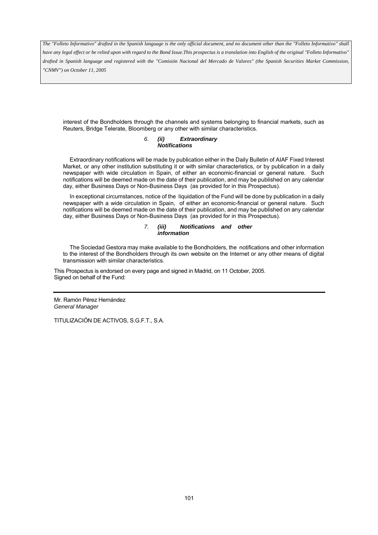*The "Folleto Informativo" drafted in the Spanish language is the only official document, and no document other than the "Folleto Informativo" shall* 

*have any legal effect or be relied upon with regard to the Bond Issue.This prospectus is a translation into English of the original "Folleto Informativo" drafted in Spanish language and registered with the "Comisión Nacional del Mercado de Valores" (the Spanish Securities Market Commission, "CNMV") on October 11, 2005*

interest of the Bondholders through the channels and systems belonging to financial markets, such as Reuters, Bridge Telerate, Bloomberg or any other with similar characteristics.

#### *6. (ii) Extraordinary Notifications*

Extraordinary notifications will be made by publication either in the Daily Bulletin of AIAF Fixed Interest Market, or any other institution substituting it or with similar characteristics, or by publication in a daily newspaper with wide circulation in Spain, of either an economic-financial or general nature. Such notifications will be deemed made on the date of their publication, and may be published on any calendar day, either Business Days or Non-Business Days (as provided for in this Prospectus).

In exceptional circumstances, notice of the liquidation of the Fund will be done by publication in a daily newspaper with a wide circulation in Spain, of either an economic-financial or general nature. Such notifications will be deemed made on the date of their publication, and may be published on any calendar day, either Business Days or Non-Business Days (as provided for in this Prospectus).

#### *7. (iii) Notifications and other information*

The Sociedad Gestora may make available to the Bondholders, the notifications and other information to the interest of the Bondholders through its own website on the Internet or any other means of digital transmission with similar characteristics.

This Prospectus is endorsed on every page and signed in Madrid, on 11 October, 2005. Signed on behalf of the Fund:

Mr. Ramón Pérez Hernández *General Manager* 

TITULIZACIÓN DE ACTIVOS, S.G.F.T., S.A.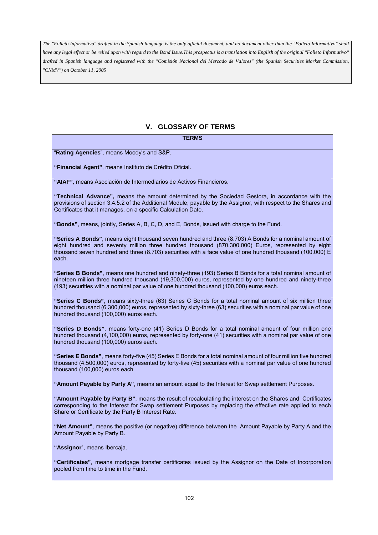# **V. GLOSSARY OF TERMS**

**TERMS** 

"**Rating Agencies**", means Moody's and S&P.

**"Financial Agent"**, means Instituto de Crédito Oficial.

**"AIAF"**, means Asociación de Intermediarios de Activos Financieros.

**"Technical Advance",** means the amount determined by the Sociedad Gestora, in accordance with the provisions of section 3.4.5.2 of the Additional Module, payable by the Assignor, with respect to the Shares and Certificates that it manages, on a specific Calculation Date.

**"Bonds"**, means, jointly, Series A, B, C, D, and E, Bonds, issued with charge to the Fund.

**"Series A Bonds"**, means eight thousand seven hundred and three (8.703) A Bonds for a nominal amount of eight hundred and seventy million three hundred thousand (870.300.000) Euros, represented by eight thousand seven hundred and three (8.703) securities with a face value of one hundred thousand (100.000) E each.

**"Series B Bonds"**, means one hundred and ninety-three (193) Series B Bonds for a total nominal amount of nineteen million three hundred thousand (19,300,000) euros, represented by one hundred and ninety-three (193) securities with a nominal par value of one hundred thousand (100,000) euros each.

**"Series C Bonds"**, means sixty-three (63) Series C Bonds for a total nominal amount of six million three hundred thousand (6,300,000) euros, represented by sixty-three (63) securities with a nominal par value of one hundred thousand (100,000) euros each.

**"Series D Bonds"**, means forty-one (41) Series D Bonds for a total nominal amount of four million one hundred thousand (4,100,000) euros, represented by forty-one (41) securities with a nominal par value of one hundred thousand (100,000) euros each.

**"Series E Bonds"**, means forty-five (45) Series E Bonds for a total nominal amount of four million five hundred thousand (4,500,000) euros, represented by forty-five (45) securities with a nominal par value of one hundred thousand (100,000) euros each

**"Amount Payable by Party A"**, means an amount equal to the Interest for Swap settlement Purposes.

**"Amount Payable by Party B"**, means the result of recalculating the interest on the Shares and Certificates corresponding to the Interest for Swap settlement Purposes by replacing the effective rate applied to each Share or Certificate by the Party B Interest Rate.

**"Net Amount"**, means the positive (or negative) difference between the Amount Payable by Party A and the Amount Payable by Party B.

**"Assignor**", means Ibercaja.

**"Certificates"**, means mortgage transfer certificates issued by the Assignor on the Date of Incorporation pooled from time to time in the Fund.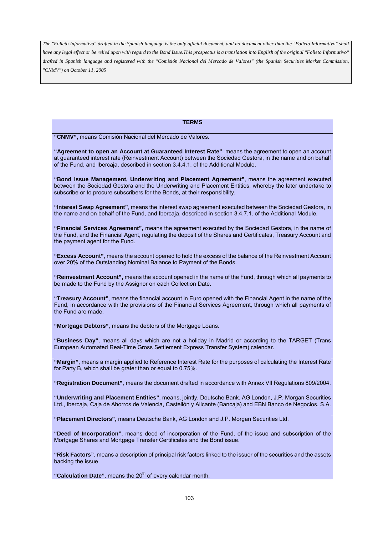#### **TERMS**

**"CNMV",** means Comisión Nacional del Mercado de Valores.

**"Agreement to open an Account at Guaranteed Interest Rate"**, means the agreement to open an account at guaranteed interest rate (Reinvestment Account) between the Sociedad Gestora, in the name and on behalf of the Fund, and Ibercaja, described in section 3.4.4.1. of the Additional Module.

**"Bond Issue Management, Underwriting and Placement Agreement"**, means the agreement executed between the Sociedad Gestora and the Underwriting and Placement Entities, whereby the later undertake to subscribe or to procure subscribers for the Bonds, at their responsibility.

**"Interest Swap Agreement"**, means the interest swap agreement executed between the Sociedad Gestora, in the name and on behalf of the Fund, and Ibercaja, described in section 3.4.7.1. of the Additional Module.

**"Financial Services Agreement",** means the agreement executed by the Sociedad Gestora, in the name of the Fund, and the Financial Agent, regulating the deposit of the Shares and Certificates, Treasury Account and the payment agent for the Fund.

**"Excess Account"**, means the account opened to hold the excess of the balance of the Reinvestment Account over 20% of the Outstanding Nominal Balance to Payment of the Bonds.

**"Reinvestment Account",** means the account opened in the name of the Fund, through which all payments to be made to the Fund by the Assignor on each Collection Date.

**"Treasury Account"**, means the financial account in Euro opened with the Financial Agent in the name of the Fund, in accordance with the provisions of the Financial Services Agreement, through which all payments of the Fund are made.

**"Mortgage Debtors"**, means the debtors of the Mortgage Loans.

**"Business Day"**, means all days which are not a holiday in Madrid or according to the TARGET (Trans European Automated Real-Time Gross Settlement Express Transfer System) calendar.

**"Margin"**, means a margin applied to Reference Interest Rate for the purposes of calculating the Interest Rate for Party B, which shall be grater than or equal to 0.75%.

**"Registration Document"**, means the document drafted in accordance with Annex VII Regulations 809/2004.

**"Underwriting and Placement Entities"**, means, jointly, Deutsche Bank, AG London, J.P. Morgan Securities Ltd., Ibercaja, Caja de Ahorros de Valencia, Castellón y Alicante (Bancaja) and EBN Banco de Negocios, S.A.

**"Placement Directors",** means Deutsche Bank, AG London and J.P. Morgan Securities Ltd.

**"Deed of Incorporation"**, means deed of incorporation of the Fund, of the issue and subscription of the Mortgage Shares and Mortgage Transfer Certificates and the Bond issue.

**"Risk Factors"**, means a description of principal risk factors linked to the issuer of the securities and the assets backing the issue

"Calculation Date", means the 20<sup>th</sup> of every calendar month.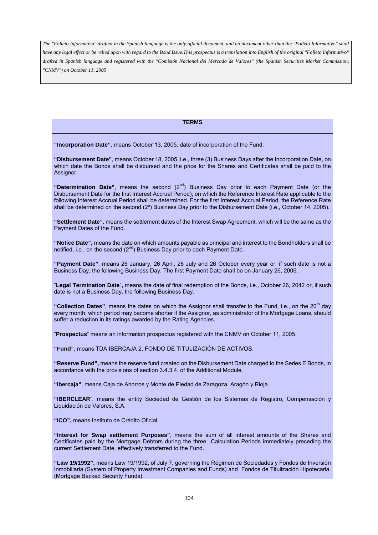## **TERMS**

**"Incorporation Date"**, means October 13, 2005, date of incorporation of the Fund.

**"Disbursement Date"**, means October 18, 2005, i.e., three (3) Business Days after the Incorporation Date, on which date the Bonds shall be disbursed and the price for the Shares and Certificates shall be paid to the Assignor.

**"Determination Date"**, means the second (2nd) Business Day prior to each Payment Date (or the Disbursement Date for the first Interest Accrual Period), on which the Reference Interest Rate applicable to the following Interest Accrual Period shall be determined. For the first Interest Accrual Period, the Reference Rate shall be determined on the second (2<sup>o</sup>) Business Day prior to the Disbursement Date (i.e., October 14, 2005).

**"Settlement Date"**, means the settlement dates of the Interest Swap Agreement, which will be the same as the Payment Dates of the Fund.

**"Notice Date",** means the date on which amounts payable as principal and interest to the Bondholders shall be notified, i.e., on the second  $(2<sup>nd</sup>)$  Business Day prior to each Payment Date.

**"Payment Date"**, means 26 January, 26 April, 26 July and 26 October every year or, if such date is not a Business Day, the following Business Day. The first Payment Date shall be on January 26, 2006.

"**Legal Termination Date**"**,** means the date of final redemption of the Bonds, i.e., October 26, 2042 or, if such date is not a Business Day, the following Business Day.

"Collection Dates", means the dates on which the Assignor shall transfer to the Fund, i.e., on the 20<sup>th</sup> day every month, which period may become shorter if the Assignor, as administrator of the Mortgage Loans, should suffer a reduction in its ratings awarded by the Rating Agencies.

"**Prospectus**" means an information prospectus registered with the CNMV on October 11, 2005.

**"Fund"**, means TDA IBERCAJA 2, FONDO DE TITULIZACIÓN DE ACTIVOS.

**"Reserve Fund",** means the reserve fund created on the Disbursement Date charged to the Series E Bonds, in accordance with the provisions of section 3.4.3.4. of the Additional Module.

**"Ibercaja"**, means Caja de Ahorros y Monte de Piedad de Zaragoza, Aragón y Rioja.

**"IBERCLEAR**", means the entity Sociedad de Gestión de los Sistemas de Registro, Compensación y Liquidación de Valores, S.A.

**"ICO",** means Instituto de Crédito Oficial.

**"Interest for Swap settlement Purposes"**, means the sum of all interest amounts of the Shares and Certificates paid by the Mortgage Debtors during the three Calculation Periods immediately preceding the current Settlement Date, effectively transferred to the Fund.

**"Law 19/1992",** means Law 19/1992, of July 7, governing the Régimen de Sociedades y Fondos de Inversión Inmobiliaria (System of Property Investment Companies and Funds) and Fondos de Titulización Hipotecaria. (Mortgage Backed Security Funds).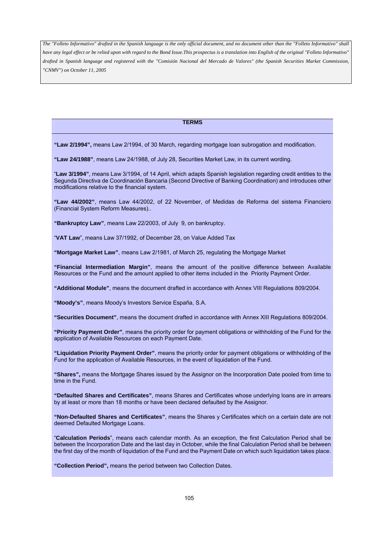#### **TERMS**

**"Law 2/1994",** means Law 2/1994, of 30 March, regarding mortgage loan subrogation and modification.

**"Law 24/1988"**, means Law 24/1988, of July 28, Securities Market Law, in its current wording.

"**Law 3/1994"**, means Law 3/1994, of 14 April, which adapts Spanish legislation regarding credit entities to the Segunda Directiva de Coordinación Bancaria (Second Directive of Banking Coordination) and introduces other modifications relative to the financial system.

**"Law 44/2002"**, means Law 44/2002, of 22 November, of Medidas de Reforma del sistema Financiero (Financial System Reform Measures)..

**"Bankruptcy Law"**, means Law 22/2003, of July 9, on bankruptcy.

"**VAT Law**", means Law 37/1992, of December 28, on Value Added Tax

**"Mortgage Market Law"**, means Law 2/1981, of March 25, regulating the Mortgage Market

**"Financial Intermediation Margin"**, means the amount of the positive difference between Available Resources or the Fund and the amount applied to other items included in the Priority Payment Order.

**"Additional Module"**, means the document drafted in accordance with Annex VIII Regulations 809/2004.

**"Moody's"**, means Moody's Investors Service España, S.A.

**"Securities Document"**, means the document drafted in accordance with Annex XIII Regulations 809/2004.

**"Priority Payment Order"**, means the priority order for payment obligations or withholding of the Fund for the application of Available Resources on each Payment Date.

**"Liquidation Priority Payment Order"**, means the priority order for payment obligations or withholding of the Fund for the application of Available Resources, in the event of liquidation of the Fund.

**"Shares",** means the Mortgage Shares issued by the Assignor on the Incorporation Date pooled from time to time in the Fund.

**"Defaulted Shares and Certificates"**, means Shares and Certificates whose underlying loans are in arrears by at least or more than 18 months or have been declared defaulted by the Assignor.

**"Non-Defaulted Shares and Certificates"**, means the Shares y Certificates which on a certain date are not deemed Defaulted Mortgage Loans.

"**Calculation Periods**", means each calendar month. As an exception, the first Calculation Period shall be between the Incorporation Date and the last day in October, while the final Calculation Period shall be between the first day of the month of liquidation of the Fund and the Payment Date on which such liquidation takes place.

**"Collection Period",** means the period between two Collection Dates.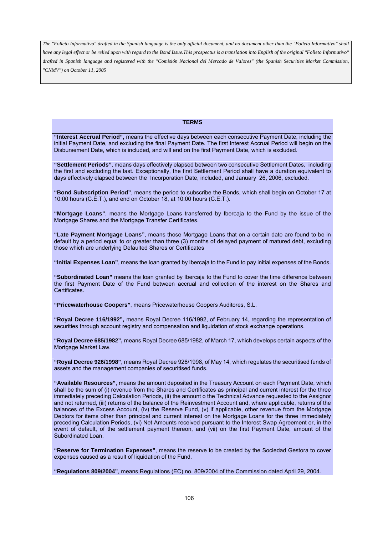## **TERMS**

**"Interest Accrual Period",** means the effective days between each consecutive Payment Date, including the initial Payment Date, and excluding the final Payment Date. The first Interest Accrual Period will begin on the Disbursement Date, which is included, and will end on the first Payment Date, which is excluded.

**"Settlement Periods"**, means days effectively elapsed between two consecutive Settlement Dates, including the first and excluding the last. Exceptionally, the first Settlement Period shall have a duration equivalent to days effectively elapsed between the Incorporation Date, included, and January 26, 2006, excluded.

**"Bond Subscription Period"**, means the period to subscribe the Bonds, which shall begin on October 17 at 10:00 hours (C.E.T.), and end on October 18, at 10:00 hours (C.E.T.).

**"Mortgage Loans"**, means the Mortgage Loans transferred by Ibercaja to the Fund by the issue of the Mortgage Shares and the Mortgage Transfer Certificates.

**"Late Payment Mortgage Loans"**, means those Mortgage Loans that on a certain date are found to be in default by a period equal to or greater than three (3) months of delayed payment of matured debt, excluding those which are underlying Defaulted Shares or Certificates

**"Initial Expenses Loan"**, means the loan granted by Ibercaja to the Fund to pay initial expenses of the Bonds.

**"Subordinated Loan"** means the loan granted by Ibercaja to the Fund to cover the time difference between the first Payment Date of the Fund between accrual and collection of the interest on the Shares and Certificates.

**"Pricewaterhouse Coopers"**, means Pricewaterhouse Coopers Auditores, S.L.

**"Royal Decree 116/1992",** means Royal Decree 116/1992, of February 14, regarding the representation of securities through account registry and compensation and liquidation of stock exchange operations.

**"Royal Decree 685/1982",** means Royal Decree 685/1982, of March 17, which develops certain aspects of the Mortgage Market Law.

**"Royal Decree 926/1998"**, means Royal Decree 926/1998, of May 14, which regulates the securitised funds of assets and the management companies of securitised funds.

**"Available Resources"**, means the amount deposited in the Treasury Account on each Payment Date, which shall be the sum of (i) revenue from the Shares and Certificates as principal and current interest for the three immediately preceding Calculation Periods, (ii) the amount o the Technical Advance requested to the Assignor and not returned, (iii) returns of the balance of the Reinvestment Account and, where applicable, returns of the balances of the Excess Account, (iv) the Reserve Fund, (v) if applicable, other revenue from the Mortgage Debtors for items other than principal and current interest on the Mortgage Loans for the three immediately preceding Calculation Periods, (vi) Net Amounts received pursuant to the Interest Swap Agreement or, in the event of default, of the settlement payment thereon, and (vii) on the first Payment Date, amount of the Subordinated Loan.

**"Reserve for Termination Expenses"**, means the reserve to be created by the Sociedad Gestora to cover expenses caused as a result of liquidation of the Fund.

**"Regulations 809/2004"**, means Regulations (EC) no. 809/2004 of the Commission dated April 29, 2004.